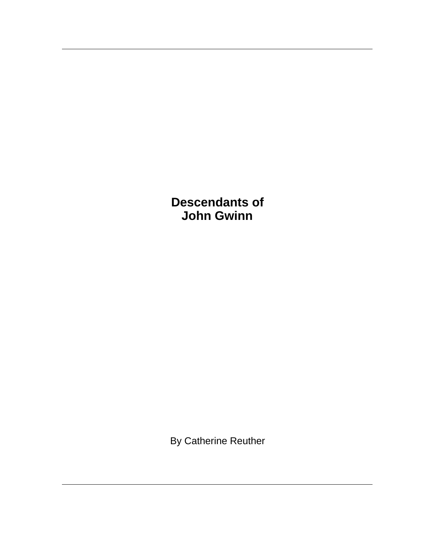**Descendants of John Gwinn**

By Catherine Reuther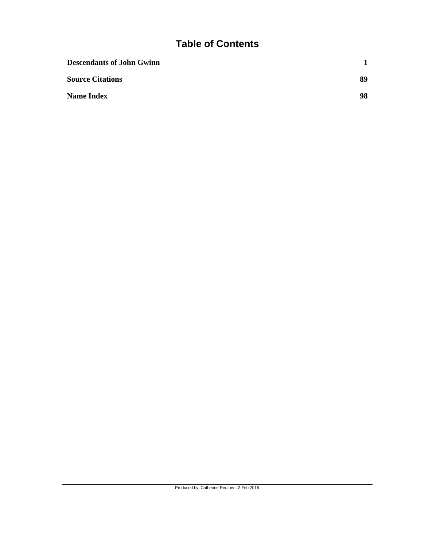| <b>Descendants of John Gwinn</b> |    |
|----------------------------------|----|
| <b>Source Citations</b>          | 89 |
| <b>Name Index</b>                | 98 |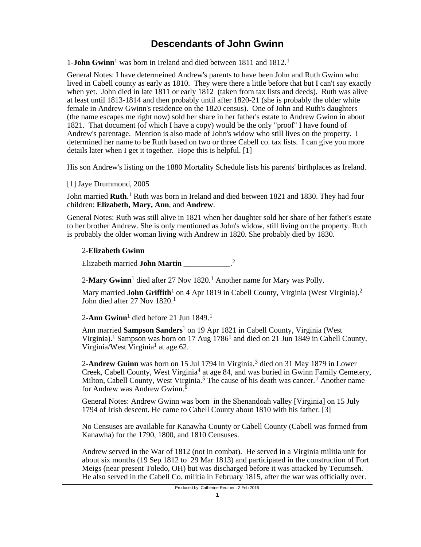1-**John Gwinn**<sup>1</sup> was born in Ireland and died between 1811 and 1812.<sup>1</sup>

General Notes: I have determeined Andrew's parents to have been John and Ruth Gwinn who lived in Cabell county as early as 1810. They were there a little before that but I can't say exactly when yet. John died in late 1811 or early 1812 (taken from tax lists and deeds). Ruth was alive at least until 1813-1814 and then probably until after 1820-21 (she is probably the older white female in Andrew Gwinn's residence on the 1820 census). One of John and Ruth's daughters (the name escapes me right now) sold her share in her father's estate to Andrew Gwinn in about 1821. That document (of which I have a copy) would be the only "proof" I have found of Andrew's parentage. Mention is also made of John's widow who still lives on the property. I determined her name to be Ruth based on two or three Cabell co. tax lists. I can give you more details later when I get it together. Hope this is helpful. [1]

His son Andrew's listing on the 1880 Mortality Schedule lists his parents' birthplaces as Ireland.

[1] Jaye Drummond, 2005

John married **Ruth**.<sup>1</sup> Ruth was born in Ireland and died between 1821 and 1830. They had four children: **Elizabeth, Mary, Ann**, and **Andrew**.

General Notes: Ruth was still alive in 1821 when her daughter sold her share of her father's estate to her brother Andrew. She is only mentioned as John's widow, still living on the property. Ruth is probably the older woman living with Andrew in 1820. She probably died by 1830.

# 2-**Elizabeth Gwinn**

Elizabeth married **John Martin** \_\_\_\_\_\_\_\_\_\_\_\_\_.<sup>2</sup>

2-**Mary Gwinn**<sup>1</sup> died after 27 Nov 1820.<sup>1</sup> Another name for Mary was Polly.

Mary married **John Griffith**<sup>1</sup> on 4 Apr 1819 in Cabell County, Virginia (West Virginia).<sup>2</sup> John died after 27 Nov 1820.<sup>1</sup>

2-**Ann Gwinn**<sup>1</sup> died before 21 Jun 1849.<sup>1</sup>

Ann married **Sampson Sanders**<sup>1</sup> on 19 Apr 1821 in Cabell County, Virginia (West Virginia).<sup>1</sup> Sampson was born on 17 Aug 1786<sup>1</sup> and died on 21 Jun 1849 in Cabell County, Virginia/West Virginia<sup>1</sup> at age 62.

2-Andrew Guinn was born on 15 Jul 1794 in Virginia,<sup>3</sup> died on 31 May 1879 in Lower Creek, Cabell County, West Virginia<sup>4</sup> at age 84, and was buried in Gwinn Family Cemetery, Milton, Cabell County, West Virginia.<sup>5</sup> The cause of his death was cancer.<sup>1</sup> Another name for Andrew was Andrew Gwinn.<sup>6</sup>

General Notes: Andrew Gwinn was born in the Shenandoah valley [Virginia] on 15 July 1794 of Irish descent. He came to Cabell County about 1810 with his father. [3]

No Censuses are available for Kanawha County or Cabell County (Cabell was formed from Kanawha) for the 1790, 1800, and 1810 Censuses.

Andrew served in the War of 1812 (not in combat). He served in a Virginia militia unit for about six months (19 Sep 1812 to 29 Mar 1813) and participated in the construction of Fort Meigs (near present Toledo, OH) but was discharged before it was attacked by Tecumseh. He also served in the Cabell Co. militia in February 1815, after the war was officially over.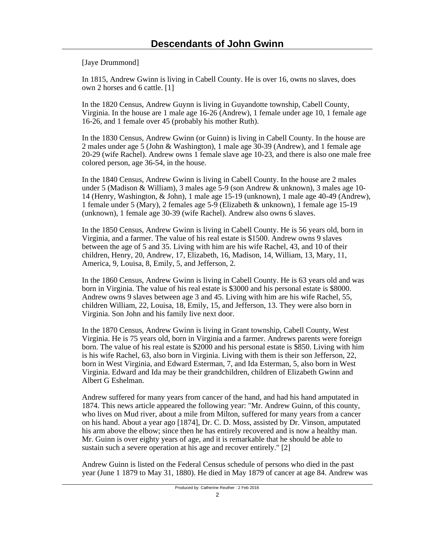[Jaye Drummond]

In 1815, Andrew Gwinn is living in Cabell County. He is over 16, owns no slaves, does own 2 horses and 6 cattle. [1]

In the 1820 Census, Andrew Guynn is living in Guyandotte township, Cabell County, Virginia. In the house are 1 male age 16-26 (Andrew), 1 female under age 10, 1 female age 16-26, and 1 female over 45 (probably his mother Ruth).

In the 1830 Census, Andrew Gwinn (or Guinn) is living in Cabell County. In the house are 2 males under age 5 (John & Washington), 1 male age 30-39 (Andrew), and 1 female age 20-29 (wife Rachel). Andrew owns 1 female slave age 10-23, and there is also one male free colored person, age 36-54, in the house.

In the 1840 Census, Andrew Gwinn is living in Cabell County. In the house are 2 males under 5 (Madison & William), 3 males age 5-9 (son Andrew & unknown), 3 males age 10- 14 (Henry, Washington, & John), 1 male age 15-19 (unknown), 1 male age 40-49 (Andrew), 1 female under 5 (Mary), 2 females age 5-9 (Elizabeth & unknown), 1 female age 15-19 (unknown), 1 female age 30-39 (wife Rachel). Andrew also owns 6 slaves.

In the 1850 Census, Andrew Gwinn is living in Cabell County. He is 56 years old, born in Virginia, and a farmer. The value of his real estate is \$1500. Andrew owns 9 slaves between the age of 5 and 35. Living with him are his wife Rachel, 43, and 10 of their children, Henry, 20, Andrew, 17, Elizabeth, 16, Madison, 14, William, 13, Mary, 11, America, 9, Louisa, 8, Emily, 5, and Jefferson, 2.

In the 1860 Census, Andrew Gwinn is living in Cabell County. He is 63 years old and was born in Virginia. The value of his real estate is \$3000 and his personal estate is \$8000. Andrew owns 9 slaves between age 3 and 45. Living with him are his wife Rachel, 55, children William, 22, Louisa, 18, Emily, 15, and Jefferson, 13. They were also born in Virginia. Son John and his family live next door.

In the 1870 Census, Andrew Gwinn is living in Grant township, Cabell County, West Virginia. He is 75 years old, born in Virginia and a farmer. Andrews parents were foreign born. The value of his real estate is \$2000 and his personal estate is \$850. Living with him is his wife Rachel, 63, also born in Virginia. Living with them is their son Jefferson, 22, born in West Virginia, and Edward Esterman, 7, and Ida Esterman, 5, also born in West Virginia. Edward and Ida may be their grandchildren, children of Elizabeth Gwinn and Albert G Eshelman.

Andrew suffered for many years from cancer of the hand, and had his hand amputated in 1874. This news article appeared the following year: "Mr. Andrew Guinn, of this county, who lives on Mud river, about a mile from Milton, suffered for many years from a cancer on his hand. About a year ago [1874], Dr. C. D. Moss, assisted by Dr. Vinson, amputated his arm above the elbow; since then he has entirely recovered and is now a healthy man. Mr. Guinn is over eighty years of age, and it is remarkable that he should be able to sustain such a severe operation at his age and recover entirely." [2]

Andrew Guinn is listed on the Federal Census schedule of persons who died in the past year (June 1 1879 to May 31, 1880). He died in May 1879 of cancer at age 84. Andrew was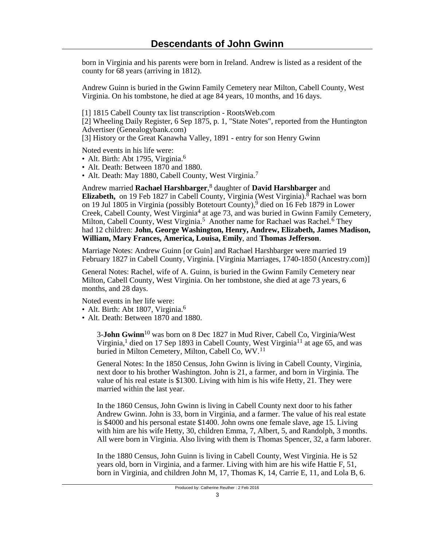born in Virginia and his parents were born in Ireland. Andrew is listed as a resident of the county for 68 years (arriving in 1812).

Andrew Guinn is buried in the Gwinn Family Cemetery near Milton, Cabell County, West Virginia. On his tombstone, he died at age 84 years, 10 months, and 16 days.

[1] 1815 Cabell County tax list transcription - RootsWeb.com

[2] Wheeling Daily Register, 6 Sep 1875, p. 1, "State Notes", reported from the Huntington Advertiser (Genealogybank.com)

[3] History or the Great Kanawha Valley, 1891 - entry for son Henry Gwinn

Noted events in his life were:

- Alt. Birth: Abt 1795, Virginia.<sup>6</sup>
- Alt. Death: Between 1870 and 1880.
- Alt. Death: May 1880, Cabell County, West Virginia.<sup>7</sup>

Andrew married **Rachael Harshbarger**, 8 daughter of **David Harshbarger** and Elizabeth, on 19 Feb 1827 in Cabell County, Virginia (West Virginia).<sup>8</sup> Rachael was born on 19 Jul 1805 in Virginia (possibly Botetourt County),<sup>9</sup> died on 16 Feb 1879 in Lower Creek, Cabell County, West Virginia<sup>4</sup> at age 73, and was buried in Gwinn Family Cemetery, Milton, Cabell County, West Virginia.<sup>5</sup> Another name for Rachael was Rachel.<sup>6</sup> They had 12 children: **John, George Washington, Henry, Andrew, Elizabeth, James Madison, William, Mary Frances, America, Louisa, Emily**, and **Thomas Jefferson**.

Marriage Notes: Andrew Guinn [or Guin] and Rachael Harshbarger were married 19 February 1827 in Cabell County, Virginia. [Virginia Marriages, 1740-1850 (Ancestry.com)]

General Notes: Rachel, wife of A. Guinn, is buried in the Gwinn Family Cemetery near Milton, Cabell County, West Virginia. On her tombstone, she died at age 73 years, 6 months, and 28 days.

Noted events in her life were:

- Alt. Birth: Abt 1807, Virginia.<sup>6</sup>
- Alt. Death: Between 1870 and 1880.

3-**John Gwinn**10 was born on 8 Dec 1827 in Mud River, Cabell Co, Virginia/West Virginia,<sup>1</sup> died on 17 Sep 1893 in Cabell County, West Virginia<sup>11</sup> at age 65, and was buried in Milton Cemetery, Milton, Cabell Co, WV.<sup>11</sup>

General Notes: In the 1850 Census, John Gwinn is living in Cabell County, Virginia, next door to his brother Washington. John is 21, a farmer, and born in Virginia. The value of his real estate is \$1300. Living with him is his wife Hetty, 21. They were married within the last year.

In the 1860 Census, John Gwinn is living in Cabell County next door to his father Andrew Gwinn. John is 33, born in Virginia, and a farmer. The value of his real estate is \$4000 and his personal estate \$1400. John owns one female slave, age 15. Living with him are his wife Hetty, 30, children Emma, 7, Albert, 5, and Randolph, 3 months. All were born in Virginia. Also living with them is Thomas Spencer, 32, a farm laborer.

In the 1880 Census, John Guinn is living in Cabell County, West Virginia. He is 52 years old, born in Virginia, and a farmer. Living with him are his wife Hattie F, 51, born in Virginia, and children John M, 17, Thomas K, 14, Carrie E, 11, and Lola B, 6.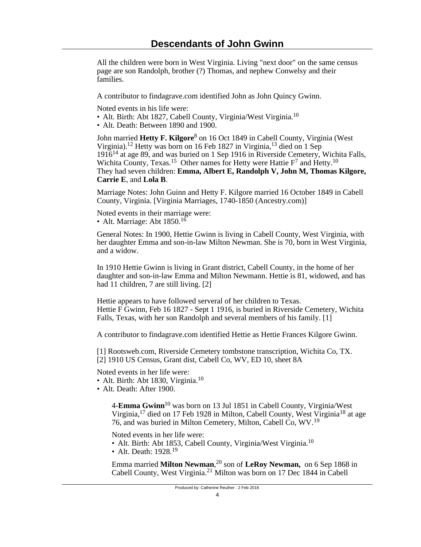All the children were born in West Virginia. Living "next door" on the same census page are son Randolph, brother (?) Thomas, and nephew Conwelsy and their families.

A contributor to findagrave.com identified John as John Quincy Gwinn.

Noted events in his life were:

- Alt. Birth: Abt 1827, Cabell County, Virginia/West Virginia.<sup>10</sup>
- Alt. Death: Between 1890 and 1900.

John married **Hetty F. Kilgore**<sup>8</sup> on 16 Oct 1849 in Cabell County, Virginia (West Virginia).12 Hetty was born on 16 Feb 1827 in Virginia,13 died on 1 Sep 191614 at age 89, and was buried on 1 Sep 1916 in Riverside Cemetery, Wichita Falls, Wichita County, Texas.<sup>15</sup> Other names for Hetty were Hattie  $F^7$  and Hetty.<sup>10</sup> They had seven children: **Emma, Albert E, Randolph V, John M, Thomas Kilgore, Carrie E**, and **Lola B**.

Marriage Notes: John Guinn and Hetty F. Kilgore married 16 October 1849 in Cabell County, Virginia. [Virginia Marriages, 1740-1850 (Ancestry.com)]

Noted events in their marriage were: • Alt. Marriage: Abt  $1850$ <sup>16</sup>

General Notes: In 1900, Hettie Gwinn is living in Cabell County, West Virginia, with her daughter Emma and son-in-law Milton Newman. She is 70, born in West Virginia, and a widow.

In 1910 Hettie Gwinn is living in Grant district, Cabell County, in the home of her daughter and son-in-law Emma and Milton Newmann. Hettie is 81, widowed, and has had 11 children, 7 are still living. [2]

Hettie appears to have followed serveral of her children to Texas. Hettie F Gwinn, Feb 16 1827 - Sept 1 1916, is buried in Riverside Cemetery, Wichita Falls, Texas, with her son Randolph and several members of his family. [1]

A contributor to findagrave.com identified Hettie as Hettie Frances Kilgore Gwinn.

[1] Rootsweb.com, Riverside Cemetery tombstone transcription, Wichita Co, TX. [2] 1910 US Census, Grant dist, Cabell Co, WV, ED 10, sheet 8A

Noted events in her life were:

- Alt. Birth: Abt 1830, Virginia.<sup>10</sup>
- Alt. Death: After 1900.

4-**Emma Gwinn**10 was born on 13 Jul 1851 in Cabell County, Virginia/West Virginia,<sup>17</sup> died on 17 Feb 1928 in Milton, Cabell County, West Virginia<sup>18</sup> at age 76, and was buried in Milton Cemetery, Milton, Cabell Co, WV.<sup>19</sup>

Noted events in her life were:

- Alt. Birth: Abt 1853, Cabell County, Virginia/West Virginia.<sup>10</sup>
- Alt. Death:  $1928$ <sup>19</sup>

Emma married **Milton Newman**, <sup>20</sup> son of **LeRoy Newman,** on 6 Sep 1868 in Cabell County, West Virginia.21 Milton was born on 17 Dec 1844 in Cabell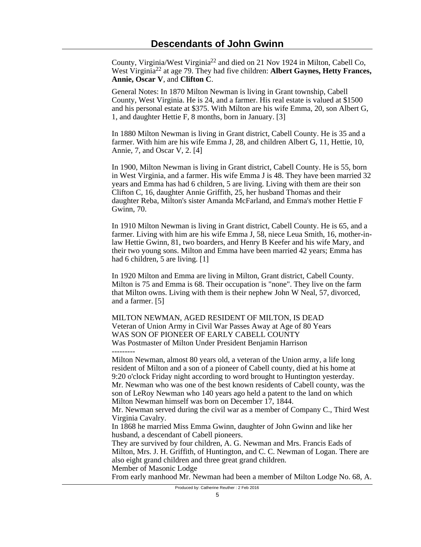County, Virginia/West Virginia22 and died on 21 Nov 1924 in Milton, Cabell Co, West Virginia22 at age 79. They had five children: **Albert Gaynes, Hetty Frances, Annie, Oscar V**, and **Clifton C**.

General Notes: In 1870 Milton Newman is living in Grant township, Cabell County, West Virginia. He is 24, and a farmer. His real estate is valued at \$1500 and his personal estate at \$375. With Milton are his wife Emma, 20, son Albert G, 1, and daughter Hettie F, 8 months, born in January. [3]

In 1880 Milton Newman is living in Grant district, Cabell County. He is 35 and a farmer. With him are his wife Emma J, 28, and children Albert G, 11, Hettie, 10, Annie, 7, and Oscar V, 2. [4]

In 1900, Milton Newman is living in Grant district, Cabell County. He is 55, born in West Virginia, and a farmer. His wife Emma J is 48. They have been married 32 years and Emma has had 6 children, 5 are living. Living with them are their son Clifton C, 16, daughter Annie Griffith, 25, her husband Thomas and their daughter Reba, Milton's sister Amanda McFarland, and Emma's mother Hettie F Gwinn, 70.

In 1910 Milton Newman is living in Grant district, Cabell County. He is 65, and a farmer. Living with him are his wife Emma J, 58, niece Leua Smith, 16, mother-inlaw Hettie Gwinn, 81, two boarders, and Henry B Keefer and his wife Mary, and their two young sons. Milton and Emma have been married 42 years; Emma has had 6 children, 5 are living. [1]

In 1920 Milton and Emma are living in Milton, Grant district, Cabell County. Milton is 75 and Emma is 68. Their occupation is "none". They live on the farm that Milton owns. Living with them is their nephew John W Neal, 57, divorced, and a farmer. [5]

MILTON NEWMAN, AGED RESIDENT OF MILTON, IS DEAD Veteran of Union Army in Civil War Passes Away at Age of 80 Years WAS SON OF PIONEER OF EARLY CABELL COUNTY Was Postmaster of Milton Under President Benjamin Harrison ---------

Milton Newman, almost 80 years old, a veteran of the Union army, a life long resident of Milton and a son of a pioneer of Cabell county, died at his home at 9:20 o'clock Friday night according to word brought to Huntington yesterday. Mr. Newman who was one of the best known residents of Cabell county, was the son of LeRoy Newman who 140 years ago held a patent to the land on which Milton Newman himself was born on December 17, 1844.

Mr. Newman served during the civil war as a member of Company C., Third West Virginia Cavalry.

In 1868 he married Miss Emma Gwinn, daughter of John Gwinn and like her husband, a descendant of Cabell pioneers.

They are survived by four children, A. G. Newman and Mrs. Francis Eads of Milton, Mrs. J. H. Griffith, of Huntington, and C. C. Newman of Logan. There are also eight grand children and three great grand children. Member of Masonic Lodge

From early manhood Mr. Newman had been a member of Milton Lodge No. 68, A.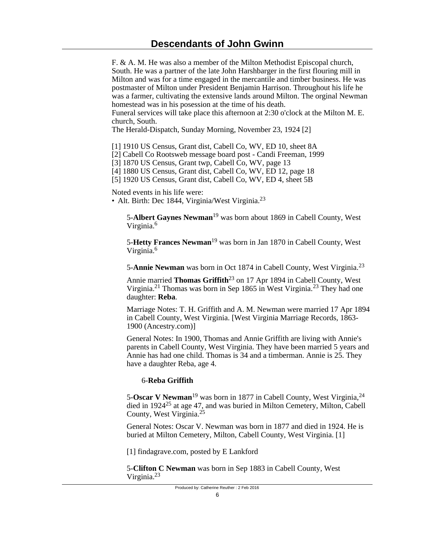F. & A. M. He was also a member of the Milton Methodist Episcopal church, South. He was a partner of the late John Harshbarger in the first flouring mill in Milton and was for a time engaged in the mercantile and timber business. He was postmaster of Milton under President Benjamin Harrison. Throughout his life he was a farmer, cultivating the extensive lands around Milton. The orginal Newman homestead was in his posession at the time of his death.

Funeral services will take place this afternoon at 2:30 o'clock at the Milton M. E. church, South.

The Herald-Dispatch, Sunday Morning, November 23, 1924 [2]

[1] 1910 US Census, Grant dist, Cabell Co, WV, ED 10, sheet 8A

[2] Cabell Co Rootsweb message board post - Candi Freeman, 1999

[3] 1870 US Census, Grant twp, Cabell Co, WV, page 13

[4] 1880 US Census, Grant dist, Cabell Co, WV, ED 12, page 18

[5] 1920 US Census, Grant dist, Cabell Co, WV, ED 4, sheet 5B

Noted events in his life were:

• Alt. Birth: Dec 1844, Virginia/West Virginia.<sup>23</sup>

5-**Albert Gaynes Newman**19 was born about 1869 in Cabell County, West Virginia.<sup>6</sup>

5-**Hetty Frances Newman**19 was born in Jan 1870 in Cabell County, West Virginia.<sup>6</sup>

5-**Annie Newman** was born in Oct 1874 in Cabell County, West Virginia.<sup>23</sup>

Annie married **Thomas Griffith**23 on 17 Apr 1894 in Cabell County, West Virginia.21 Thomas was born in Sep 1865 in West Virginia.23 They had one daughter: **Reba**.

Marriage Notes: T. H. Griffith and A. M. Newman were married 17 Apr 1894 in Cabell County, West Virginia. [West Virginia Marriage Records, 1863- 1900 (Ancestry.com)]

General Notes: In 1900, Thomas and Annie Griffith are living with Annie's parents in Cabell County, West Virginia. They have been married 5 years and Annie has had one child. Thomas is 34 and a timberman. Annie is 25. They have a daughter Reba, age 4.

## 6-**Reba Griffith**

5-**Oscar V Newman**19 was born in 1877 in Cabell County, West Virginia,<sup>24</sup> died in 192425 at age 47, and was buried in Milton Cemetery, Milton, Cabell County, West Virginia.<sup>25</sup>

General Notes: Oscar V. Newman was born in 1877 and died in 1924. He is buried at Milton Cemetery, Milton, Cabell County, West Virginia. [1]

[1] findagrave.com, posted by E Lankford

5-**Clifton C Newman** was born in Sep 1883 in Cabell County, West Virginia.<sup>23</sup>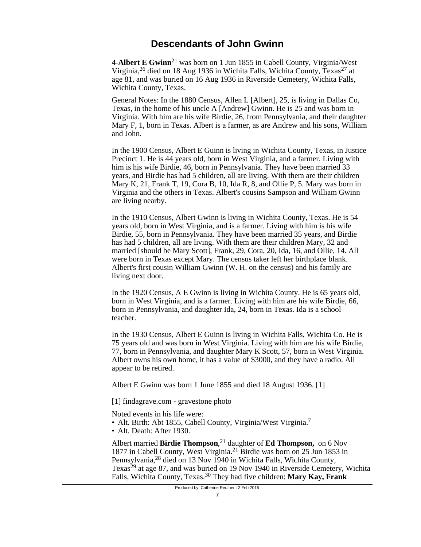4-**Albert E Gwinn**<sup>21</sup> was born on 1 Jun 1855 in Cabell County, Virginia/West Virginia,  $^{26}$  died on 18 Aug 1936 in Wichita Falls, Wichita County, Texas<sup>27</sup> at age 81, and was buried on 16 Aug 1936 in Riverside Cemetery, Wichita Falls, Wichita County, Texas.

General Notes: In the 1880 Census, Allen L [Albert], 25, is living in Dallas Co, Texas, in the home of his uncle A [Andrew] Gwinn. He is 25 and was born in Virginia. With him are his wife Birdie, 26, from Pennsylvania, and their daughter Mary F, 1, born in Texas. Albert is a farmer, as are Andrew and his sons, William and John.

In the 1900 Census, Albert E Guinn is living in Wichita County, Texas, in Justice Precinct 1. He is 44 years old, born in West Virginia, and a farmer. Living with him is his wife Birdie, 46, born in Pennsylvania. They have been married 33 years, and Birdie has had 5 children, all are living. With them are their children Mary K, 21, Frank T, 19, Cora B, 10, Ida R, 8, and Ollie P, 5. Mary was born in Virginia and the others in Texas. Albert's cousins Sampson and William Gwinn are living nearby.

In the 1910 Census, Albert Gwinn is living in Wichita County, Texas. He is 54 years old, born in West Virginia, and is a farmer. Living with him is his wife Birdie, 55, born in Pennsylvania. They have been married 35 years, and Birdie has had 5 children, all are living. With them are their children Mary, 32 and married [should be Mary Scott], Frank, 29, Cora, 20, Ida, 16, and Ollie, 14. All were born in Texas except Mary. The census taker left her birthplace blank. Albert's first cousin William Gwinn (W. H. on the census) and his family are living next door.

In the 1920 Census, A E Gwinn is living in Wichita County. He is 65 years old, born in West Virginia, and is a farmer. Living with him are his wife Birdie, 66, born in Pennsylvania, and daughter Ida, 24, born in Texas. Ida is a school teacher.

In the 1930 Census, Albert E Guinn is living in Wichita Falls, Wichita Co. He is 75 years old and was born in West Virginia. Living with him are his wife Birdie, 77, born in Pennsylvania, and daughter Mary K Scott, 57, born in West Virginia. Albert owns his own home, it has a value of \$3000, and they have a radio. All appear to be retired.

Albert E Gwinn was born 1 June 1855 and died 18 August 1936. [1]

[1] findagrave.com - gravestone photo

Noted events in his life were:

- Alt. Birth: Abt 1855, Cabell County, Virginia/West Virginia.<sup>7</sup>
- Alt. Death: After 1930.

Albert married **Birdie Thompson**, <sup>21</sup> daughter of **Ed Thompson,** on 6 Nov 1877 in Cabell County, West Virginia.21 Birdie was born on 25 Jun 1853 in Pennsylvania,<sup>28</sup> died on 13 Nov 1940 in Wichita Falls, Wichita County, Texas<sup>29</sup> at age 87, and was buried on 19 Nov 1940 in Riverside Cemetery, Wichita Falls, Wichita County, Texas.30 They had five children: **Mary Kay, Frank**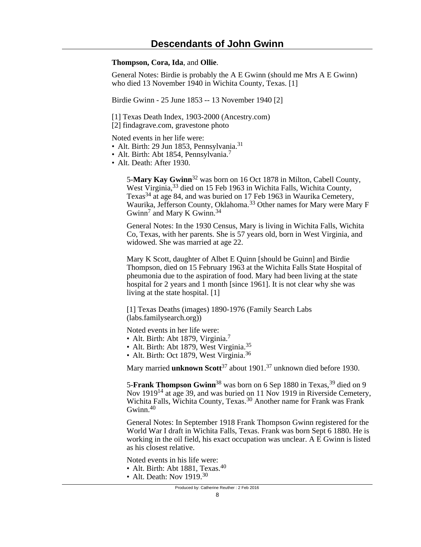**Thompson, Cora, Ida**, and **Ollie**.

General Notes: Birdie is probably the A E Gwinn (should me Mrs A E Gwinn) who died 13 November 1940 in Wichita County, Texas. [1]

Birdie Gwinn - 25 June 1853 -- 13 November 1940 [2]

[1] Texas Death Index, 1903-2000 (Ancestry.com)

[2] findagrave.com, gravestone photo

Noted events in her life were:

- Alt. Birth: 29 Jun 1853, Pennsylvania.<sup>31</sup>
- Alt. Birth: Abt 1854, Pennsylvania.<sup>7</sup>
- Alt. Death: After 1930.

5-**Mary Kay Gwinn**32 was born on 16 Oct 1878 in Milton, Cabell County, West Virginia,<sup>33</sup> died on 15 Feb 1963 in Wichita Falls, Wichita County, Texas<sup>34</sup> at age 84, and was buried on 17 Feb 1963 in Waurika Cemetery, Waurika, Jefferson County, Oklahoma.33 Other names for Mary were Mary F Gwinn<sup>7</sup> and Mary K Gwinn.<sup>34</sup>

General Notes: In the 1930 Census, Mary is living in Wichita Falls, Wichita Co, Texas, with her parents. She is 57 years old, born in West Virginia, and widowed. She was married at age 22.

Mary K Scott, daughter of Albet E Quinn [should be Guinn] and Birdie Thompson, died on 15 February 1963 at the Wichita Falls State Hospital of pheumonia due to the aspiration of food. Mary had been living at the state hospital for 2 years and 1 month [since 1961]. It is not clear why she was living at the state hospital. [1]

[1] Texas Deaths (images) 1890-1976 (Family Search Labs (labs.familysearch.org))

Noted events in her life were:

- Alt. Birth: Abt 1879, Virginia.<sup>7</sup>
- Alt. Birth: Abt 1879, West Virginia.<sup>35</sup>
- Alt. Birth: Oct 1879, West Virginia.<sup>36</sup>

Mary married **unknown Scott**37 about 1901.37 unknown died before 1930.

5-**Frank Thompson Gwinn**<sup>38</sup> was born on 6 Sep 1880 in Texas,<sup>39</sup> died on 9 Nov 1919<sup>14</sup> at age 39, and was buried on 11 Nov 1919 in Riverside Cemetery, Wichita Falls, Wichita County, Texas.<sup>30</sup> Another name for Frank was Frank  $Gwinn<sub>.40</sub>$ 

General Notes: In September 1918 Frank Thompson Gwinn registered for the World War I draft in Wichita Falls, Texas. Frank was born Sept 6 1880. He is working in the oil field, his exact occupation was unclear. A E Gwinn is listed as his closest relative.

Noted events in his life were:

- Alt. Birth: Abt 1881. Texas.<sup>40</sup>
- Alt. Death: Nov  $1919^{30}$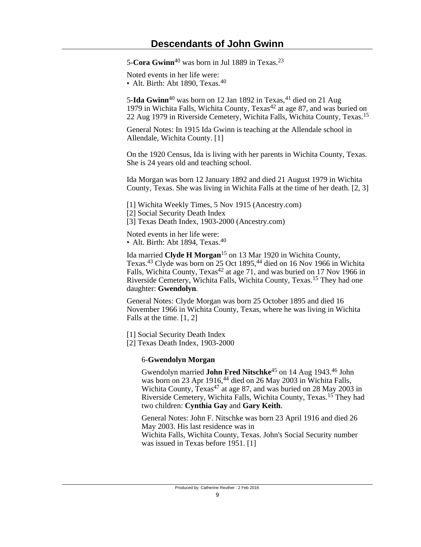5-**Cora Gwinn**40 was born in Jul 1889 in Texas.<sup>23</sup>

Noted events in her life were:

• Alt. Birth: Abt 1890, Texas.<sup>40</sup>

5-**Ida Gwinn**<sup>40</sup> was born on 12 Jan 1892 in Texas, <sup>41</sup> died on 21 Aug 1979 in Wichita Falls, Wichita County, Texas<sup>42</sup> at age 87, and was buried on 22 Aug 1979 in Riverside Cemetery, Wichita Falls, Wichita County, Texas.<sup>15</sup>

General Notes: In 1915 Ida Gwinn is teaching at the Allendale school in Allendale, Wichita County. [1]

On the 1920 Census, Ida is living with her parents in Wichita County, Texas. She is 24 years old and teaching school.

Ida Morgan was born 12 January 1892 and died 21 August 1979 in Wichita County, Texas. She was living in Wichita Falls at the time of her death. [2, 3]

[1] Wichita Weekly Times, 5 Nov 1915 (Ancestry.com)

[2] Social Security Death Index

[3] Texas Death Index, 1903-2000 (Ancestry.com)

Noted events in her life were: • Alt. Birth: Abt 1894, Texas.<sup>40</sup>

Ida married **Clyde H Morgan**15 on 13 Mar 1920 in Wichita County, Texas.43 Clyde was born on 25 Oct 1895,44 died on 16 Nov 1966 in Wichita Falls, Wichita County, Texas<sup>42</sup> at age 71, and was buried on 17 Nov 1966 in Riverside Cemetery, Wichita Falls, Wichita County, Texas.15 They had one daughter: **Gwendolyn**.

General Notes: Clyde Morgan was born 25 October 1895 and died 16 November 1966 in Wichita County, Texas, where he was living in Wichita Falls at the time. [1, 2]

[1] Social Security Death Index

[2] Texas Death Index, 1903-2000

## 6-**Gwendolyn Morgan**

Gwendolyn married **John Fred Nitschke**45 on 14 Aug 1943.46 John was born on 23 Apr 1916,<sup>44</sup> died on 26 May 2003 in Wichita Falls, Wichita County,  $T_{\rm exas}^{47}$  at age 87, and was buried on 28 May 2003 in Riverside Cemetery, Wichita Falls, Wichita County, Texas.15 They had two children: **Cynthia Gay** and **Gary Keith**.

General Notes: John F. Nitschke was born 23 April 1916 and died 26 May 2003. His last residence was in Wichita Falls, Wichita County, Texas. John's Social Security number was issued in Texas before 1951. [1]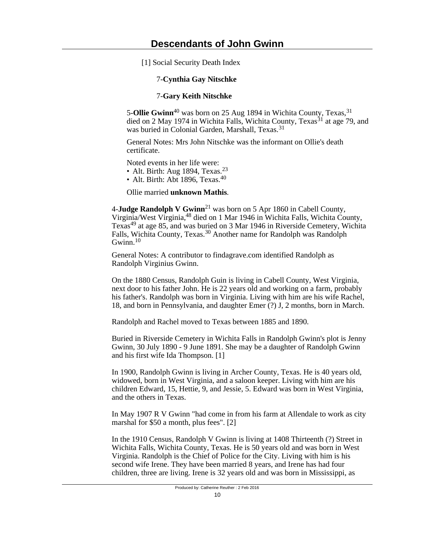[1] Social Security Death Index

## 7-**Cynthia Gay Nitschke**

## 7-**Gary Keith Nitschke**

5-**Ollie Gwinn**<sup>40</sup> was born on 25 Aug 1894 in Wichita County, Texas,<sup>31</sup> died on 2 May 1974 in Wichita Falls, Wichita County, Texas<sup>31</sup> at age 79, and was buried in Colonial Garden, Marshall, Texas.<sup>31</sup>

General Notes: Mrs John Nitschke was the informant on Ollie's death certificate.

Noted events in her life were:

• Alt. Birth: Aug 1894, Texas. $23$ 

• Alt. Birth: Abt 1896, Texas. $40$ 

Ollie married **unknown Mathis**.

4-**Judge Randolph V Gwinn**<sup>21</sup> was born on 5 Apr 1860 in Cabell County, Virginia/West Virginia,48 died on 1 Mar 1946 in Wichita Falls, Wichita County, Texas49 at age 85, and was buried on 3 Mar 1946 in Riverside Cemetery, Wichita Falls, Wichita County, Texas.<sup>30</sup> Another name for Randolph was Randolph Gwinn. $10$ 

General Notes: A contributor to findagrave.com identified Randolph as Randolph Virginius Gwinn.

On the 1880 Census, Randolph Guin is living in Cabell County, West Virginia, next door to his father John. He is 22 years old and working on a farm, probably his father's. Randolph was born in Virginia. Living with him are his wife Rachel, 18, and born in Pennsylvania, and daughter Emer (?) J, 2 months, born in March.

Randolph and Rachel moved to Texas between 1885 and 1890.

Buried in Riverside Cemetery in Wichita Falls in Randolph Gwinn's plot is Jenny Gwinn, 30 July 1890 - 9 June 1891. She may be a daughter of Randolph Gwinn and his first wife Ida Thompson. [1]

In 1900, Randolph Gwinn is living in Archer County, Texas. He is 40 years old, widowed, born in West Virginia, and a saloon keeper. Living with him are his children Edward, 15, Hettie, 9, and Jessie, 5. Edward was born in West Virginia, and the others in Texas.

In May 1907 R V Gwinn "had come in from his farm at Allendale to work as city marshal for \$50 a month, plus fees". [2]

In the 1910 Census, Randolph V Gwinn is living at 1408 Thirteenth (?) Street in Wichita Falls, Wichita County, Texas. He is 50 years old and was born in West Virginia. Randolph is the Chief of Police for the City. Living with him is his second wife Irene. They have been married 8 years, and Irene has had four children, three are living. Irene is 32 years old and was born in Mississippi, as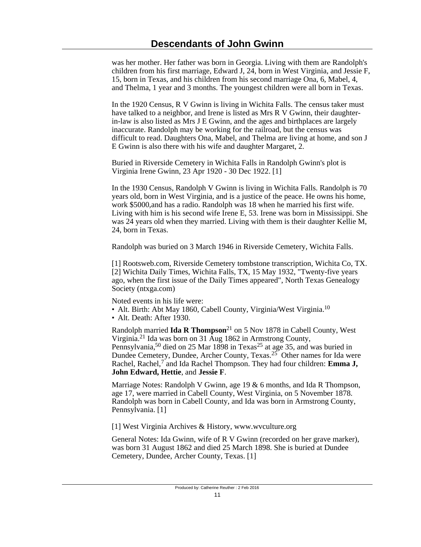was her mother. Her father was born in Georgia. Living with them are Randolph's children from his first marriage, Edward J, 24, born in West Virginia, and Jessie F, 15, born in Texas, and his children from his second marriage Ona, 6, Mabel, 4, and Thelma, 1 year and 3 months. The youngest children were all born in Texas.

In the 1920 Census, R V Gwinn is living in Wichita Falls. The census taker must have talked to a neighbor, and Irene is listed as Mrs R V Gwinn, their daughterin-law is also listed as Mrs J E Gwinn, and the ages and birthplaces are largely inaccurate. Randolph may be working for the railroad, but the census was difficult to read. Daughters Ona, Mabel, and Thelma are living at home, and son J E Gwinn is also there with his wife and daughter Margaret, 2.

Buried in Riverside Cemetery in Wichita Falls in Randolph Gwinn's plot is Virginia Irene Gwinn, 23 Apr 1920 - 30 Dec 1922. [1]

In the 1930 Census, Randolph V Gwinn is living in Wichita Falls. Randolph is 70 years old, born in West Virginia, and is a justice of the peace. He owns his home, work \$5000,and has a radio. Randolph was 18 when he married his first wife. Living with him is his second wife Irene E, 53. Irene was born in Mississippi. She was 24 years old when they married. Living with them is their daughter Kellie M, 24, born in Texas.

Randolph was buried on 3 March 1946 in Riverside Cemetery, Wichita Falls.

[1] Rootsweb.com, Riverside Cemetery tombstone transcription, Wichita Co, TX. [2] Wichita Daily Times, Wichita Falls, TX, 15 May 1932, "Twenty-five years ago, when the first issue of the Daily Times appeared", North Texas Genealogy Society (ntxga.com)

Noted events in his life were:

- Alt. Birth: Abt May 1860, Cabell County, Virginia/West Virginia.<sup>10</sup>
- Alt. Death: After 1930.

Randolph married **Ida R Thompson**21 on 5 Nov 1878 in Cabell County, West Virginia.21 Ida was born on 31 Aug 1862 in Armstrong County, Pennsylvania,<sup>50</sup> died on 25 Mar 1898 in Texas<sup>25</sup> at age 35, and was buried in Dundee Cemetery, Dundee, Archer County, Texas.<sup>25</sup> Other names for Ida were Rachel, Rachel,<sup>7</sup> and Ida Rachel Thompson. They had four children: Emma J, **John Edward, Hettie**, and **Jessie F**.

Marriage Notes: Randolph V Gwinn, age 19 & 6 months, and Ida R Thompson, age 17, were married in Cabell County, West Virginia, on 5 November 1878. Randolph was born in Cabell County, and Ida was born in Armstrong County, Pennsylvania. [1]

[1] West Virginia Archives & History, www.wvculture.org

General Notes: Ida Gwinn, wife of R V Gwinn (recorded on her grave marker), was born 31 August 1862 and died 25 March 1898. She is buried at Dundee Cemetery, Dundee, Archer County, Texas. [1]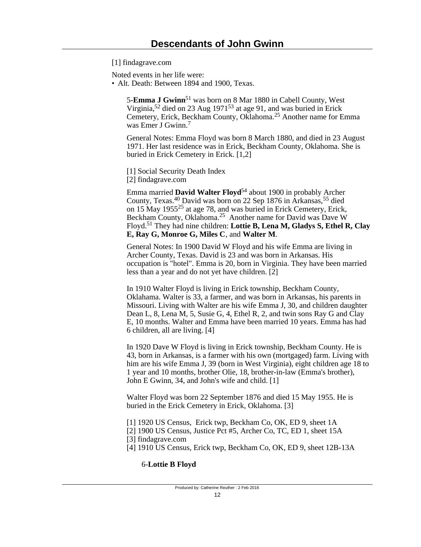[1] findagrave.com

Noted events in her life were:

• Alt. Death: Between 1894 and 1900, Texas.

5-**Emma J Gwinn**51 was born on 8 Mar 1880 in Cabell County, West Virginia,52 died on 23 Aug 197153 at age 91, and was buried in Erick Cemetery, Erick, Beckham County, Oklahoma.25 Another name for Emma was Emer J Gwinn.<sup>7</sup>

General Notes: Emma Floyd was born 8 March 1880, and died in 23 August 1971. Her last residence was in Erick, Beckham County, Oklahoma. She is buried in Erick Cemetery in Erick. [1,2]

[1] Social Security Death Index

[2] findagrave.com

Emma married **David Walter Floyd**54 about 1900 in probably Archer County, Texas.40 David was born on 22 Sep 1876 in Arkansas,55 died on 15 May 195525 at age 78, and was buried in Erick Cemetery, Erick, Beckham County, Oklahoma.<sup>25</sup> Another name for David was Dave W Floyd.51 They had nine children: **Lottie B, Lena M, Gladys S, Ethel R, Clay E, Ray G, Monroe G, Miles C**, and **Walter M**.

General Notes: In 1900 David W Floyd and his wife Emma are living in Archer County, Texas. David is 23 and was born in Arkansas. His occupation is "hotel". Emma is 20, born in Virginia. They have been married less than a year and do not yet have children. [2]

In 1910 Walter Floyd is living in Erick township, Beckham County, Oklahama. Walter is 33, a farmer, and was born in Arkansas, his parents in Missouri. Living with Walter are his wife Emma J, 30, and children daughter Dean L, 8, Lena M, 5, Susie G, 4, Ethel R, 2, and twin sons Ray G and Clay E, 10 months. Walter and Emma have been married 10 years. Emma has had 6 children, all are living. [4]

In 1920 Dave W Floyd is living in Erick township, Beckham County. He is 43, born in Arkansas, is a farmer with his own (mortgaged) farm. Living with him are his wife Emma J, 39 (born in West Virginia), eight children age 18 to 1 year and 10 months, brother Olie, 18, brother-in-law (Emma's brother), John E Gwinn, 34, and John's wife and child. [1]

Walter Floyd was born 22 September 1876 and died 15 May 1955. He is buried in the Erick Cemetery in Erick, Oklahoma. [3]

[1] 1920 US Census, Erick twp, Beckham Co, OK, ED 9, sheet 1A

[2] 1900 US Census, Justice Pct #5, Archer Co, TC, ED 1, sheet 15A

[3] findagrave.com

[4] 1910 US Census, Erick twp, Beckham Co, OK, ED 9, sheet 12B-13A

## 6-**Lottie B Floyd**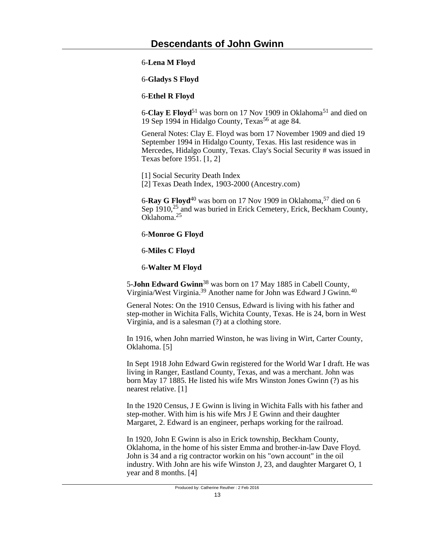6-**Lena M Floyd**

6-**Gladys S Floyd**

6-**Ethel R Floyd**

6-**Clay E Floyd**51 was born on 17 Nov 1909 in Oklahoma51 and died on 19 Sep 1994 in Hidalgo County, Texas56 at age 84.

General Notes: Clay E. Floyd was born 17 November 1909 and died 19 September 1994 in Hidalgo County, Texas. His last residence was in Mercedes, Hidalgo County, Texas. Clay's Social Security # was issued in Texas before 1951. [1, 2]

[1] Social Security Death Index [2] Texas Death Index, 1903-2000 (Ancestry.com)

6-**Ray G Floyd**<sup>40</sup> was born on 17 Nov 1909 in Oklahoma,<sup>57</sup> died on 6 Sep 1910,<sup>25</sup> and was buried in Erick Cemetery, Erick, Beckham County, Oklahoma.<sup>25</sup>

6-**Monroe G Floyd**

6-**Miles C Floyd**

6-**Walter M Floyd**

5-**John Edward Gwinn**38 was born on 17 May 1885 in Cabell County, Virginia/West Virginia.39 Another name for John was Edward J Gwinn.<sup>40</sup>

General Notes: On the 1910 Census, Edward is living with his father and step-mother in Wichita Falls, Wichita County, Texas. He is 24, born in West Virginia, and is a salesman (?) at a clothing store.

In 1916, when John married Winston, he was living in Wirt, Carter County, Oklahoma. [5]

In Sept 1918 John Edward Gwin registered for the World War I draft. He was living in Ranger, Eastland County, Texas, and was a merchant. John was born May 17 1885. He listed his wife Mrs Winston Jones Gwinn (?) as his nearest relative. [1]

In the 1920 Census, J E Gwinn is living in Wichita Falls with his father and step-mother. With him is his wife Mrs J E Gwinn and their daughter Margaret, 2. Edward is an engineer, perhaps working for the railroad.

In 1920, John E Gwinn is also in Erick township, Beckham County, Oklahoma, in the home of his sister Emma and brother-in-law Dave Floyd. John is 34 and a rig contractor workin on his "own account" in the oil industry. With John are his wife Winston J, 23, and daughter Margaret O, 1 year and 8 months. [4]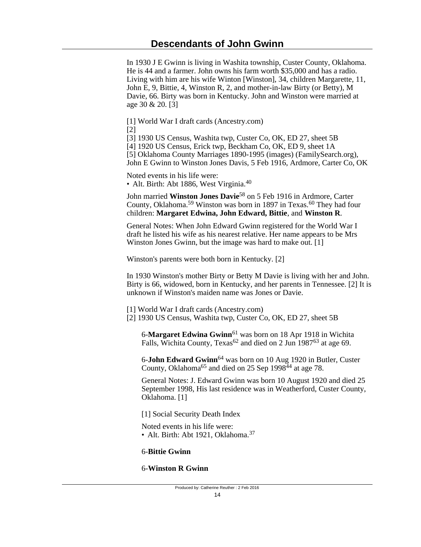In 1930 J E Gwinn is living in Washita township, Custer County, Oklahoma. He is 44 and a farmer. John owns his farm worth \$35,000 and has a radio. Living with him are his wife Winton [Winston], 34, children Margarette, 11, John E, 9, Bittie, 4, Winston R, 2, and mother-in-law Birty (or Betty), M Davie, 66. Birty was born in Kentucky. John and Winston were married at age 30 & 20. [3]

[1] World War I draft cards (Ancestry.com)

[2]

[3] 1930 US Census, Washita twp, Custer Co, OK, ED 27, sheet 5B

[4] 1920 US Census, Erick twp, Beckham Co, OK, ED 9, sheet 1A

[5] Oklahoma County Marriages 1890-1995 (images) (FamilySearch.org),

John E Gwinn to Winston Jones Davis, 5 Feb 1916, Ardmore, Carter Co, OK

Noted events in his life were:

• Alt. Birth: Abt 1886, West Virginia.<sup>40</sup>

John married **Winston Jones Davie**58 on 5 Feb 1916 in Ardmore, Carter County, Oklahoma.<sup>59</sup> Winston was born in 1897 in Texas.<sup>60</sup> They had four children: **Margaret Edwina, John Edward, Bittie**, and **Winston R**.

General Notes: When John Edward Gwinn registered for the World War I draft he listed his wife as his nearest relative. Her name appears to be Mrs Winston Jones Gwinn, but the image was hard to make out. [1]

Winston's parents were both born in Kentucky. [2]

In 1930 Winston's mother Birty or Betty M Davie is living with her and John. Birty is 66, widowed, born in Kentucky, and her parents in Tennessee. [2] It is unknown if Winston's maiden name was Jones or Davie.

[1] World War I draft cards (Ancestry.com)

[2] 1930 US Census, Washita twp, Custer Co, OK, ED 27, sheet 5B

6-**Margaret Edwina Gwinn**61 was born on 18 Apr 1918 in Wichita Falls, Wichita County, Texas<sup>62</sup> and died on 2 Jun 1987<sup>63</sup> at age 69.

6-**John Edward Gwinn**64 was born on 10 Aug 1920 in Butler, Custer County, Oklahoma<sup>65</sup> and died on 25 Sep 1998 $^{44}$  at age 78.

General Notes: J. Edward Gwinn was born 10 August 1920 and died 25 September 1998, His last residence was in Weatherford, Custer County, Oklahoma. [1]

[1] Social Security Death Index

Noted events in his life were: • Alt. Birth: Abt 1921, Oklahoma.<sup>37</sup>

6-**Bittie Gwinn**

6-**Winston R Gwinn**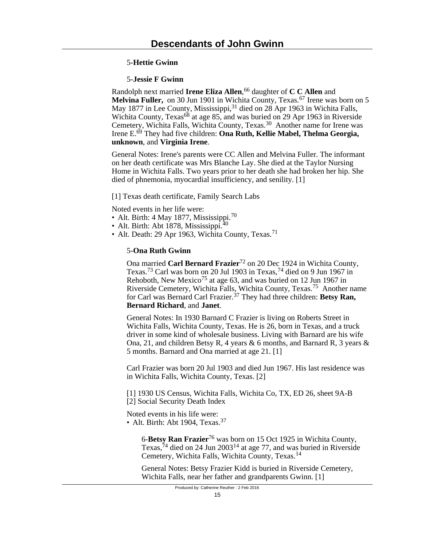## 5-**Hettie Gwinn**

### 5-**Jessie F Gwinn**

Randolph next married **Irene Eliza Allen**, <sup>66</sup> daughter of **C C Allen** and **Melvina Fuller,** on 30 Jun 1901 in Wichita County, Texas.<sup>67</sup> Irene was born on 5 May 1877 in Lee County, Mississippi,<sup>31</sup> died on 28 Apr 1963 in Wichita Falls, Wichita County, Texas<sup>68</sup> at age 85, and was buried on 29 Apr 1963 in Riverside Cemetery, Wichita Falls, Wichita County, Texas.30 Another name for Irene was Irene E.69 They had five children: **Ona Ruth, Kellie Mabel, Thelma Georgia, unknown**, and **Virginia Irene**.

General Notes: Irene's parents were CC Allen and Melvina Fuller. The informant on her death certificate was Mrs Blanche Lay. She died at the Taylor Nursing Home in Wichita Falls. Two years prior to her death she had broken her hip. She died of phnemonia, myocardial insufficiency, and senility. [1]

[1] Texas death certificate, Family Search Labs

Noted events in her life were:

- Alt. Birth: 4 May 1877, Mississippi.<sup>70</sup>
- Alt. Birth: Abt 1878, Mississippi. $40$
- Alt. Death: 29 Apr 1963, Wichita County, Texas.<sup>71</sup>

#### 5-**Ona Ruth Gwinn**

Ona married **Carl Bernard Frazier**72 on 20 Dec 1924 in Wichita County, Texas.73 Carl was born on 20 Jul 1903 in Texas,74 died on 9 Jun 1967 in Rehoboth, New Mexico<sup>75</sup> at age 63, and was buried on 12 Jun 1967 in Riverside Cemetery, Wichita Falls, Wichita County, Texas.75 Another name for Carl was Bernard Carl Frazier.<sup>37</sup> They had three children: Betsy Ran, **Bernard Richard**, and **Janet**.

General Notes: In 1930 Barnard C Frazier is living on Roberts Street in Wichita Falls, Wichita County, Texas. He is 26, born in Texas, and a truck driver in some kind of wholesale business. Living with Barnard are his wife Ona, 21, and children Betsy R, 4 years & 6 months, and Barnard R, 3 years & 5 months. Barnard and Ona married at age 21. [1]

Carl Frazier was born 20 Jul 1903 and died Jun 1967. His last residence was in Wichita Falls, Wichita County, Texas. [2]

[1] 1930 US Census, Wichita Falls, Wichita Co, TX, ED 26, sheet 9A-B [2] Social Security Death Index

Noted events in his life were:

• Alt. Birth: Abt 1904, Texas.<sup>37</sup>

6-**Betsy Ran Frazier**76 was born on 15 Oct 1925 in Wichita County, Texas,  $^{74}$  died on 24 Jun 2003<sup>14</sup> at age 77, and was buried in Riverside Cemetery, Wichita Falls, Wichita County, Texas.<sup>14</sup>

General Notes: Betsy Frazier Kidd is buried in Riverside Cemetery, Wichita Falls, near her father and grandparents Gwinn. [1]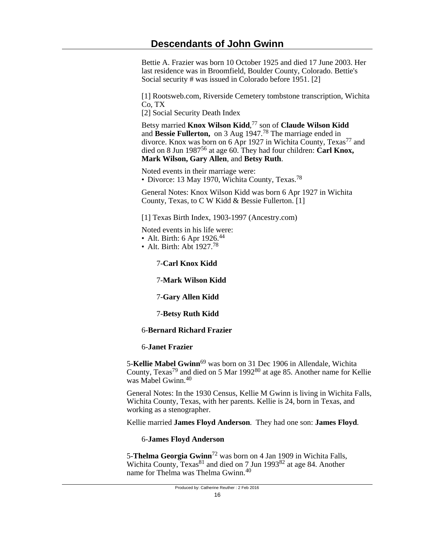Bettie A. Frazier was born 10 October 1925 and died 17 June 2003. Her last residence was in Broomfield, Boulder County, Colorado. Bettie's Social security # was issued in Colorado before 1951. [2]

[1] Rootsweb.com, Riverside Cemetery tombstone transcription, Wichita Co, TX

[2] Social Security Death Index

Betsy married **Knox Wilson Kidd**, <sup>77</sup> son of **Claude Wilson Kidd** and **Bessie Fullerton,** on 3 Aug 1947.78 The marriage ended in divorce. Knox was born on 6 Apr 1927 in Wichita County, Texas<sup>77</sup> and died on 8 Jun 198756 at age 60. They had four children: **Carl Knox, Mark Wilson, Gary Allen**, and **Betsy Ruth**.

Noted events in their marriage were: • Divorce: 13 May 1970, Wichita County, Texas.<sup>78</sup>

General Notes: Knox Wilson Kidd was born 6 Apr 1927 in Wichita County, Texas, to C W Kidd & Bessie Fullerton. [1]

[1] Texas Birth Index, 1903-1997 (Ancestry.com)

Noted events in his life were:

- Alt. Birth: 6 Apr  $1926.^{44}$
- Alt. Birth: Abt 1927.<sup>78</sup>

# 7-**Carl Knox Kidd**

7-**Mark Wilson Kidd**

- 7-**Gary Allen Kidd**
- 7-**Betsy Ruth Kidd**

## 6-**Bernard Richard Frazier**

## 6-**Janet Frazier**

5-**Kellie Mabel Gwinn**69 was born on 31 Dec 1906 in Allendale, Wichita County, Texas79 and died on 5 Mar 199280 at age 85. Another name for Kellie was Mabel Gwinn.<sup>40</sup>

General Notes: In the 1930 Census, Kellie M Gwinn is living in Wichita Falls, Wichita County, Texas, with her parents. Kellie is 24, born in Texas, and working as a stenographer.

Kellie married **James Floyd Anderson**. They had one son: **James Floyd**.

## 6-**James Floyd Anderson**

5-**Thelma Georgia Gwinn**72 was born on 4 Jan 1909 in Wichita Falls, Wichita County, Texas<sup>81</sup> and died on 7 Jun 1993<sup>82</sup> at age 84. Another name for Thelma was Thelma Gwinn.<sup>40</sup>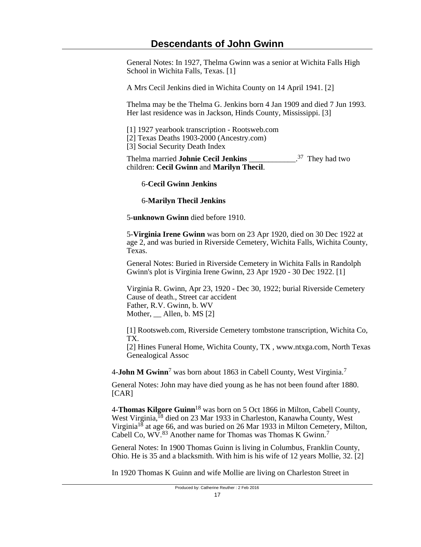General Notes: In 1927, Thelma Gwinn was a senior at Wichita Falls High School in Wichita Falls, Texas. [1]

A Mrs Cecil Jenkins died in Wichita County on 14 April 1941. [2]

Thelma may be the Thelma G. Jenkins born 4 Jan 1909 and died 7 Jun 1993. Her last residence was in Jackson, Hinds County, Mississippi. [3]

[1] 1927 yearbook transcription - Rootsweb.com

[2] Texas Deaths 1903-2000 (Ancestry.com)

[3] Social Security Death Index

Thelma married **Johnie Cecil Jenkins** \_\_\_\_\_\_\_\_\_\_\_\_.  $37$  They had two children: **Cecil Gwinn** and **Marilyn Thecil**.

### 6-**Cecil Gwinn Jenkins**

6-**Marilyn Thecil Jenkins**

5-**unknown Gwinn** died before 1910.

5-**Virginia Irene Gwinn** was born on 23 Apr 1920, died on 30 Dec 1922 at age 2, and was buried in Riverside Cemetery, Wichita Falls, Wichita County, Texas.

General Notes: Buried in Riverside Cemetery in Wichita Falls in Randolph Gwinn's plot is Virginia Irene Gwinn, 23 Apr 1920 - 30 Dec 1922. [1]

Virginia R. Gwinn, Apr 23, 1920 - Dec 30, 1922; burial Riverside Cemetery Cause of death., Street car accident Father, R.V. Gwinn, b. WV Mother, Allen, b. MS [2]

[1] Rootsweb.com, Riverside Cemetery tombstone transcription, Wichita Co, TX.

[2] Hines Funeral Home, Wichita County, TX , www.ntxga.com, North Texas Genealogical Assoc

4-**John M Gwinn**<sup>7</sup> was born about 1863 in Cabell County, West Virginia.<sup>7</sup>

General Notes: John may have died young as he has not been found after 1880. [CAR]

4-**Thomas Kilgore Guinn**18 was born on 5 Oct 1866 in Milton, Cabell County, West Virginia,<sup>18</sup> died on 23 Mar 1933 in Charleston, Kanawha County, West Virginia<sup>18</sup> at age 66, and was buried on 26 Mar 1933 in Milton Cemetery, Milton, Cabell Co, WV.<sup>83</sup> Another name for Thomas was Thomas K Gwinn.<sup>7</sup>

General Notes: In 1900 Thomas Guinn is living in Columbus, Franklin County, Ohio. He is 35 and a blacksmith. With him is his wife of 12 years Mollie, 32. [2]

In 1920 Thomas K Guinn and wife Mollie are living on Charleston Street in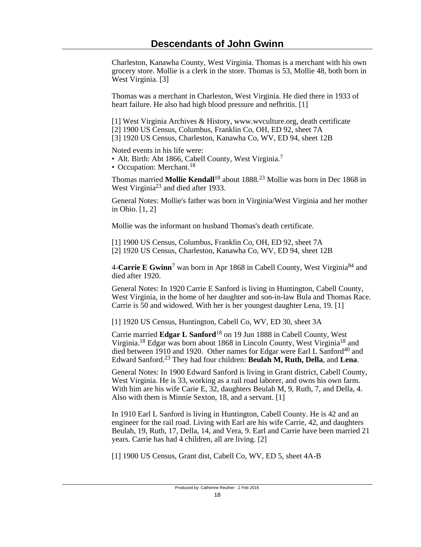Charleston, Kanawha County, West Virginia. Thomas is a merchant with his own grocery store. Mollie is a clerk in the store. Thomas is 53, Mollie 48, both born in West Virginia. [3]

Thomas was a merchant in Charleston, West Virginia. He died there in 1933 of heart failure. He also had high blood pressure and nefhritis. [1]

[1] West Virginia Archives & History, www.wvculture.org, death certificate

[2] 1900 US Census, Columbus, Franklin Co, OH, ED 92, sheet 7A

[3] 1920 US Census, Charleston, Kanawha Co, WV, ED 94, sheet 12B

Noted events in his life were:

• Alt. Birth: Abt 1866, Cabell County, West Virginia.<sup>7</sup>

• Occupation: Merchant.<sup>18</sup>

Thomas married **Mollie Kendall**18 about 1888.23 Mollie was born in Dec 1868 in West Virginia<sup>23</sup> and died after 1933.

General Notes: Mollie's father was born in Virginia/West Virginia and her mother in Ohio. [1, 2]

Mollie was the informant on husband Thomas's death certificate.

[1] 1900 US Census, Columbus, Franklin Co, OH, ED 92, sheet 7A [2] 1920 US Census, Charleston, Kanawha Co, WV, ED 94, sheet 12B

4-**Carrie E Gwinn**<sup>7</sup> was born in Apr 1868 in Cabell County, West Virginia<sup>84</sup> and died after 1920.

General Notes: In 1920 Carrie E Sanford is living in Huntington, Cabell County, West Virginia, in the home of her daughter and son-in-law Bula and Thomas Race. Carrie is 50 and widowed. With her is her youngest daughter Lena, 19. [1]

[1] 1920 US Census, Huntington, Cabell Co, WV, ED 30, sheet 3A

Carrie married **Edgar L Sanford**18 on 19 Jun 1888 in Cabell County, West Virginia.18 Edgar was born about 1868 in Lincoln County, West Virginia18 and died between  $\overline{1910}$  and  $1920$ . Other names for Edgar were Earl L Sanford<sup>40</sup> and Edward Sanford.23 They had four children: **Beulah M, Ruth, Della**, and **Lena**.

General Notes: In 1900 Edward Sanford is living in Grant district, Cabell County, West Virginia. He is 33, working as a rail road laborer, and owns his own farm. With him are his wife Carie E, 32, daughters Beulah M, 9, Ruth, 7, and Della, 4. Also with them is Minnie Sexton, 18, and a servant. [1]

In 1910 Earl L Sanford is living in Huntington, Cabell County. He is 42 and an engineer for the rail road. Living with Earl are his wife Carrie, 42, and daughters Beulah, 19, Ruth, 17, Della, 14, and Vera, 9. Earl and Carrie have been married 21 years. Carrie has had 4 children, all are living. [2]

[1] 1900 US Census, Grant dist, Cabell Co, WV, ED 5, sheet 4A-B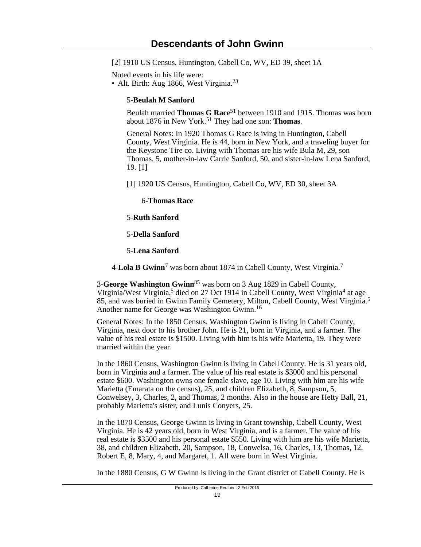[2] 1910 US Census, Huntington, Cabell Co, WV, ED 39, sheet 1A

Noted events in his life were:

• Alt. Birth: Aug 1866, West Virginia.<sup>23</sup>

## 5-**Beulah M Sanford**

Beulah married **Thomas G Race**51 between 1910 and 1915. Thomas was born about 1876 in New York.51 They had one son: **Thomas**.

General Notes: In 1920 Thomas G Race is iving in Huntington, Cabell County, West Virginia. He is 44, born in New York, and a traveling buyer for the Keystone Tire co. Living with Thomas are his wife Bula M, 29, son Thomas, 5, mother-in-law Carrie Sanford, 50, and sister-in-law Lena Sanford, 19. [1]

[1] 1920 US Census, Huntington, Cabell Co, WV, ED 30, sheet 3A

6-**Thomas Race**

5-**Ruth Sanford**

5-**Della Sanford**

5-**Lena Sanford**

4-**Lola B Gwinn**<sup>7</sup> was born about 1874 in Cabell County, West Virginia.<sup>7</sup>

3-**George Washington Gwinn**85 was born on 3 Aug 1829 in Cabell County, Virginia/West Virginia,<sup>5</sup> died on 27 Oct 1914 in Cabell County, West Virginia<sup>4</sup> at age 85, and was buried in Gwinn Family Cemetery, Milton, Cabell County, West Virginia.<sup>5</sup> Another name for George was Washington Gwinn.<sup>16</sup>

General Notes: In the 1850 Census, Washington Gwinn is living in Cabell County, Virginia, next door to his brother John. He is 21, born in Virginia, and a farmer. The value of his real estate is \$1500. Living with him is his wife Marietta, 19. They were married within the year.

In the 1860 Census, Washington Gwinn is living in Cabell County. He is 31 years old, born in Virginia and a farmer. The value of his real estate is \$3000 and his personal estate \$600. Washington owns one female slave, age 10. Living with him are his wife Marietta (Emarata on the census), 25, and children Elizabeth, 8, Sampson, 5, Conwelsey, 3, Charles, 2, and Thomas, 2 months. Also in the house are Hetty Ball, 21, probably Marietta's sister, and Lunis Conyers, 25.

In the 1870 Census, George Gwinn is living in Grant township, Cabell County, West Virginia. He is 42 years old, born in West Virginia, and is a farmer. The value of his real estate is \$3500 and his personal estate \$550. Living with him are his wife Marietta, 38, and children Elizabeth, 20, Sampson, 18, Conwelsa, 16, Charles, 13, Thomas, 12, Robert E, 8, Mary, 4, and Margaret, 1. All were born in West Virginia.

In the 1880 Census, G W Gwinn is living in the Grant district of Cabell County. He is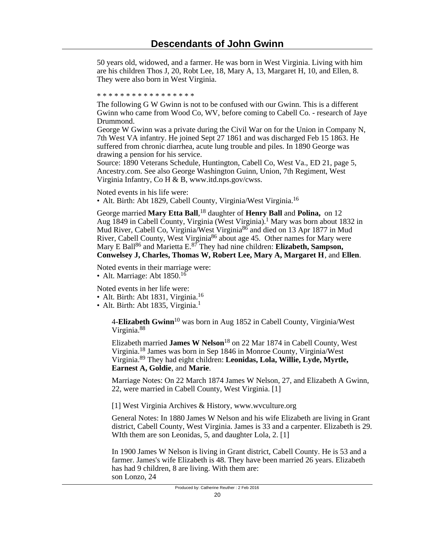50 years old, widowed, and a farmer. He was born in West Virginia. Living with him are his children Thos J, 20, Robt Lee, 18, Mary A, 13, Margaret H, 10, and Ellen, 8. They were also born in West Virginia.

\* \* \* \* \* \* \* \* \* \* \* \* \* \* \* \* \*

The following G W Gwinn is not to be confused with our Gwinn. This is a different Gwinn who came from Wood Co, WV, before coming to Cabell Co. - research of Jaye Drummond.

George W Gwinn was a private during the Civil War on for the Union in Company N, 7th West VA infantry. He joined Sept 27 1861 and was discharged Feb 15 1863. He suffered from chronic diarrhea, acute lung trouble and piles. In 1890 George was drawing a pension for his service.

Source: 1890 Veterans Schedule, Huntington, Cabell Co, West Va., ED 21, page 5, Ancestry.com. See also George Washington Guinn, Union, 7th Regiment, West Virginia Infantry, Co H & B, www.itd.nps.gov/cwss.

Noted events in his life were:

• Alt. Birth: Abt 1829, Cabell County, Virginia/West Virginia.<sup>16</sup>

George married **Mary Etta Ball**, <sup>18</sup> daughter of **Henry Ball** and **Polina,** on 12 Aug 1849 in Cabell County, Virginia (West Virginia).<sup>1</sup> Mary was born about 1832 in Mud River, Cabell Co, Virginia/West Virginia<sup>86</sup> and died on 13 Apr 1877 in Mud River, Cabell County, West Virginia<sup>86</sup> about age 45. Other names for Mary were Mary E Ball86 and Marietta E.87 They had nine children: **Elizabeth, Sampson, Conwelsey J, Charles, Thomas W, Robert Lee, Mary A, Margaret H**, and **Ellen**.

Noted events in their marriage were: • Alt. Marriage: Abt  $1850^{16}$ 

Noted events in her life were:

- Alt. Birth: Abt 1831, Virginia.<sup>16</sup>
- Alt. Birth: Abt 1835, Virginia. $<sup>1</sup>$ </sup>

4-**Elizabeth Gwinn**10 was born in Aug 1852 in Cabell County, Virginia/West Virginia.<sup>88</sup>

Elizabeth married **James W Nelson**18 on 22 Mar 1874 in Cabell County, West Virginia.18 James was born in Sep 1846 in Monroe County, Virginia/West Virginia.89 They had eight children: **Leonidas, Lola, Willie, Lyde, Myrtle, Earnest A, Goldie**, and **Marie**.

Marriage Notes: On 22 March 1874 James W Nelson, 27, and Elizabeth A Gwinn, 22, were married in Cabell County, West Virginia. [1]

[1] West Virginia Archives & History, www.wvculture.org

General Notes: In 1880 James W Nelson and his wife Elizabeth are living in Grant district, Cabell County, West Virginia. James is 33 and a carpenter. Elizabeth is 29. WIth them are son Leonidas, 5, and daughter Lola, 2. [1]

In 1900 James W Nelson is living in Grant district, Cabell County. He is 53 and a farmer. James's wife Elizabeth is 48. They have been married 26 years. Elizabeth has had 9 children, 8 are living. With them are: son Lonzo, 24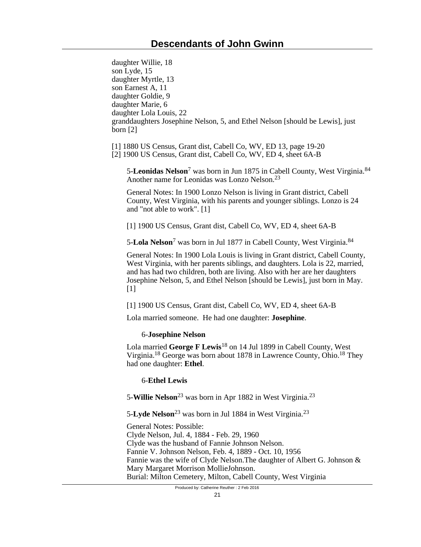daughter Willie, 18 son Lyde, 15 daughter Myrtle, 13 son Earnest A, 11 daughter Goldie, 9 daughter Marie, 6 daughter Lola Louis, 22 granddaughters Josephine Nelson, 5, and Ethel Nelson [should be Lewis], just born [2]

[1] 1880 US Census, Grant dist, Cabell Co, WV, ED 13, page 19-20

[2] 1900 US Census, Grant dist, Cabell Co, WV, ED 4, sheet 6A-B

5-**Leonidas Nelson**<sup>7</sup> was born in Jun 1875 in Cabell County, West Virginia.<sup>84</sup> Another name for Leonidas was Lonzo Nelson.<sup>23</sup>

General Notes: In 1900 Lonzo Nelson is living in Grant district, Cabell County, West Virginia, with his parents and younger siblings. Lonzo is 24 and "not able to work". [1]

[1] 1900 US Census, Grant dist, Cabell Co, WV, ED 4, sheet 6A-B

5-**Lola Nelson**<sup>7</sup> was born in Jul 1877 in Cabell County, West Virginia.<sup>84</sup>

General Notes: In 1900 Lola Louis is living in Grant district, Cabell County, West Virginia, with her parents siblings, and daughters. Lola is 22, married, and has had two children, both are living. Also with her are her daughters Josephine Nelson, 5, and Ethel Nelson [should be Lewis], just born in May.  $[1]$ 

[1] 1900 US Census, Grant dist, Cabell Co, WV, ED 4, sheet 6A-B

Lola married someone. He had one daughter: **Josephine**.

## 6-**Josephine Nelson**

Lola married **George F Lewis**18 on 14 Jul 1899 in Cabell County, West Virginia.18 George was born about 1878 in Lawrence County, Ohio.18 They had one daughter: **Ethel**.

## 6-**Ethel Lewis**

5-**Willie Nelson**23 was born in Apr 1882 in West Virginia.<sup>23</sup>

5-**Lyde Nelson**23 was born in Jul 1884 in West Virginia.<sup>23</sup>

General Notes: Possible: Clyde Nelson, Jul. 4, 1884 - Feb. 29, 1960 Clyde was the husband of Fannie Johnson Nelson. Fannie V. Johnson Nelson, Feb. 4, 1889 - Oct. 10, 1956 Fannie was the wife of Clyde Nelson.The daughter of Albert G. Johnson & Mary Margaret Morrison MollieJohnson. Burial: Milton Cemetery, Milton, Cabell County, West Virginia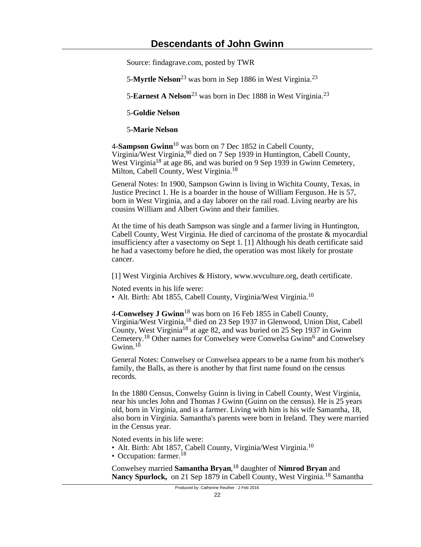Source: findagrave.com, posted by TWR

5-**Myrtle Nelson**<sup>23</sup> was born in Sep 1886 in West Virginia.<sup>23</sup>

5-**Earnest A Nelson**<sup>23</sup> was born in Dec 1888 in West Virginia.<sup>23</sup>

5-**Goldie Nelson**

5-**Marie Nelson**

4-**Sampson Gwinn**10 was born on 7 Dec 1852 in Cabell County, Virginia/West Virginia,<sup>90</sup> died on 7 Sep 1939 in Huntington, Cabell County, West Virginia<sup>18</sup> at age 86, and was buried on 9 Sep 1939 in Gwinn Cemetery, Milton, Cabell County, West Virginia.<sup>18</sup>

General Notes: In 1900, Sampson Gwinn is living in Wichita County, Texas, in Justice Precinct 1. He is a boarder in the house of William Ferguson. He is 57, born in West Virginia, and a day laborer on the rail road. Living nearby are his cousins William and Albert Gwinn and their families.

At the time of his death Sampson was single and a farmer living in Huntington, Cabell County, West Virginia. He died of carcinoma of the prostate & myocardial insufficiency after a vasectomy on Sept 1. [1] Although his death certificate said he had a vasectomy before he died, the operation was most likely for prostate cancer.

[1] West Virginia Archives & History, www.wvculture.org, death certificate.

Noted events in his life were:

• Alt. Birth: Abt 1855, Cabell County, Virginia/West Virginia.<sup>10</sup>

4-**Conwelsey J Gwinn**18 was born on 16 Feb 1855 in Cabell County, Virginia/West Virginia,18 died on 23 Sep 1937 in Glenwood, Union Dist, Cabell County, West Virginia<sup>18</sup> at age 82, and was buried on 25 Sep 1937 in Gwinn Cemetery.<sup>18</sup> Other names for Conwelsey were Conwelsa Gwinn<sup>6</sup> and Conwelsey Gwinn. $10$ 

General Notes: Conwelsey or Conwelsea appears to be a name from his mother's family, the Balls, as there is another by that first name found on the census records.

In the 1880 Census, Conwelsy Guinn is living in Cabell County, West Virginia, near his uncles John and Thomas J Gwinn (Guinn on the census). He is 25 years old, born in Virginia, and is a farmer. Living with him is his wife Samantha, 18, also born in Virginia. Samantha's parents were born in Ireland. They were married in the Census year.

Noted events in his life were:

• Alt. Birth: Abt 1857, Cabell County, Virginia/West Virginia.<sup>10</sup>

• Occupation: farmer.<sup>18</sup>

Conwelsey married **Samantha Bryan**, <sup>18</sup> daughter of **Nimrod Bryan** and **Nancy Spurlock,** on 21 Sep 1879 in Cabell County, West Virginia.18 Samantha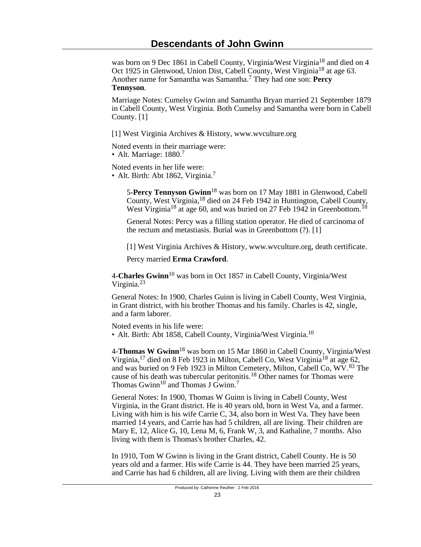was born on 9 Dec 1861 in Cabell County, Virginia/West Virginia<sup>18</sup> and died on 4 Oct 1925 in Glenwood, Union Dist, Cabell County, West Virginia<sup>18</sup> at age 63. Another name for Samantha was Samantha.<sup>7</sup> They had one son: **Percy Tennyson**.

Marriage Notes: Cumelsy Gwinn and Samantha Bryan married 21 September 1879 in Cabell County, West Virginia. Both Cumelsy and Samantha were born in Cabell County. [1]

[1] West Virginia Archives & History, www.wvculture.org

Noted events in their marriage were:

• Alt. Marriage:  $1880.<sup>7</sup>$ 

Noted events in her life were:

• Alt. Birth: Abt 1862, Virginia.<sup>7</sup>

5-**Percy Tennyson Gwinn**18 was born on 17 May 1881 in Glenwood, Cabell County, West Virginia,18 died on 24 Feb 1942 in Huntington, Cabell County, West Virginia<sup>18</sup> at age 60, and was buried on 27 Feb 1942 in Greenbottom.<sup>18</sup>

General Notes: Percy was a filling station operator. He died of carcinoma of the rectum and metastiasis. Burial was in Greenbottom (?). [1]

[1] West Virginia Archives & History, www.wvculture.org, death certificate.

Percy married **Erma Crawford**.

4-**Charles Gwinn**10 was born in Oct 1857 in Cabell County, Virginia/West Virginia.<sup>23</sup>

General Notes: In 1900, Charles Guinn is living in Cabell County, West Virginia, in Grant district, with his brother Thomas and his family. Charles is 42, single, and a farm laborer.

Noted events in his life were:

• Alt. Birth: Abt 1858, Cabell County, Virginia/West Virginia.<sup>10</sup>

4-**Thomas W Gwinn**18 was born on 15 Mar 1860 in Cabell County, Virginia/West Virginia,  $^{17}$  died on 8 Feb 1923 in Milton, Cabell Co, West Virginia<sup>18</sup> at age 62, and was buried on 9 Feb 1923 in Milton Cemetery, Milton, Cabell Co, WV.83 The cause of his death was tubercular peritonitis.18 Other names for Thomas were Thomas Gwinn<sup>10</sup> and Thomas J Gwinn.<sup>7</sup>

General Notes: In 1900, Thomas W Guinn is living in Cabell County, West Virginia, in the Grant district. He is 40 years old, born in West Va, and a farmer. Living with him is his wife Carrie C, 34, also born in West Va. They have been married 14 years, and Carrie has had 5 children, all are living. Their children are Mary E, 12, Alice G, 10, Lena M, 6, Frank W, 3, and Kathaline, 7 months. Also living with them is Thomas's brother Charles, 42.

In 1910, Tom W Gwinn is living in the Grant district, Cabell County. He is 50 years old and a farmer. His wife Carrie is 44. They have been married 25 years, and Carrie has had 6 children, all are living. Living with them are their children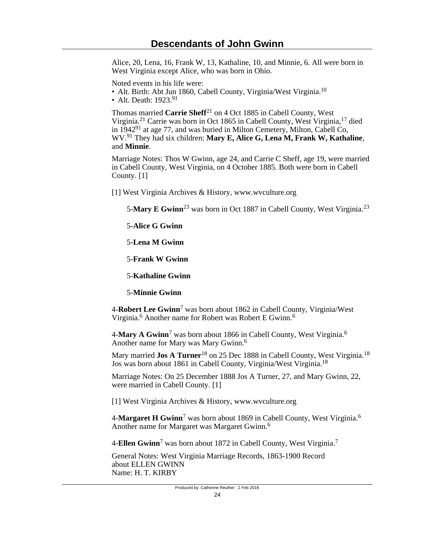Alice, 20, Lena, 16, Frank W, 13, Kathaline, 10, and Minnie, 6. All were born in West Virginia except Alice, who was born in Ohio.

Noted events in his life were:

- Alt. Birth: Abt Jun 1860, Cabell County, Virginia/West Virginia.<sup>10</sup>
- Alt. Death:  $1923.91$

Thomas married **Carrie Sheff**21 on 4 Oct 1885 in Cabell County, West Virginia.21 Carrie was born in Oct 1865 in Cabell County, West Virginia,17 died in 194291 at age 77, and was buried in Milton Cemetery, Milton, Cabell Co, WV.91 They had six children: **Mary E, Alice G, Lena M, Frank W, Kathaline**, and **Minnie**.

Marriage Notes: Thos W Gwinn, age 24, and Carrie C Sheff, age 19, were married in Cabell County, West Virginia, on 4 October 1885. Both were born in Cabell County. [1]

[1] West Virginia Archives & History, www.wvculture.org

5-**Mary E Gwinn**<sup>23</sup> was born in Oct 1887 in Cabell County, West Virginia.<sup>23</sup>

5-**Alice G Gwinn**

5-**Lena M Gwinn**

5-**Frank W Gwinn**

5-**Kathaline Gwinn**

5-**Minnie Gwinn**

4-**Robert Lee Gwinn**<sup>7</sup> was born about 1862 in Cabell County, Virginia/West Virginia.<sup>6</sup> Another name for Robert was Robert E Gwinn.<sup>6</sup>

4-**Mary A Gwinn**<sup>7</sup> was born about 1866 in Cabell County, West Virginia.<sup>6</sup> Another name for Mary was Mary Gwinn.<sup>6</sup>

Mary married **Jos A Turner**<sup>18</sup> on 25 Dec 1888 in Cabell County, West Virginia.<sup>18</sup> Jos was born about 1861 in Cabell County, Virginia/West Virginia.<sup>18</sup>

Marriage Notes: On 25 December 1888 Jos A Turner, 27, and Mary Gwinn, 22, were married in Cabell County. [1]

[1] West Virginia Archives & History, www.wvculture.org

4-**Margaret H Gwinn**<sup>7</sup> was born about 1869 in Cabell County, West Virginia.<sup>6</sup> Another name for Margaret was Margaret Gwinn.<sup>6</sup>

4-**Ellen Gwinn**<sup>7</sup> was born about 1872 in Cabell County, West Virginia.<sup>7</sup>

General Notes: West Virginia Marriage Records, 1863-1900 Record about ELLEN GWINN Name: H. T. KIRBY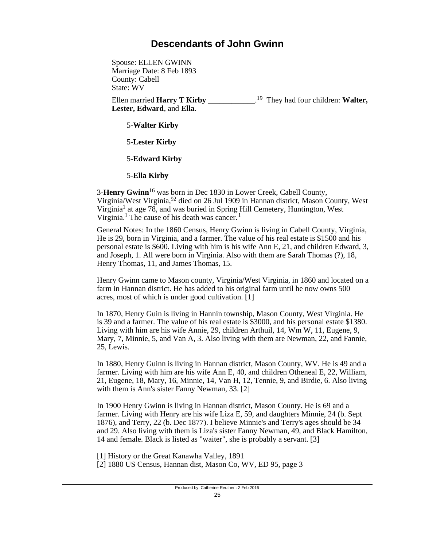Spouse: ELLEN GWINN Marriage Date: 8 Feb 1893 County: Cabell State: WV Ellen married **Harry T Kirby** \_\_\_\_\_\_\_\_\_\_\_\_. <sup>19</sup> They had four children: **Walter, Lester, Edward**, and **Ella**.

5-**Walter Kirby**

5-**Lester Kirby**

5-**Edward Kirby**

5-**Ella Kirby**

3-**Henry Gwinn**16 was born in Dec 1830 in Lower Creek, Cabell County, Virginia/West Virginia,92 died on 26 Jul 1909 in Hannan district, Mason County, West Virginia<sup>1</sup> at age 78, and was buried in Spring Hill Cemetery, Huntington, West Virginia.<sup>1</sup> The cause of his death was cancer.<sup>1</sup>

General Notes: In the 1860 Census, Henry Gwinn is living in Cabell County, Virginia, He is 29, born in Virginia, and a farmer. The value of his real estate is \$1500 and his personal estate is \$600. Living with him is his wife Ann E, 21, and children Edward, 3, and Joseph, 1. All were born in Virginia. Also with them are Sarah Thomas (?), 18, Henry Thomas, 11, and James Thomas, 15.

Henry Gwinn came to Mason county, Virginia/West Virginia, in 1860 and located on a farm in Hannan district. He has added to his original farm until he now owns 500 acres, most of which is under good cultivation. [1]

In 1870, Henry Guin is living in Hannin township, Mason County, West Virginia. He is 39 and a farmer. The value of his real estate is \$3000, and his personal estate \$1380. Living with him are his wife Annie, 29, children Arthuil, 14, Wm W, 11, Eugene, 9, Mary, 7, Minnie, 5, and Van A, 3. Also living with them are Newman, 22, and Fannie, 25, Lewis.

In 1880, Henry Guinn is living in Hannan district, Mason County, WV. He is 49 and a farmer. Living with him are his wife Ann E, 40, and children Otheneal E, 22, William, 21, Eugene, 18, Mary, 16, Minnie, 14, Van H, 12, Tennie, 9, and Birdie, 6. Also living with them is Ann's sister Fanny Newman, 33. [2]

In 1900 Henry Gwinn is living in Hannan district, Mason County. He is 69 and a farmer. Living with Henry are his wife Liza E, 59, and daughters Minnie, 24 (b. Sept 1876), and Terry, 22 (b. Dec 1877). I believe Minnie's and Terry's ages should be 34 and 29. Also living with them is Liza's sister Fanny Newman, 49, and Black Hamilton, 14 and female. Black is listed as "waiter", she is probably a servant. [3]

[1] History or the Great Kanawha Valley, 1891 [2] 1880 US Census, Hannan dist, Mason Co, WV, ED 95, page 3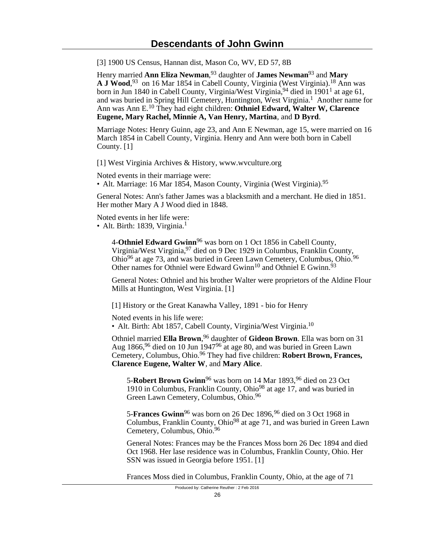[3] 1900 US Census, Hannan dist, Mason Co, WV, ED 57, 8B

Henry married **Ann Eliza Newman**, <sup>93</sup> daughter of **James Newman**93 and **Mary A J Wood**, <sup>93</sup> on 16 Mar 1854 in Cabell County, Virginia (West Virginia).18 Ann was born in Jun 1840 in Cabell County, Virginia/West Virginia, <sup>94</sup> died in 1901<sup>1</sup> at age 61, and was buried in Spring Hill Cemetery, Huntington, West Virginia.<sup>1</sup> Another name for Ann was Ann E.10 They had eight children: **Othniel Edward, Walter W, Clarence Eugene, Mary Rachel, Minnie A, Van Henry, Martina**, and **D Byrd**.

Marriage Notes: Henry Guinn, age 23, and Ann E Newman, age 15, were married on 16 March 1854 in Cabell County, Virginia. Henry and Ann were both born in Cabell County. [1]

[1] West Virginia Archives & History, www.wvculture.org

Noted events in their marriage were:

• Alt. Marriage: 16 Mar 1854, Mason County, Virginia (West Virginia).<sup>95</sup>

General Notes: Ann's father James was a blacksmith and a merchant. He died in 1851. Her mother Mary A J Wood died in 1848.

Noted events in her life were: • Alt. Birth: 1839, Virginia. $<sup>1</sup>$ </sup>

> 4-**Othniel Edward Gwinn**96 was born on 1 Oct 1856 in Cabell County, Virginia/West Virginia, 97 died on 9 Dec 1929 in Columbus, Franklin County, Ohio<sup>96</sup> at age 73, and was buried in Green Lawn Cemetery, Columbus, Ohio.<sup>96</sup> Other names for Othniel were Edward Gwinn<sup>10</sup> and Othniel E Gwinn.<sup>93</sup>

General Notes: Othniel and his brother Walter were proprietors of the Aldine Flour Mills at Huntington, West Virginia. [1]

[1] History or the Great Kanawha Valley, 1891 - bio for Henry

Noted events in his life were:

• Alt. Birth: Abt 1857, Cabell County, Virginia/West Virginia.<sup>10</sup>

Othniel married **Ella Brown**, <sup>96</sup> daughter of **Gideon Brown**. Ella was born on 31 Aug  $1866$ ,  $96$  died on 10 Jun  $1947$   $686$  at age 80, and was buried in Green Lawn Cemetery, Columbus, Ohio.96 They had five children: **Robert Brown, Frances, Clarence Eugene, Walter W**, and **Mary Alice**.

5-**Robert Brown Gwinn**<sup>96</sup> was born on 14 Mar 1893, <sup>96</sup> died on 23 Oct 1910 in Columbus, Franklin County, Ohio<sup>98</sup> at age 17, and was buried in Green Lawn Cemetery, Columbus, Ohio.<sup>96</sup>

5-**Frances Gwinn**<sup>96</sup> was born on 26 Dec 1896,<sup>96</sup> died on 3 Oct 1968 in Columbus, Franklin County, Ohio<sup>98</sup> at age 71, and was buried in Green Lawn Cemetery, Columbus, Ohio.<sup>96</sup>

General Notes: Frances may be the Frances Moss born 26 Dec 1894 and died Oct 1968. Her lase residence was in Columbus, Franklin County, Ohio. Her SSN was issued in Georgia before 1951. [1]

Frances Moss died in Columbus, Franklin County, Ohio, at the age of 71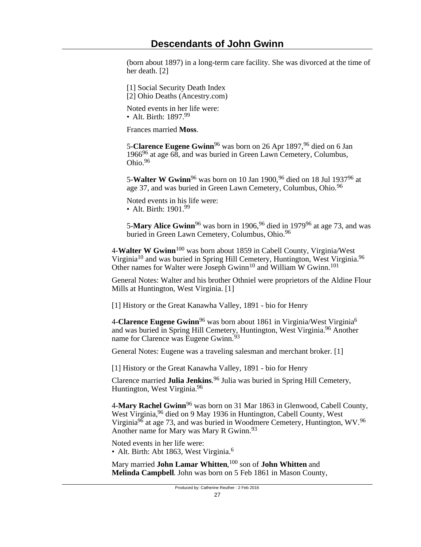(born about 1897) in a long-term care facility. She was divorced at the time of her death. [2]

[1] Social Security Death Index [2] Ohio Deaths (Ancestry.com)

Noted events in her life were: • Alt. Birth: 1897.99

Frances married **Moss**.

5-**Clarence Eugene Gwinn**<sup>96</sup> was born on 26 Apr 1897, <sup>96</sup> died on 6 Jan 196696 at age 68, and was buried in Green Lawn Cemetery, Columbus, Ohio.<sup>96</sup>

5-**Walter W Gwinn**96 was born on 10 Jan 1900,96 died on 18 Jul 193796 at age 37, and was buried in Green Lawn Cemetery, Columbus, Ohio.<sup>96</sup>

Noted events in his life were: • Alt. Birth: 1901.<sup>99</sup>

5-**Mary Alice Gwinn**<sup>96</sup> was born in 1906,<sup>96</sup> died in 1979<sup>96</sup> at age 73, and was buried in Green Lawn Cemetery, Columbus, Ohio.<sup>96</sup>

4-**Walter W Gwinn**100 was born about 1859 in Cabell County, Virginia/West Virginia10 and was buried in Spring Hill Cemetery, Huntington, West Virginia.<sup>96</sup> Other names for Walter were Joseph Gwinn<sup>10</sup> and William W Gwinn.<sup>101</sup>

General Notes: Walter and his brother Othniel were proprietors of the Aldine Flour Mills at Huntington, West Virginia. [1]

[1] History or the Great Kanawha Valley, 1891 - bio for Henry

4-**Clarence Eugene Gwinn**<sup>96</sup> was born about 1861 in Virginia/West Virginia<sup>6</sup> and was buried in Spring Hill Cemetery, Huntington, West Virginia.96 Another name for Clarence was Eugene Gwinn.<sup>93</sup>

General Notes: Eugene was a traveling salesman and merchant broker. [1]

[1] History or the Great Kanawha Valley, 1891 - bio for Henry

Clarence married **Julia Jenkins**. <sup>96</sup> Julia was buried in Spring Hill Cemetery, Huntington, West Virginia.<sup>96</sup>

4-**Mary Rachel Gwinn**96 was born on 31 Mar 1863 in Glenwood, Cabell County, West Virginia, <sup>96</sup> died on 9 May 1936 in Huntington, Cabell County, West Virginia<sup>96</sup> at age 73, and was buried in Woodmere Cemetery, Huntington, WV.<sup>96</sup> Another name for Mary was Mary R Gwinn.<sup>93</sup>

Noted events in her life were: • Alt. Birth: Abt 1863, West Virginia.<sup>6</sup>

Mary married **John Lamar Whitten**, <sup>100</sup> son of **John Whitten** and **Melinda Campbell**. John was born on 5 Feb 1861 in Mason County,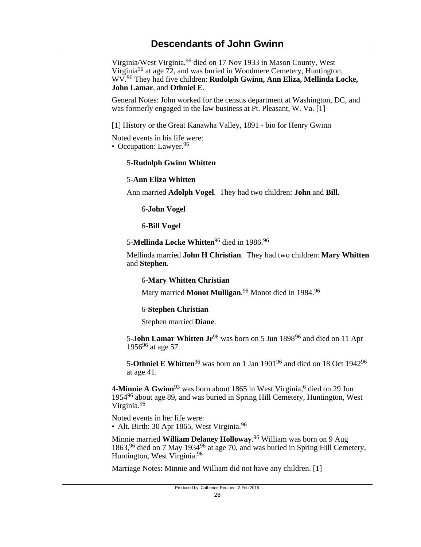Virginia/West Virginia,96 died on 17 Nov 1933 in Mason County, West Virginia<sup>96</sup> at age  $72$ , and was buried in Woodmere Cemetery, Huntington, WV.96 They had five children: **Rudolph Gwinn, Ann Eliza, Mellinda Locke, John Lamar**, and **Othniel E**.

General Notes: John worked for the census department at Washington, DC, and was formerly engaged in the law business at Pt. Pleasant, W. Va. [1]

[1] History or the Great Kanawha Valley, 1891 - bio for Henry Gwinn

Noted events in his life were:

• Occupation: Lawyer.<sup>96</sup>

### 5-**Rudolph Gwinn Whitten**

### 5-**Ann Eliza Whitten**

Ann married **Adolph Vogel**. They had two children: **John** and **Bill**.

6-**John Vogel**

6-**Bill Vogel**

5-**Mellinda Locke Whitten**96 died in 1986.<sup>96</sup>

Mellinda married **John H Christian**. They had two children: **Mary Whitten** and **Stephen**.

6-**Mary Whitten Christian**

Mary married **Monot Mulligan**. <sup>96</sup> Monot died in 1984.<sup>96</sup>

### 6-**Stephen Christian**

Stephen married **Diane**.

5-**John Lamar Whitten Jr**<sup>96</sup> was born on 5 Jun 1898<sup>96</sup> and died on 11 Apr  $1956^{96}$  at age 57.

5-Othniel E Whitten<sup>96</sup> was born on 1 Jan 1901<sup>96</sup> and died on 18 Oct 1942<sup>96</sup> at age 41.

4-**Minnie A Gwinn**<sup>93</sup> was born about 1865 in West Virginia,<sup>6</sup> died on 29 Jun 1954<sup>96</sup> about age 89, and was buried in Spring Hill Cemetery, Huntington, West Virginia.<sup>96</sup>

Noted events in her life were:

• Alt. Birth: 30 Apr 1865, West Virginia.<sup>96</sup>

Minnie married **William Delaney Holloway**. <sup>96</sup> William was born on 9 Aug 1863,<sup>96</sup> died on 7 May 1934<sup>96</sup> at age 70, and was buried in Spring Hill Cemetery, Huntington, West Virginia.<sup>96</sup>

Marriage Notes: Minnie and William did not have any children. [1]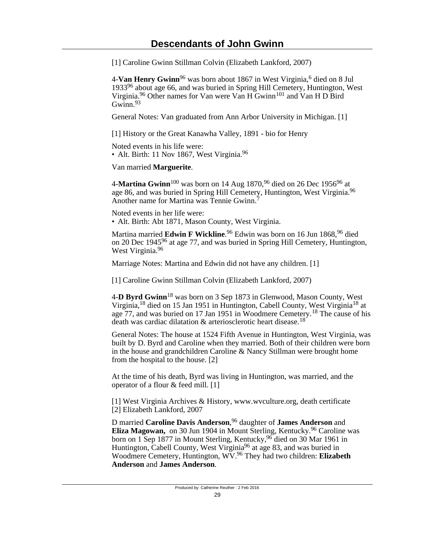[1] Caroline Gwinn Stillman Colvin (Elizabeth Lankford, 2007)

4-**Van Henry Gwinn**96 was born about 1867 in West Virginia,<sup>6</sup> died on 8 Jul 193396 about age 66, and was buried in Spring Hill Cemetery, Huntington, West Virginia.<sup>96</sup> Other names for Van were Van  $H$  Gwinn<sup>101</sup> and Van H D Bird Gwinn $93$ 

General Notes: Van graduated from Ann Arbor University in Michigan. [1]

[1] History or the Great Kanawha Valley, 1891 - bio for Henry

Noted events in his life were:

• Alt. Birth: 11 Nov 1867, West Virginia. $96$ 

Van married **Marguerite**.

4-**Martina Gwinn**100 was born on 14 Aug 1870,96 died on 26 Dec 195696 at age 86, and was buried in Spring Hill Cemetery, Huntington, West Virginia.<sup>96</sup> Another name for Martina was Tennie Gwinn.<sup>7</sup>

Noted events in her life were: • Alt. Birth: Abt 1871, Mason County, West Virginia.

Martina married **Edwin F Wickline**. <sup>96</sup> Edwin was born on 16 Jun 1868,96 died on 20 Dec 194596 at age 77, and was buried in Spring Hill Cemetery, Huntington, West Virginia.<sup>96</sup>

Marriage Notes: Martina and Edwin did not have any children. [1]

[1] Caroline Gwinn Stillman Colvin (Elizabeth Lankford, 2007)

4-**D Byrd Gwinn**18 was born on 3 Sep 1873 in Glenwood, Mason County, West Virginia,18 died on 15 Jan 1951 in Huntington, Cabell County, West Virginia18 at age 77, and was buried on 17 Jan 1951 in Woodmere Cemetery.18 The cause of his death was cardiac dilatation & arteriosclerotic heart disease.<sup>18</sup>

General Notes: The house at 1524 Fifth Avenue in Huntington, West Virginia, was built by D. Byrd and Caroline when they married. Both of their children were born in the house and grandchildren Caroline & Nancy Stillman were brought home from the hospital to the house. [2]

At the time of his death, Byrd was living in Huntington, was married, and the operator of a flour & feed mill. [1]

[1] West Virginia Archives & History, www.wvculture.org, death certificate [2] Elizabeth Lankford, 2007

D married **Caroline Davis Anderson**, <sup>96</sup> daughter of **James Anderson** and **Eliza Magowan,** on 30 Jun 1904 in Mount Sterling, Kentucky.<sup>96</sup> Caroline was born on 1 Sep 1877 in Mount Sterling, Kentucky, <sup>96</sup> died on 30 Mar 1961 in Huntington, Cabell County, West Virginia<sup>96</sup> at age 83, and was buried in Woodmere Cemetery, Huntington, WV.96 They had two children: **Elizabeth Anderson** and **James Anderson**.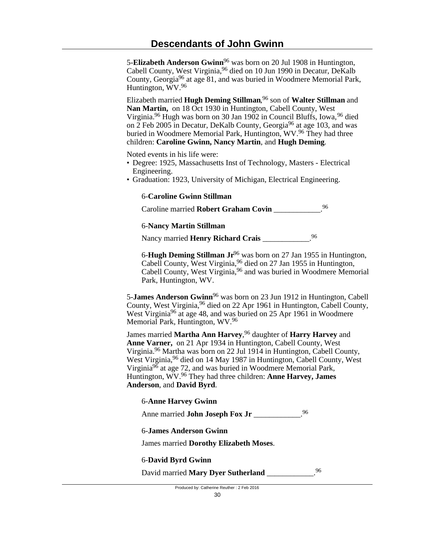5-**Elizabeth Anderson Gwinn**96 was born on 20 Jul 1908 in Huntington, Cabell County, West Virginia, <sup>96</sup> died on 10 Jun 1990 in Decatur, DeKalb County, Georgia96 at age 81, and was buried in Woodmere Memorial Park, Huntington, WV.<sup>96</sup>

Elizabeth married **Hugh Deming Stillman**, <sup>96</sup> son of **Walter Stillman** and **Nan Martin,** on 18 Oct 1930 in Huntington, Cabell County, West Virginia.<sup>96</sup> Hugh was born on 30 Jan 1902 in Council Bluffs, Iowa, <sup>96</sup> died on  $\tilde{2}$  Feb 2005 in Decatur, DeKalb County, Georgia<sup>96</sup> at age 103, and was buried in Woodmere Memorial Park, Huntington, WV.<sup>96</sup> They had three children: **Caroline Gwinn, Nancy Martin**, and **Hugh Deming**.

Noted events in his life were:

- Degree: 1925, Massachusetts Inst of Technology, Masters Electrical Engineering.
- Graduation: 1923, University of Michigan, Electrical Engineering.

## 6-**Caroline Gwinn Stillman**

Caroline married **Robert Graham Covin** \_\_\_\_\_\_\_\_\_\_\_\_. 96

6-**Nancy Martin Stillman**

Nancy married **Henry Richard Crais** \_\_\_\_\_\_\_\_\_\_\_\_.<sup>96</sup>

6-**Hugh Deming Stillman Jr**96 was born on 27 Jan 1955 in Huntington, Cabell County, West Virginia, <sup>96</sup> died on 27 Jan 1955 in Huntington, Cabell County, West Virginia, <sup>96</sup> and was buried in Woodmere Memorial Park, Huntington, WV.

5-**James Anderson Gwinn**96 was born on 23 Jun 1912 in Huntington, Cabell County, West Virginia, <sup>96</sup> died on 22 Apr 1961 in Huntington, Cabell County, West Virginia<sup>96</sup> at age 48, and was buried on 25 Apr 1961 in Woodmere Memorial Park, Huntington, WV.<sup>96</sup>

James married **Martha Ann Harvey**, <sup>96</sup> daughter of **Harry Harvey** and **Anne Varner,** on 21 Apr 1934 in Huntington, Cabell County, West Virginia.96 Martha was born on 22 Jul 1914 in Huntington, Cabell County, West Virginia, <sup>96</sup> died on 14 May 1987 in Huntington, Cabell County, West Virginia96 at age 72, and was buried in Woodmere Memorial Park, Huntington, WV.96 They had three children: **Anne Harvey, James Anderson**, and **David Byrd**.

#### 6-**Anne Harvey Gwinn**

Anne married **John Joseph Fox Jr** 96

6-**James Anderson Gwinn**

James married **Dorothy Elizabeth Moses**.

### 6-**David Byrd Gwinn**

David married **Mary Dyer Sutherland** \_\_\_\_\_\_\_\_\_\_\_.96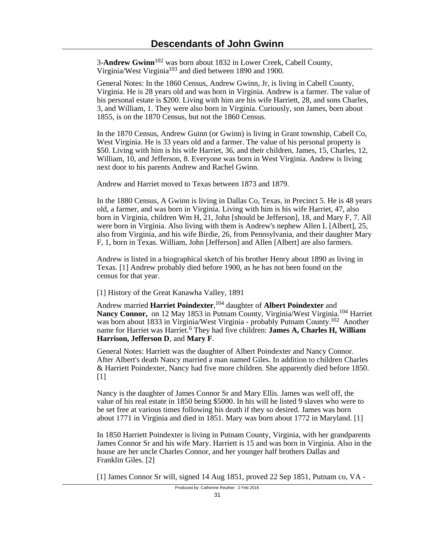3-**Andrew Gwinn**102 was born about 1832 in Lower Creek, Cabell County, Virginia/West Virginia<sup>103</sup> and died between 1890 and 1900.

General Notes: In the 1860 Census, Andrew Gwinn, Jr, is living in Cabell County, Virginia. He is 28 years old and was born in Virginia. Andrew is a farmer. The value of his personal estate is \$200. Living with him are his wife Harriett, 28, and sons Charles, 3, and William, 1. They were also born in Virginia. Curiously, son James, born about 1855, is on the 1870 Census, but not the 1860 Census.

In the 1870 Census, Andrew Guinn (or Gwinn) is living in Grant township, Cabell Co, West Virginia. He is 33 years old and a farmer. The value of his personal property is \$50. Living with him is his wife Harriet, 36, and their children, James, 15, Charles, 12, William, 10, and Jefferson, 8. Everyone was born in West Virginia. Andrew is living next door to his parents Andrew and Rachel Gwinn.

Andrew and Harriet moved to Texas between 1873 and 1879.

In the 1880 Census, A Gwinn is living in Dallas Co, Texas, in Precinct 5. He is 48 years old, a farmer, and was born in Virginia. Living with him is his wife Harriet, 47, also born in Virginia, children Wm H, 21, John [should be Jefferson], 18, and Mary F, 7. All were born in Virginia. Also living with them is Andrew's nephew Allen L [Albert], 25, also from Virginia, and his wife Birdie, 26, from Pennsylvania, and their daughter Mary F, 1, born in Texas. William, John [Jefferson] and Allen [Albert] are also farmers.

Andrew is listed in a biographical sketch of his brother Henry about 1890 as living in Texas. [1] Andrew probably died before 1900, as he has not been found on the census for that year.

[1] History of the Great Kanawha Valley, 1891

Andrew married **Harriet Poindexter**, <sup>104</sup> daughter of **Albert Poindexter** and **Nancy Connor,** on 12 May 1853 in Putnam County, Virginia/West Virginia.104 Harriet was born about 1833 in Virginia/West Virginia - probably Putnam County.102 Another name for Harriet was Harriet.<sup>6</sup> They had five children: **James A, Charles H, William Harrison, Jefferson D**, and **Mary F**.

General Notes: Harriett was the daughter of Albert Poindexter and Nancy Connor. After Albert's death Nancy married a man named Giles. In addition to children Charles & Harriett Poindexter, Nancy had five more children. She apparently died before 1850. [1]

Nancy is the daughter of James Connor Sr and Mary Ellis. James was well off, the value of his real estate in 1850 being \$5000. In his will he listed 9 slaves who were to be set free at various times following his death if they so desired. James was born about 1771 in Virginia and died in 1851. Mary was born about 1772 in Maryland. [1]

In 1850 Harriett Poindexter is living in Putnam County, Virginia, with her grandparents James Connor Sr and his wife Mary. Harriett is 15 and was born in Virginia. Also in the house are her uncle Charles Connor, and her younger half brothers Dallas and Franklin Giles. [2]

[1] James Connor Sr will, signed 14 Aug 1851, proved 22 Sep 1851, Putnam co, VA -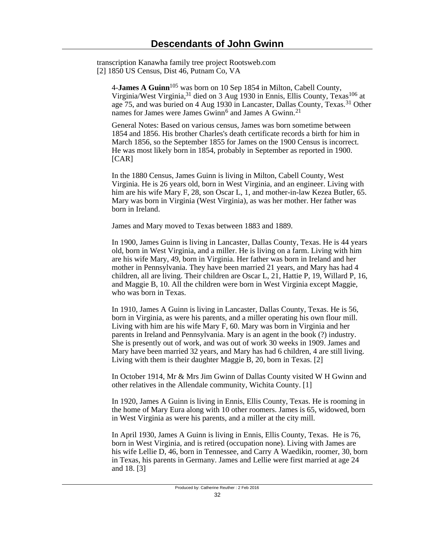transcription Kanawha family tree project Rootsweb.com [2] 1850 US Census, Dist 46, Putnam Co, VA

4-**James A Guinn**105 was born on 10 Sep 1854 in Milton, Cabell County, Virginia/West Virginia,<sup>31</sup> died on 3 Aug 1930 in Ennis, Ellis County, Texas<sup>106</sup> at age 75, and was buried on 4 Aug 1930 in Lancaster, Dallas County, Texas.31 Other names for James were James Gwinn<sup>6</sup> and James A Gwinn.<sup>21</sup>

General Notes: Based on various census, James was born sometime between 1854 and 1856. His brother Charles's death certificate records a birth for him in March 1856, so the September 1855 for James on the 1900 Census is incorrect. He was most likely born in 1854, probably in September as reported in 1900. [CAR]

In the 1880 Census, James Guinn is living in Milton, Cabell County, West Virginia. He is 26 years old, born in West Virginia, and an engineer. Living with him are his wife Mary F, 28, son Oscar L, 1, and mother-in-law Kezea Butler, 65. Mary was born in Virginia (West Virginia), as was her mother. Her father was born in Ireland.

James and Mary moved to Texas between 1883 and 1889.

In 1900, James Guinn is living in Lancaster, Dallas County, Texas. He is 44 years old, born in West Virginia, and a miller. He is living on a farm. Living with him are his wife Mary, 49, born in Virginia. Her father was born in Ireland and her mother in Pennsylvania. They have been married 21 years, and Mary has had 4 children, all are living. Their children are Oscar L, 21, Hattie P, 19, Willard P, 16, and Maggie B, 10. All the children were born in West Virginia except Maggie, who was born in Texas.

In 1910, James A Guinn is living in Lancaster, Dallas County, Texas. He is 56, born in Virginia, as were his parents, and a miller operating his own flour mill. Living with him are his wife Mary F, 60. Mary was born in Virginia and her parents in Ireland and Pennsylvania. Mary is an agent in the book (?) industry. She is presently out of work, and was out of work 30 weeks in 1909. James and Mary have been married 32 years, and Mary has had 6 children, 4 are still living. Living with them is their daughter Maggie B, 20, born in Texas. [2]

In October 1914, Mr & Mrs Jim Gwinn of Dallas County visited W H Gwinn and other relatives in the Allendale community, Wichita County. [1]

In 1920, James A Guinn is living in Ennis, Ellis County, Texas. He is rooming in the home of Mary Eura along with 10 other roomers. James is 65, widowed, born in West Virginia as were his parents, and a miller at the city mill.

In April 1930, James A Guinn is living in Ennis, Ellis County, Texas. He is 76, born in West Virginia, and is retired (occupation none). Living with James are his wife Lellie D, 46, born in Tennessee, and Carry A Waedikin, roomer, 30, born in Texas, his parents in Germany. James and Lellie were first married at age 24 and 18. [3]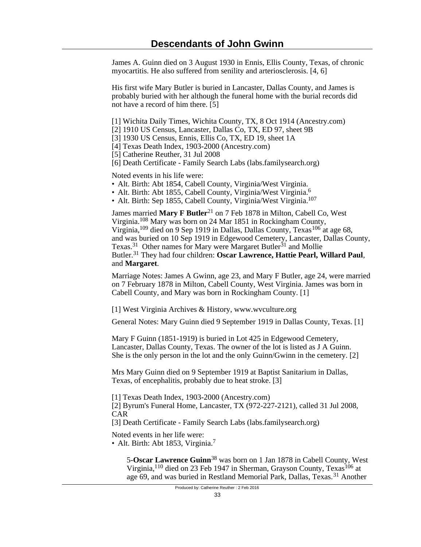James A. Guinn died on 3 August 1930 in Ennis, Ellis County, Texas, of chronic myocartitis. He also suffered from senility and arteriosclerosis. [4, 6]

His first wife Mary Butler is buried in Lancaster, Dallas County, and James is probably buried with her although the funeral home with the burial records did not have a record of him there. [5]

[1] Wichita Daily Times, Wichita County, TX, 8 Oct 1914 (Ancestry.com)

[2] 1910 US Census, Lancaster, Dallas Co, TX, ED 97, sheet 9B

[3] 1930 US Census, Ennis, Ellis Co, TX, ED 19, sheet 1A

[4] Texas Death Index, 1903-2000 (Ancestry.com)

[5] Catherine Reuther, 31 Jul 2008

[6] Death Certificate - Family Search Labs (labs.familysearch.org)

Noted events in his life were:

• Alt. Birth: Abt 1854, Cabell County, Virginia/West Virginia.

- Alt. Birth: Abt 1855, Cabell County, Virginia/West Virginia.<sup>6</sup>
- Alt. Birth: Sep 1855, Cabell County, Virginia/West Virginia.<sup>107</sup>

James married Mary F Butler<sup>21</sup> on 7 Feb 1878 in Milton, Cabell Co, West Virginia.108 Mary was born on 24 Mar 1851 in Rockingham County, Virginia,<sup>109</sup> died on 9 Sep 1919 in Dallas, Dallas County, Texas<sup>106</sup> at age 68, and was buried on 10 Sep 1919 in Edgewood Cemetery, Lancaster, Dallas County, Texas.<sup>31</sup> Other names for Mary were Margaret Butler<sup>31</sup> and Mollie Butler.31 They had four children: **Oscar Lawrence, Hattie Pearl, Willard Paul**, and **Margaret**.

Marriage Notes: James A Gwinn, age 23, and Mary F Butler, age 24, were married on 7 February 1878 in Milton, Cabell County, West Virginia. James was born in Cabell County, and Mary was born in Rockingham County. [1]

[1] West Virginia Archives & History, www.wvculture.org

General Notes: Mary Guinn died 9 September 1919 in Dallas County, Texas. [1]

Mary F Guinn (1851-1919) is buried in Lot 425 in Edgewood Cemetery, Lancaster, Dallas County, Texas. The owner of the lot is listed as J A Guinn. She is the only person in the lot and the only Guinn/Gwinn in the cemetery. [2]

Mrs Mary Guinn died on 9 September 1919 at Baptist Sanitarium in Dallas, Texas, of encephalitis, probably due to heat stroke. [3]

[1] Texas Death Index, 1903-2000 (Ancestry.com)

[2] Byrum's Funeral Home, Lancaster, TX (972-227-2121), called 31 Jul 2008, CAR

[3] Death Certificate - Family Search Labs (labs.familysearch.org)

Noted events in her life were:

• Alt. Birth: Abt 1853, Virginia. $^7$ 

5-**Oscar Lawrence Guinn**38 was born on 1 Jan 1878 in Cabell County, West Virginia,  $110$  died on 23 Feb 1947 in Sherman, Grayson County, Texas,  $106$  at age 69, and was buried in Restland Memorial Park, Dallas, Texas.31 Another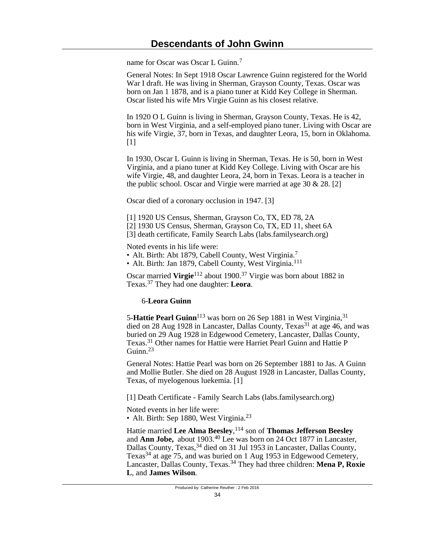name for Oscar was Oscar L Guinn.<sup>7</sup>

General Notes: In Sept 1918 Oscar Lawrence Guinn registered for the World War I draft. He was living in Sherman, Grayson County, Texas. Oscar was born on Jan 1 1878, and is a piano tuner at Kidd Key College in Sherman. Oscar listed his wife Mrs Virgie Guinn as his closest relative.

In 1920 O L Guinn is living in Sherman, Grayson County, Texas. He is 42, born in West Virginia, and a self-employed piano tuner. Living with Oscar are his wife Virgie, 37, born in Texas, and daughter Leora, 15, born in Oklahoma.  $[1]$ 

In 1930, Oscar L Guinn is living in Sherman, Texas. He is 50, born in West Virginia, and a piano tuner at Kidd Key College. Living with Oscar are his wife Virgie, 48, and daughter Leora, 24, born in Texas. Leora is a teacher in the public school. Oscar and Virgie were married at age 30 & 28. [2]

Oscar died of a coronary occlusion in 1947. [3]

[1] 1920 US Census, Sherman, Grayson Co, TX, ED 78, 2A

[2] 1930 US Census, Sherman, Grayson Co, TX, ED 11, sheet 6A

[3] death certificate, Family Search Labs (labs.familysearch.org)

Noted events in his life were:

- Alt. Birth: Abt 1879, Cabell County, West Virginia.<sup>7</sup>
- Alt. Birth: Jan 1879, Cabell County, West Virginia.<sup>111</sup>

Oscar married **Virgie**112 about 1900.37 Virgie was born about 1882 in Texas.37 They had one daughter: **Leora**.

### 6-**Leora Guinn**

5-Hattie Pearl Guinn<sup>113</sup> was born on 26 Sep 1881 in West Virginia,<sup>31</sup> died on 28 Aug 1928 in Lancaster, Dallas County, Texas<sup>31</sup> at age 46, and was buried on 29 Aug 1928 in Edgewood Cemetery, Lancaster, Dallas County, Texas.31 Other names for Hattie were Harriet Pearl Guinn and Hattie P Guinn<sup>23</sup>

General Notes: Hattie Pearl was born on 26 September 1881 to Jas. A Guinn and Mollie Butler. She died on 28 August 1928 in Lancaster, Dallas County, Texas, of myelogenous luekemia. [1]

[1] Death Certificate - Family Search Labs (labs.familysearch.org)

Noted events in her life were:

• Alt. Birth: Sep 1880, West Virginia.<sup>23</sup>

Hattie married **Lee Alma Beesley**, <sup>114</sup> son of **Thomas Jefferson Beesley** and **Ann Jobe,** about 1903.40 Lee was born on 24 Oct 1877 in Lancaster, Dallas County, Texas, <sup>34</sup> died on 31 Jul 1953 in Lancaster, Dallas County, Texas<sup>34</sup> at age 75, and was buried on 1 Aug 1953 in Edgewood Cemetery, Lancaster, Dallas County, Texas.34 They had three children: **Mena P, Roxie L**, and **James Wilson**.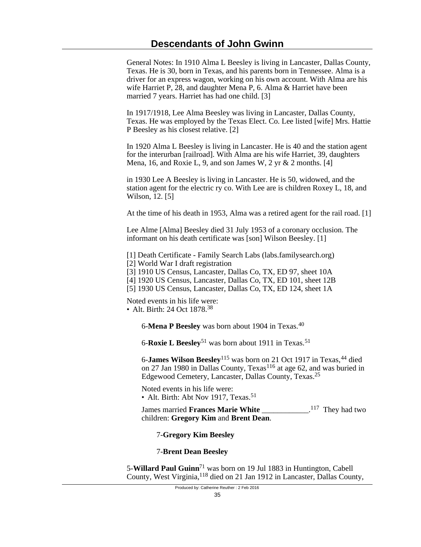General Notes: In 1910 Alma L Beesley is living in Lancaster, Dallas County, Texas. He is 30, born in Texas, and his parents born in Tennessee. Alma is a driver for an express wagon, working on his own account. With Alma are his wife Harriet P, 28, and daughter Mena P, 6. Alma & Harriet have been married 7 years. Harriet has had one child. [3]

In 1917/1918, Lee Alma Beesley was living in Lancaster, Dallas County, Texas. He was employed by the Texas Elect. Co. Lee listed [wife] Mrs. Hattie P Beesley as his closest relative. [2]

In 1920 Alma L Beesley is living in Lancaster. He is 40 and the station agent for the interurban [railroad]. With Alma are his wife Harriet, 39, daughters Mena, 16, and Roxie L, 9, and son James W, 2 yr & 2 months. [4]

in 1930 Lee A Beesley is living in Lancaster. He is 50, widowed, and the station agent for the electric ry co. With Lee are is children Roxey L, 18, and Wilson, 12. [5]

At the time of his death in 1953, Alma was a retired agent for the rail road. [1]

Lee Alme [Alma] Beesley died 31 July 1953 of a coronary occlusion. The informant on his death certificate was [son] Wilson Beesley. [1]

[1] Death Certificate - Family Search Labs (labs.familysearch.org)

[2] World War I draft registration

[3] 1910 US Census, Lancaster, Dallas Co, TX, ED 97, sheet 10A

[4] 1920 US Census, Lancaster, Dallas Co, TX, ED 101, sheet 12B

[5] 1930 US Census, Lancaster, Dallas Co, TX, ED 124, sheet 1A

Noted events in his life were: • Alt. Birth: 24 Oct 1878.<sup>38</sup>

6-**Mena P Beesley** was born about 1904 in Texas.<sup>40</sup>

6-**Roxie L Beesley**51 was born about 1911 in Texas.<sup>51</sup>

6-**James Wilson Beesley**<sup>115</sup> was born on 21 Oct 1917 in Texas,<sup>44</sup> died on 27 Jan 1980 in Dallas County,  $T$ exas<sup>116</sup> at age 62, and was buried in Edgewood Cemetery, Lancaster, Dallas County, Texas.<sup>25</sup>

Noted events in his life were: • Alt. Birth: Abt Nov 1917, Texas.<sup>51</sup>

James married **Frances Marie White** \_\_\_\_\_\_\_\_\_\_\_\_. <sup>117</sup> They had two children: **Gregory Kim** and **Brent Dean**.

7-**Gregory Kim Beesley**

### 7-**Brent Dean Beesley**

5-**Willard Paul Guinn**71 was born on 19 Jul 1883 in Huntington, Cabell County, West Virginia,118 died on 21 Jan 1912 in Lancaster, Dallas County,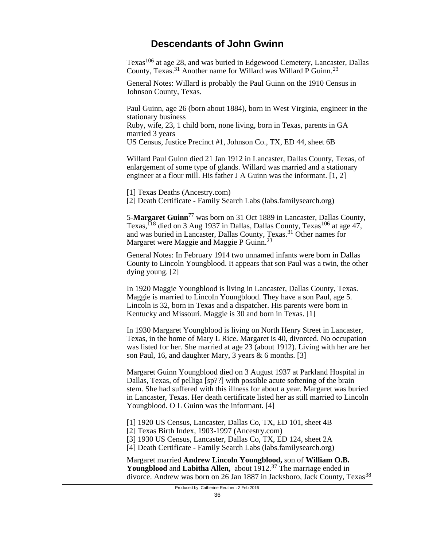Texas106 at age 28, and was buried in Edgewood Cemetery, Lancaster, Dallas County, Texas.31 Another name for Willard was Willard P Guinn.<sup>23</sup>

General Notes: Willard is probably the Paul Guinn on the 1910 Census in Johnson County, Texas.

Paul Guinn, age 26 (born about 1884), born in West Virginia, engineer in the stationary business

Ruby, wife, 23, 1 child born, none living, born in Texas, parents in GA married 3 years

US Census, Justice Precinct #1, Johnson Co., TX, ED 44, sheet 6B

Willard Paul Guinn died 21 Jan 1912 in Lancaster, Dallas County, Texas, of enlargement of some type of glands. Willard was married and a stationary engineer at a flour mill. His father J A Guinn was the informant. [1, 2]

[1] Texas Deaths (Ancestry.com)

[2] Death Certificate - Family Search Labs (labs.familysearch.org)

5-**Margaret Guinn**<sup>77</sup> was born on 31 Oct 1889 in Lancaster, Dallas County, Texas,  $118$  died on 3 Aug 1937 in Dallas, Dallas County, Texas  $106$  at age 47, and was buried in Lancaster, Dallas County, Texas.31 Other names for Margaret were Maggie and Maggie P Guinn.<sup>23</sup>

General Notes: In February 1914 two unnamed infants were born in Dallas County to Lincoln Youngblood. It appears that son Paul was a twin, the other dying young. [2]

In 1920 Maggie Youngblood is living in Lancaster, Dallas County, Texas. Maggie is married to Lincoln Youngblood. They have a son Paul, age 5. Lincoln is 32, born in Texas and a dispatcher. His parents were born in Kentucky and Missouri. Maggie is 30 and born in Texas. [1]

In 1930 Margaret Youngblood is living on North Henry Street in Lancaster, Texas, in the home of Mary L Rice. Margaret is 40, divorced. No occupation was listed for her. She married at age 23 (about 1912). Living with her are her son Paul, 16, and daughter Mary, 3 years & 6 months. [3]

Margaret Guinn Youngblood died on 3 August 1937 at Parkland Hospital in Dallas, Texas, of pelliga [sp??] with possible acute softening of the brain stem. She had suffered with this illness for about a year. Margaret was buried in Lancaster, Texas. Her death certificate listed her as still married to Lincoln Youngblood. O L Guinn was the informant. [4]

[1] 1920 US Census, Lancaster, Dallas Co, TX, ED 101, sheet 4B

[2] Texas Birth Index, 1903-1997 (Ancestry.com)

[3] 1930 US Census, Lancaster, Dallas Co, TX, ED 124, sheet 2A

[4] Death Certificate - Family Search Labs (labs.familysearch.org)

Margaret married **Andrew Lincoln Youngblood,** son of **William O.B. Youngblood** and **Labitha Allen,** about 1912.37 The marriage ended in divorce. Andrew was born on 26 Jan 1887 in Jacksboro, Jack County, Texas<sup>38</sup>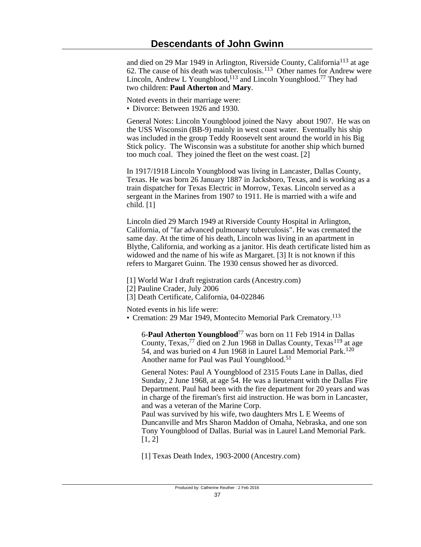and died on 29 Mar 1949 in Arlington, Riverside County, California<sup>113</sup> at age 62. The cause of his death was tuberculosis.<sup>113</sup> Other names for Andrew were Lincoln, Andrew L Youngblood,<sup>113</sup> and Lincoln Youngblood.<sup>77</sup> They had two children: **Paul Atherton** and **Mary**.

Noted events in their marriage were:

• Divorce: Between 1926 and 1930.

General Notes: Lincoln Youngblood joined the Navy about 1907. He was on the USS Wisconsin (BB-9) mainly in west coast water. Eventually his ship was included in the group Teddy Roosevelt sent around the world in his Big Stick policy. The Wisconsin was a substitute for another ship which burned too much coal. They joined the fleet on the west coast. [2]

In 1917/1918 Lincoln Youngblood was living in Lancaster, Dallas County, Texas. He was born 26 January 1887 in Jacksboro, Texas, and is working as a train dispatcher for Texas Electric in Morrow, Texas. Lincoln served as a sergeant in the Marines from 1907 to 1911. He is married with a wife and child. [1]

Lincoln died 29 March 1949 at Riverside County Hospital in Arlington, California, of "far advanced pulmonary tuberculosis". He was cremated the same day. At the time of his death, Lincoln was living in an apartment in Blythe, California, and working as a janitor. His death certificate listed him as widowed and the name of his wife as Margaret. [3] It is not known if this refers to Margaret Guinn. The 1930 census showed her as divorced.

[1] World War I draft registration cards (Ancestry.com)

[2] Pauline Crader, July 2006

[3] Death Certificate, California, 04-022846

Noted events in his life were:

• Cremation: 29 Mar 1949, Montecito Memorial Park Crematory.<sup>113</sup>

6-**Paul Atherton Youngblood**77 was born on 11 Feb 1914 in Dallas County, Texas,<sup>77</sup> died on 2 Jun 1968 in Dallas County, Texas<sup>119</sup> at age 54, and was buried on 4 Jun 1968 in Laurel Land Memorial Park.<sup>120</sup> Another name for Paul was Paul Youngblood.<sup>51</sup>

General Notes: Paul A Youngblood of 2315 Fouts Lane in Dallas, died Sunday, 2 June 1968, at age 54. He was a lieutenant with the Dallas Fire Department. Paul had been with the fire department for 20 years and was in charge of the fireman's first aid instruction. He was born in Lancaster, and was a veteran of the Marine Corp.

Paul was survived by his wife, two daughters Mrs L E Weems of Duncanville and Mrs Sharon Maddon of Omaha, Nebraska, and one son Tony Youngblood of Dallas. Burial was in Laurel Land Memorial Park.  $[1, 2]$ 

[1] Texas Death Index, 1903-2000 (Ancestry.com)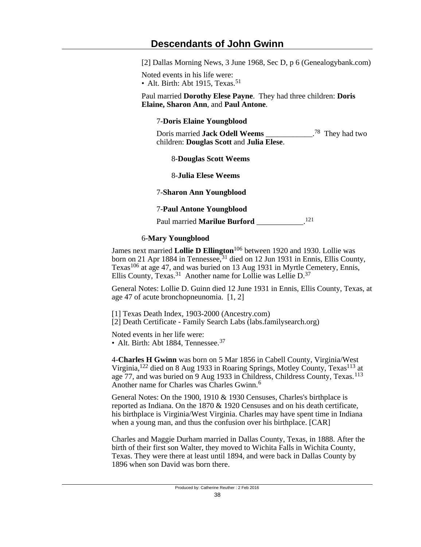[2] Dallas Morning News, 3 June 1968, Sec D, p 6 (Genealogybank.com)

Noted events in his life were:

• Alt. Birth: Abt 1915, Texas.<sup>51</sup>

Paul married **Dorothy Elese Payne**. They had three children: **Doris Elaine, Sharon Ann**, and **Paul Antone**.

# 7-**Doris Elaine Youngblood**

Doris married **Jack Odell Weems** \_\_\_\_\_\_\_\_\_\_\_\_. <sup>78</sup> They had two children: **Douglas Scott** and **Julia Elese**.

8-**Douglas Scott Weems**

8-**Julia Elese Weems**

7-**Sharon Ann Youngblood**

# 7-**Paul Antone Youngblood**

Paul married **Marilue Burford** \_\_\_\_\_\_\_\_\_\_\_\_. 121

# 6-**Mary Youngblood**

James next married **Lollie D Ellington**106 between 1920 and 1930. Lollie was born on 21 Apr 1884 in Tennessee,<sup>31</sup> died on 12 Jun 1931 in Ennis, Ellis County, Texas<sup>106</sup> at age 47, and was buried on 13 Aug 1931 in Myrtle Cemetery, Ennis, Ellis County, Texas.<sup>31</sup> Another name for Lollie was Lellie D.<sup>37</sup>

General Notes: Lollie D. Guinn died 12 June 1931 in Ennis, Ellis County, Texas, at age 47 of acute bronchopneunomia. [1, 2]

[1] Texas Death Index, 1903-2000 (Ancestry.com) [2] Death Certificate - Family Search Labs (labs.familysearch.org)

Noted events in her life were: • Alt. Birth: Abt 1884, Tennessee.<sup>37</sup>

4-**Charles H Gwinn** was born on 5 Mar 1856 in Cabell County, Virginia/West Virginia,<sup>122</sup> died on 8 Aug 1933 in Roaring Springs, Motley County, Texas<sup>113</sup> at age 77, and was buried on 9 Aug 1933 in Childress, Childress County, Texas.<sup>113</sup> Another name for Charles was Charles Gwinn.<sup>6</sup>

General Notes: On the 1900, 1910 & 1930 Censuses, Charles's birthplace is reported as Indiana. On the 1870 & 1920 Censuses and on his death certificate, his birthplace is Virginia/West Virginia. Charles may have spent time in Indiana when a young man, and thus the confusion over his birthplace. [CAR]

Charles and Maggie Durham married in Dallas County, Texas, in 1888. After the birth of their first son Walter, they moved to Wichita Falls in Wichita County, Texas. They were there at least until 1894, and were back in Dallas County by 1896 when son David was born there.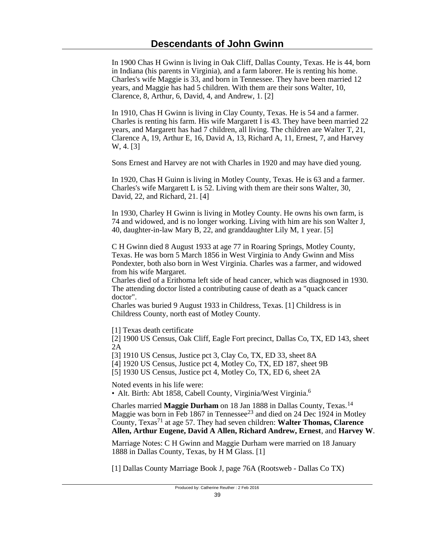In 1900 Chas H Gwinn is living in Oak Cliff, Dallas County, Texas. He is 44, born in Indiana (his parents in Virginia), and a farm laborer. He is renting his home. Charles's wife Maggie is 33, and born in Tennessee. They have been married 12 years, and Maggie has had 5 children. With them are their sons Walter, 10, Clarence, 8, Arthur, 6, David, 4, and Andrew, 1. [2]

In 1910, Chas H Gwinn is living in Clay County, Texas. He is 54 and a farmer. Charles is renting his farm. His wife Margarett I is 43. They have been married 22 years, and Margarett has had 7 children, all living. The children are Walter T, 21, Clarence A, 19, Arthur E, 16, David A, 13, Richard A, 11, Ernest, 7, and Harvey W, 4. [3]

Sons Ernest and Harvey are not with Charles in 1920 and may have died young.

In 1920, Chas H Guinn is living in Motley County, Texas. He is 63 and a farmer. Charles's wife Margarett L is 52. Living with them are their sons Walter, 30, David, 22, and Richard, 21. [4]

In 1930, Charley H Gwinn is living in Motley County. He owns his own farm, is 74 and widowed, and is no longer working. Living with him are his son Walter J, 40, daughter-in-law Mary B, 22, and granddaughter Lily M, 1 year. [5]

C H Gwinn died 8 August 1933 at age 77 in Roaring Springs, Motley County, Texas. He was born 5 March 1856 in West Virginia to Andy Gwinn and Miss Pondexter, both also born in West Virginia. Charles was a farmer, and widowed from his wife Margaret.

Charles died of a Erithoma left side of head cancer, which was diagnosed in 1930. The attending doctor listed a contributing cause of death as a "quack cancer doctor".

Charles was buried 9 August 1933 in Childress, Texas. [1] Childress is in Childress County, north east of Motley County.

[1] Texas death certificate

[2] 1900 US Census, Oak Cliff, Eagle Fort precinct, Dallas Co, TX, ED 143, sheet 2A

[3] 1910 US Census, Justice pct 3, Clay Co, TX, ED 33, sheet 8A

[4] 1920 US Census, Justice pct 4, Motley Co, TX, ED 187, sheet 9B

[5] 1930 US Census, Justice pct 4, Motley Co, TX, ED 6, sheet 2A

Noted events in his life were:

• Alt. Birth: Abt 1858, Cabell County, Virginia/West Virginia.<sup>6</sup>

Charles married **Maggie Durham** on 18 Jan 1888 in Dallas County, Texas.<sup>14</sup> Maggie was born in Feb 1867 in Tennessee<sup>23</sup> and died on 24 Dec 1924 in Motley County, Texas71 at age 57. They had seven children: **Walter Thomas, Clarence Allen, Arthur Eugene, David A Allen, Richard Andrew, Ernest**, and **Harvey W**.

Marriage Notes: C H Gwinn and Maggie Durham were married on 18 January 1888 in Dallas County, Texas, by H M Glass. [1]

[1] Dallas County Marriage Book J, page 76A (Rootsweb - Dallas Co TX)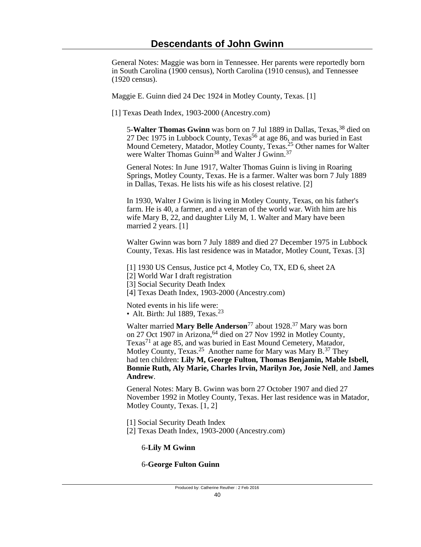General Notes: Maggie was born in Tennessee. Her parents were reportedly born in South Carolina (1900 census), North Carolina (1910 census), and Tennessee (1920 census).

Maggie E. Guinn died 24 Dec 1924 in Motley County, Texas. [1]

[1] Texas Death Index, 1903-2000 (Ancestry.com)

5-Walter Thomas Gwinn was born on 7 Jul 1889 in Dallas, Texas, <sup>38</sup> died on 27 Dec 1975 in Lubbock County, Texas<sup>56</sup> at age 86, and was buried in East Mound Cemetery, Matador, Motley County, Texas.<sup>25</sup> Other names for Walter were Walter Thomas Guinn<sup>38</sup> and Walter J Gwinn.<sup>37</sup>

General Notes: In June 1917, Walter Thomas Guinn is living in Roaring Springs, Motley County, Texas. He is a farmer. Walter was born 7 July 1889 in Dallas, Texas. He lists his wife as his closest relative. [2]

In 1930, Walter J Gwinn is living in Motley County, Texas, on his father's farm. He is 40, a farmer, and a veteran of the world war. With him are his wife Mary B, 22, and daughter Lily M, 1. Walter and Mary have been married 2 years. [1]

Walter Gwinn was born 7 July 1889 and died 27 December 1975 in Lubbock County, Texas. His last residence was in Matador, Motley Count, Texas. [3]

[1] 1930 US Census, Justice pct 4, Motley Co, TX, ED 6, sheet 2A

[2] World War I draft registration

[3] Social Security Death Index

[4] Texas Death Index, 1903-2000 (Ancestry.com)

Noted events in his life were: • Alt. Birth: Jul 1889, Texas. $23$ 

Walter married **Mary Belle Anderson**77 about 1928.37 Mary was born on 27 Oct 1907 in Arizona, <sup>64</sup> died on 27 Nov 1992 in Motley County, Texas<sup>71</sup> at age 85, and was buried in East Mound Cemetery, Matador, Motley County, Texas.<sup>25</sup> Another name for Mary was Mary B.<sup>37</sup> They had ten children: **Lily M, George Fulton, Thomas Benjamin, Mable Isbell, Bonnie Ruth, Aly Marie, Charles Irvin, Marilyn Joe, Josie Nell**, and **James Andrew**.

General Notes: Mary B. Gwinn was born 27 October 1907 and died 27 November 1992 in Motley County, Texas. Her last residence was in Matador, Motley County, Texas. [1, 2]

[1] Social Security Death Index

[2] Texas Death Index, 1903-2000 (Ancestry.com)

6-**Lily M Gwinn**

6-**George Fulton Guinn**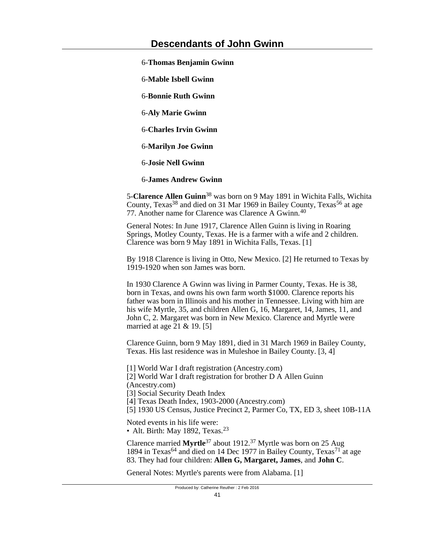6-**Thomas Benjamin Gwinn**

6-**Mable Isbell Gwinn**

6-**Bonnie Ruth Gwinn**

6-**Aly Marie Gwinn**

6-**Charles Irvin Gwinn**

6-**Marilyn Joe Gwinn**

6-**Josie Nell Gwinn**

6-**James Andrew Gwinn**

5-**Clarence Allen Guinn**38 was born on 9 May 1891 in Wichita Falls, Wichita County, Texas<sup>38</sup> and died on 31 Mar 1969 in Bailey County, Texas<sup>56</sup> at age 77. Another name for Clarence was Clarence A Gwinn.<sup>40</sup>

General Notes: In June 1917, Clarence Allen Guinn is living in Roaring Springs, Motley County, Texas. He is a farmer with a wife and 2 children. Clarence was born 9 May 1891 in Wichita Falls, Texas. [1]

By 1918 Clarence is living in Otto, New Mexico. [2] He returned to Texas by 1919-1920 when son James was born.

In 1930 Clarence A Gwinn was living in Parmer County, Texas. He is 38, born in Texas, and owns his own farm worth \$1000. Clarence reports his father was born in Illinois and his mother in Tennessee. Living with him are his wife Myrtle, 35, and children Allen G, 16, Margaret, 14, James, 11, and John C, 2. Margaret was born in New Mexico. Clarence and Myrtle were married at age 21 & 19. [5]

Clarence Guinn, born 9 May 1891, died in 31 March 1969 in Bailey County, Texas. His last residence was in Muleshoe in Bailey County. [3, 4]

[1] World War I draft registration (Ancestry.com) [2] World War I draft registration for brother D A Allen Guinn (Ancestry.com)

[3] Social Security Death Index

[4] Texas Death Index, 1903-2000 (Ancestry.com)

[5] 1930 US Census, Justice Precinct 2, Parmer Co, TX, ED 3, sheet 10B-11A

Noted events in his life were: • Alt. Birth: May 1892, Texas. $23$ 

Clarence married **Myrtle**37 about 1912.37 Myrtle was born on 25 Aug 1894 in Texas<sup>64</sup> and died on 14 Dec 1977 in Bailey County, Texas<sup>71</sup> at age 83. They had four children: **Allen G, Margaret, James**, and **John C**.

General Notes: Myrtle's parents were from Alabama. [1]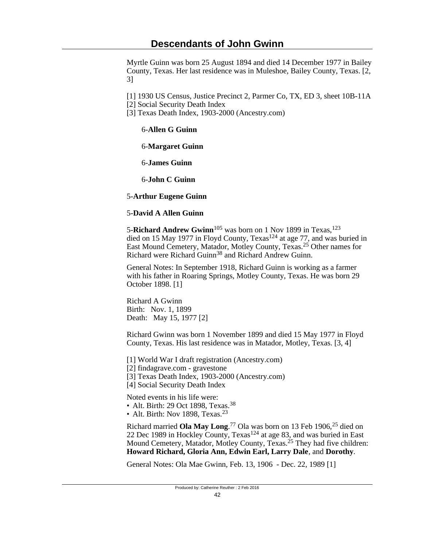Myrtle Guinn was born 25 August 1894 and died 14 December 1977 in Bailey County, Texas. Her last residence was in Muleshoe, Bailey County, Texas. [2, 3]

[1] 1930 US Census, Justice Precinct 2, Parmer Co, TX, ED 3, sheet 10B-11A

[2] Social Security Death Index

[3] Texas Death Index, 1903-2000 (Ancestry.com)

6-**Allen G Guinn**

6-**Margaret Guinn**

6-**James Guinn**

6-**John C Guinn**

5-**Arthur Eugene Guinn**

## 5-**David A Allen Guinn**

5-**Richard Andrew Gwinn**<sup>105</sup> was born on 1 Nov 1899 in Texas,<sup>123</sup> died on 15 May 1977 in Floyd County, Texas<sup>124</sup> at age 77, and was buried in East Mound Cemetery, Matador, Motley County, Texas.25 Other names for Richard were Richard Guinn<sup>38</sup> and Richard Andrew Guinn.

General Notes: In September 1918, Richard Guinn is working as a farmer with his father in Roaring Springs, Motley County, Texas. He was born 29 October 1898. [1]

Richard A Gwinn Birth: Nov. 1, 1899 Death: May 15, 1977 [2]

Richard Gwinn was born 1 November 1899 and died 15 May 1977 in Floyd County, Texas. His last residence was in Matador, Motley, Texas. [3, 4]

[1] World War I draft registration (Ancestry.com)

[2] findagrave.com - gravestone

[3] Texas Death Index, 1903-2000 (Ancestry.com)

[4] Social Security Death Index

Noted events in his life were:

• Alt. Birth: 29 Oct 1898, Texas.<sup>38</sup>

• Alt. Birth: Nov 1898, Texas.<sup>23</sup>

Richard married Ola May Long.<sup>77</sup> Ola was born on 13 Feb 1906,<sup>25</sup> died on 22 Dec 1989 in Hockley County, Texas<sup>124</sup> at age 83, and was buried in East Mound Cemetery, Matador, Motley County, Texas.<sup>25</sup> They had five children: **Howard Richard, Gloria Ann, Edwin Earl, Larry Dale**, and **Dorothy**.

General Notes: Ola Mae Gwinn, Feb. 13, 1906 - Dec. 22, 1989 [1]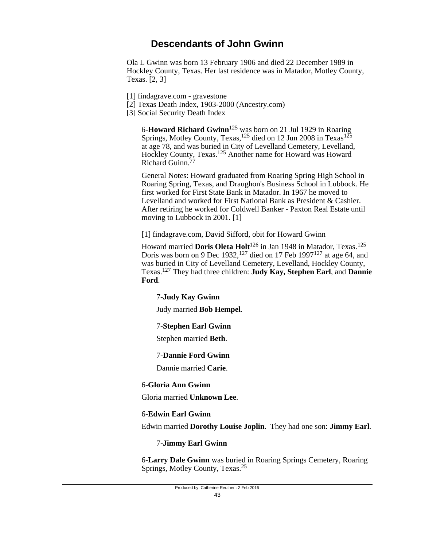Ola L Gwinn was born 13 February 1906 and died 22 December 1989 in Hockley County, Texas. Her last residence was in Matador, Motley County, Texas. [2, 3]

- [1] findagrave.com gravestone
- [2] Texas Death Index, 1903-2000 (Ancestry.com)
- [3] Social Security Death Index

6-**Howard Richard Gwinn**125 was born on 21 Jul 1929 in Roaring Springs, Motley County, Texas,<sup>125</sup> died on 12 Jun 2008 in Texas<sup>125</sup> at age 78, and was buried in City of Levelland Cemetery, Levelland, Hockley County, Texas.125 Another name for Howard was Howard Richard Guinn.<sup>77</sup>

General Notes: Howard graduated from Roaring Spring High School in Roaring Spring, Texas, and Draughon's Business School in Lubbock. He first worked for First State Bank in Matador. In 1967 he moved to Levelland and worked for First National Bank as President & Cashier. After retiring he worked for Coldwell Banker - Paxton Real Estate until moving to Lubbock in 2001. [1]

[1] findagrave.com, David Sifford, obit for Howard Gwinn

Howard married **Doris Oleta Holt**126 in Jan 1948 in Matador, Texas.<sup>125</sup> Doris was born on 9 Dec 1932,  $127$  died on 17 Feb 1997 $127$  at age 64, and was buried in City of Levelland Cemetery, Levelland, Hockley County, Texas.127 They had three children: **Judy Kay, Stephen Earl**, and **Dannie Ford**.

## 7-**Judy Kay Gwinn**

Judy married **Bob Hempel**.

## 7-**Stephen Earl Gwinn**

Stephen married **Beth**.

### 7-**Dannie Ford Gwinn**

Dannie married **Carie**.

### 6-**Gloria Ann Gwinn**

Gloria married **Unknown Lee**.

## 6-**Edwin Earl Gwinn**

Edwin married **Dorothy Louise Joplin**. They had one son: **Jimmy Earl**.

## 7-**Jimmy Earl Gwinn**

6-**Larry Dale Gwinn** was buried in Roaring Springs Cemetery, Roaring Springs, Motley County, Texas.<sup>25</sup>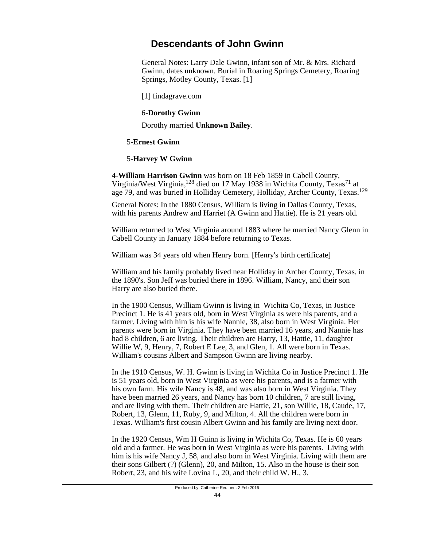General Notes: Larry Dale Gwinn, infant son of Mr. & Mrs. Richard Gwinn, dates unknown. Burial in Roaring Springs Cemetery, Roaring Springs, Motley County, Texas. [1]

[1] findagrave.com

## 6-**Dorothy Gwinn**

Dorothy married **Unknown Bailey**.

## 5-**Ernest Gwinn**

## 5-**Harvey W Gwinn**

4-**William Harrison Gwinn** was born on 18 Feb 1859 in Cabell County, Virginia/West Virginia,<sup>128</sup> died on 17 May 1938 in Wichita County, Texas<sup>71</sup> at age 79, and was buried in Holliday Cemetery, Holliday, Archer County, Texas.<sup>129</sup>

General Notes: In the 1880 Census, William is living in Dallas County, Texas, with his parents Andrew and Harriet (A Gwinn and Hattie). He is 21 years old.

William returned to West Virginia around 1883 where he married Nancy Glenn in Cabell County in January 1884 before returning to Texas.

William was 34 years old when Henry born. [Henry's birth certificate]

William and his family probably lived near Holliday in Archer County, Texas, in the 1890's. Son Jeff was buried there in 1896. William, Nancy, and their son Harry are also buried there.

In the 1900 Census, William Gwinn is living in Wichita Co, Texas, in Justice Precinct 1. He is 41 years old, born in West Virginia as were his parents, and a farmer. Living with him is his wife Nannie, 38, also born in West Virginia. Her parents were born in Virginia. They have been married 16 years, and Nannie has had 8 children, 6 are living. Their children are Harry, 13, Hattie, 11, daughter Willie W, 9, Henry, 7, Robert E Lee, 3, and Glen, 1. All were born in Texas. William's cousins Albert and Sampson Gwinn are living nearby.

In the 1910 Census, W. H. Gwinn is living in Wichita Co in Justice Precinct 1. He is 51 years old, born in West Virginia as were his parents, and is a farmer with his own farm. His wife Nancy is 48, and was also born in West Virginia. They have been married 26 years, and Nancy has born 10 children, 7 are still living, and are living with them. Their children are Hattie, 21, son Willie, 18, Caude, 17, Robert, 13, Glenn, 11, Ruby, 9, and Milton, 4. All the children were born in Texas. William's first cousin Albert Gwinn and his family are living next door.

In the 1920 Census, Wm H Guinn is living in Wichita Co, Texas. He is 60 years old and a farmer. He was born in West Virginia as were his parents. Living with him is his wife Nancy J, 58, and also born in West Virginia. Living with them are their sons Gilbert (?) (Glenn), 20, and Milton, 15. Also in the house is their son Robert, 23, and his wife Lovina L, 20, and their child W. H., 3.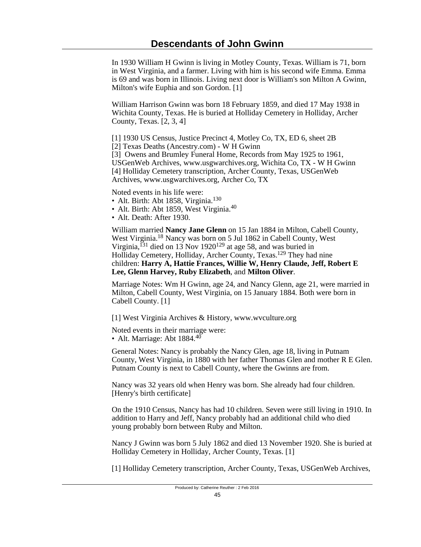In 1930 William H Gwinn is living in Motley County, Texas. William is 71, born in West Virginia, and a farmer. Living with him is his second wife Emma. Emma is 69 and was born in Illinois. Living next door is William's son Milton A Gwinn, Milton's wife Euphia and son Gordon. [1]

William Harrison Gwinn was born 18 February 1859, and died 17 May 1938 in Wichita County, Texas. He is buried at Holliday Cemetery in Holliday, Archer County, Texas. [2, 3, 4]

[1] 1930 US Census, Justice Precinct 4, Motley Co, TX, ED 6, sheet 2B [2] Texas Deaths (Ancestry.com) - W H Gwinn

[3] Owens and Brumley Funeral Home, Records from May 1925 to 1961, USGenWeb Archives, www.usgwarchives.org, Wichita Co, TX - W H Gwinn [4] Holliday Cemetery transcription, Archer County, Texas, USGenWeb Archives, www.usgwarchives.org, Archer Co, TX

Noted events in his life were:

- Alt. Birth: Abt 1858, Virginia.<sup>130</sup>
- Alt. Birth: Abt 1859, West Virginia.<sup>40</sup>
- Alt. Death: After 1930.

William married **Nancy Jane Glenn** on 15 Jan 1884 in Milton, Cabell County, West Virginia.18 Nancy was born on 5 Jul 1862 in Cabell County, West Virginia,  $^{131}$  died on 13 Nov 1920<sup>129</sup> at age 58, and was buried in Holliday Cemetery, Holliday, Archer County, Texas.129 They had nine children: **Harry A, Hattie Frances, Willie W, Henry Claude, Jeff, Robert E Lee, Glenn Harvey, Ruby Elizabeth**, and **Milton Oliver**.

Marriage Notes: Wm H Gwinn, age 24, and Nancy Glenn, age 21, were married in Milton, Cabell County, West Virginia, on 15 January 1884. Both were born in Cabell County. [1]

[1] West Virginia Archives & History, www.wvculture.org

Noted events in their marriage were: • Alt. Marriage: Abt  $1884.<sup>40</sup>$ 

General Notes: Nancy is probably the Nancy Glen, age 18, living in Putnam County, West Virginia, in 1880 with her father Thomas Glen and mother R E Glen. Putnam County is next to Cabell County, where the Gwinns are from.

Nancy was 32 years old when Henry was born. She already had four children. [Henry's birth certificate]

On the 1910 Census, Nancy has had 10 children. Seven were still living in 1910. In addition to Harry and Jeff, Nancy probably had an additional child who died young probably born between Ruby and Milton.

Nancy J Gwinn was born 5 July 1862 and died 13 November 1920. She is buried at Holliday Cemetery in Holliday, Archer County, Texas. [1]

[1] Holliday Cemetery transcription, Archer County, Texas, USGenWeb Archives,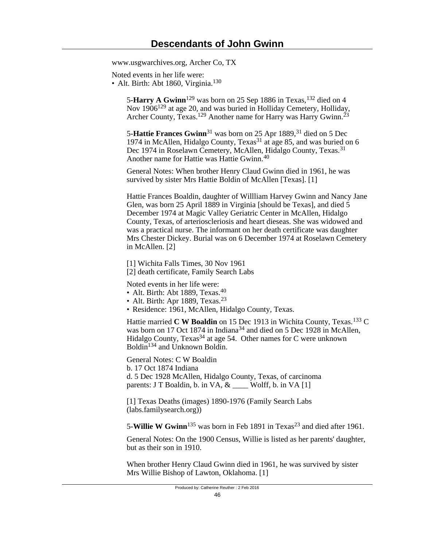www.usgwarchives.org, Archer Co, TX

Noted events in her life were:

• Alt. Birth: Abt 1860, Virginia.<sup>130</sup>

5-**Harry A Gwinn**<sup>129</sup> was born on 25 Sep 1886 in Texas, <sup>132</sup> died on 4 Nov 1906129 at age 20, and was buried in Holliday Cemetery, Holliday, Archer County, Texas.<sup>129</sup> Another name for Harry was Harry Gwinn.<sup>23</sup>

5-**Hattie Frances Gwinn**<sup>31</sup> was born on 25 Apr 1889,<sup>31</sup> died on 5 Dec 1974 in McAllen, Hidalgo County, Texas<sup>31</sup> at age 85, and was buried on 6 Dec 1974 in Roselawn Cemetery, McAllen, Hidalgo County, Texas.<sup>31</sup> Another name for Hattie was Hattie Gwinn.<sup>40</sup>

General Notes: When brother Henry Claud Gwinn died in 1961, he was survived by sister Mrs Hattie Boldin of McAllen [Texas]. [1]

Hattie Frances Boaldin, daughter of Willliam Harvey Gwinn and Nancy Jane Glen, was born 25 April 1889 in Virginia [should be Texas], and died 5 December 1974 at Magic Valley Geriatric Center in McAllen, Hidalgo County, Texas, of arterioscleriosis and heart dieseas. She was widowed and was a practical nurse. The informant on her death certificate was daughter Mrs Chester Dickey. Burial was on 6 December 1974 at Roselawn Cemetery in McAllen. [2]

[1] Wichita Falls Times, 30 Nov 1961 [2] death certificate, Family Search Labs

Noted events in her life were:

- Alt. Birth: Abt 1889, Texas.<sup>40</sup>
- Alt. Birth: Apr 1889, Texas. $23$
- Residence: 1961, McAllen, Hidalgo County, Texas.

Hattie married **C W Boaldin** on 15 Dec 1913 in Wichita County, Texas.<sup>133</sup> C was born on 17 Oct 1874 in Indiana<sup>34</sup> and died on 5 Dec 1928 in McAllen, Hidalgo County, Texas<sup>34</sup> at age 54. Other names for C were unknown Boldin134 and Unknown Boldin.

General Notes: C W Boaldin b. 17 Oct 1874 Indiana d. 5 Dec 1928 McAllen, Hidalgo County, Texas, of carcinoma parents: J T Boaldin, b. in VA,  $\&$  \_\_\_\_\_ Wolff, b. in VA [1]

[1] Texas Deaths (images) 1890-1976 (Family Search Labs (labs.familysearch.org))

5-**Willie W Gwinn**<sup>135</sup> was born in Feb 1891 in Texas<sup>23</sup> and died after 1961.

General Notes: On the 1900 Census, Willie is listed as her parents' daughter, but as their son in 1910.

When brother Henry Claud Gwinn died in 1961, he was survived by sister Mrs Willie Bishop of Lawton, Oklahoma. [1]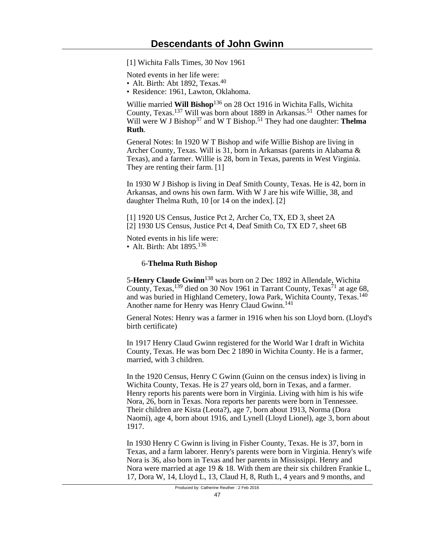[1] Wichita Falls Times, 30 Nov 1961

Noted events in her life were:

- Alt. Birth: Abt 1892, Texas.<sup>40</sup>
- Residence: 1961, Lawton, Oklahoma.

Willie married Will Bishop<sup>136</sup> on 28 Oct 1916 in Wichita Falls, Wichita County, Texas.137 Will was born about 1889 in Arkansas.51 Other names for Will were W J Bishop<sup>37</sup> and W T Bishop.<sup>51</sup> They had one daughter: **Thelma Ruth**.

General Notes: In 1920 W T Bishop and wife Willie Bishop are living in Archer County, Texas. Will is 31, born in Arkansas (parents in Alabama & Texas), and a farmer. Willie is 28, born in Texas, parents in West Virginia. They are renting their farm. [1]

In 1930 W J Bishop is living in Deaf Smith County, Texas. He is 42, born in Arkansas, and owns his own farm. With W J are his wife Willie, 38, and daughter Thelma Ruth, 10 [or 14 on the index]. [2]

[1] 1920 US Census, Justice Pct 2, Archer Co, TX, ED 3, sheet 2A [2] 1930 US Census, Justice Pct 4, Deaf Smith Co, TX ED 7, sheet 6B

Noted events in his life were: • Alt. Birth: Abt 1895.<sup>136</sup>

#### 6-**Thelma Ruth Bishop**

5-**Henry Claude Gwinn**138 was born on 2 Dec 1892 in Allendale, Wichita County, Texas,<sup>139</sup> died on 30 Nov 1961 in Tarrant County, Texas<sup>71</sup> at age 68, and was buried in Highland Cemetery, Iowa Park, Wichita County, Texas.<sup>140</sup> Another name for Henry was Henry Claud Gwinn.<sup>141</sup>

General Notes: Henry was a farmer in 1916 when his son Lloyd born. (Lloyd's birth certificate)

In 1917 Henry Claud Gwinn registered for the World War I draft in Wichita County, Texas. He was born Dec 2 1890 in Wichita County. He is a farmer, married, with 3 children.

In the 1920 Census, Henry C Gwinn (Guinn on the census index) is living in Wichita County, Texas. He is 27 years old, born in Texas, and a farmer. Henry reports his parents were born in Virginia. Living with him is his wife Nora, 26, born in Texas. Nora reports her parents were born in Tennessee. Their children are Kista (Leota?), age 7, born about 1913, Norma (Dora Naomi), age 4, born about 1916, and Lynell (Lloyd Lionel), age 3, born about 1917.

In 1930 Henry C Gwinn is living in Fisher County, Texas. He is 37, born in Texas, and a farm laborer. Henry's parents were born in Virginia. Henry's wife Nora is 36, also born in Texas and her parents in Mississippi. Henry and Nora were married at age 19 & 18. With them are their six children Frankie L, 17, Dora W, 14, Lloyd L, 13, Claud H, 8, Ruth L, 4 years and 9 months, and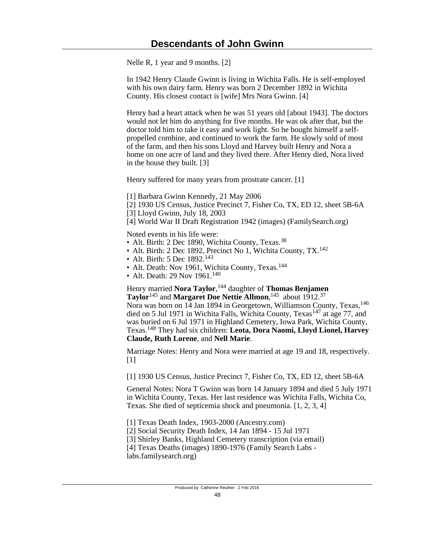Nelle R, 1 year and 9 months. [2]

In 1942 Henry Claude Gwinn is living in Wichita Falls. He is self-employed with his own dairy farm. Henry was born 2 December 1892 in Wichita County. His closest contact is [wife] Mrs Nora Gwinn. [4]

Henry had a heart attack when he was 51 years old [about 1943]. The doctors would not let him do anything for five months. He was ok after that, but the doctor told him to take it easy and work light. So he bought himself a selfpropelled combine, and continued to work the farm. He slowly sold of most of the farm, and then his sons Lloyd and Harvey built Henry and Nora a home on one acre of land and they lived there. After Henry died, Nora lived in the house they built. [3]

Henry suffered for many years from prostrate cancer. [1]

[1] Barbara Gwinn Kennedy, 21 May 2006

- [2] 1930 US Census, Justice Precinct 7, Fisher Co, TX, ED 12, sheet 5B-6A
- [3] Lloyd Gwinn, July 18, 2003

[4] World War II Draft Registration 1942 (images) (FamilySearch.org)

Noted events in his life were:

- Alt. Birth: 2 Dec 1890, Wichita County, Texas.<sup>38</sup>
- Alt. Birth: 2 Dec 1892, Precinct No 1, Wichita County, TX.<sup>142</sup>
- Alt. Birth: 5 Dec 1892.<sup>143</sup>
- Alt. Death: Nov 1961, Wichita County, Texas.<sup>144</sup>
- Alt. Death: 29 Nov 1961.<sup>140</sup>

Henry married **Nora Taylor**, <sup>144</sup> daughter of **Thomas Benjamen Taylor**145 and **Margaret Doe Nettie Allmon**, <sup>145</sup> about 1912.<sup>37</sup>

Nora was born on 14 Jan 1894 in Georgetown, Williamson County, Texas, <sup>146</sup> died on 5 Jul 1971 in Wichita Falls, Wichita County, Texas<sup>147</sup> at age 77, and was buried on 6 Jul 1971 in Highland Cemetery, Iowa Park, Wichita County, Texas.148 They had six children: **Leota, Dora Naomi, Lloyd Lionel, Harvey Claude, Ruth Lorene**, and **Nell Marie**.

Marriage Notes: Henry and Nora were married at age 19 and 18, respectively.  $[1]$ 

[1] 1930 US Census, Justice Precinct 7, Fisher Co, TX, ED 12, sheet 5B-6A

General Notes: Nora T Gwinn was born 14 January 1894 and died 5 July 1971 in Wichita County, Texas. Her last residence was Wichita Falls, Wichita Co, Texas. She died of septicemia shock and pneumonia. [1, 2, 3, 4]

[1] Texas Death Index, 1903-2000 (Ancestry.com)

[2] Social Security Death Index, 14 Jan 1894 - 15 Jul 1971

[3] Shirley Banks, Highland Cemetery transcription (via email)

[4] Texas Deaths (images) 1890-1976 (Family Search Labs -

labs.familysearch.org)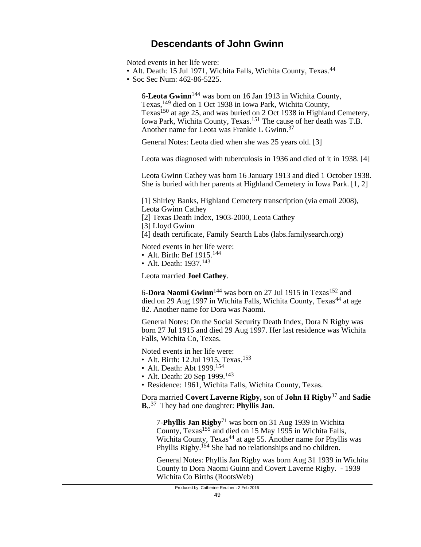Noted events in her life were:

- Alt. Death: 15 Jul 1971, Wichita Falls, Wichita County, Texas.<sup>44</sup>
- Soc Sec Num: 462-86-5225.

6-**Leota Gwinn**144 was born on 16 Jan 1913 in Wichita County, Texas,149 died on 1 Oct 1938 in Iowa Park, Wichita County, Texas<sup>150</sup> at age 25, and was buried on 2 Oct 1938 in Highland Cemetery. Iowa Park, Wichita County, Texas.151 The cause of her death was T.B. Another name for Leota was Frankie L Gwinn.<sup>37</sup>

General Notes: Leota died when she was 25 years old. [3]

Leota was diagnosed with tuberculosis in 1936 and died of it in 1938. [4]

Leota Gwinn Cathey was born 16 January 1913 and died 1 October 1938. She is buried with her parents at Highland Cemetery in Iowa Park. [1, 2]

[1] Shirley Banks, Highland Cemetery transcription (via email 2008), Leota Gwinn Cathey

[2] Texas Death Index, 1903-2000, Leota Cathey

[3] Lloyd Gwinn

[4] death certificate, Family Search Labs (labs.familysearch.org)

Noted events in her life were:

• Alt. Birth: Bef 1915.<sup>144</sup>

• Alt. Death:  $1937$ <sup>143</sup>

Leota married **Joel Cathey**.

6-**Dora Naomi Gwinn**<sup>144</sup> was born on 27 Jul 1915 in Texas<sup>152</sup> and died on 29 Aug 1997 in Wichita Falls, Wichita County, Texas<sup>44</sup> at age 82. Another name for Dora was Naomi.

General Notes: On the Social Security Death Index, Dora N Rigby was born 27 Jul 1915 and died 29 Aug 1997. Her last residence was Wichita Falls, Wichita Co, Texas.

Noted events in her life were:

- Alt. Birth: 12 Jul 1915, Texas.<sup>153</sup>
- Alt. Death: Abt 1999.<sup>154</sup>
- Alt. Death: 20 Sep 1999.<sup>143</sup>
- Residence: 1961, Wichita Falls, Wichita County, Texas.

Dora married **Covert Laverne Rigby,** son of **John H Rigby**37 and **Sadie B**,. <sup>37</sup> They had one daughter: **Phyllis Jan**.

7-**Phyllis Jan Rigby**71 was born on 31 Aug 1939 in Wichita County, Texas155 and died on 15 May 1995 in Wichita Falls, Wichita County, Texas<sup>44</sup> at age 55. Another name for Phyllis was Phyllis Rigby.<sup>154</sup> She had no relationships and no children.

General Notes: Phyllis Jan Rigby was born Aug 31 1939 in Wichita County to Dora Naomi Guinn and Covert Laverne Rigby. - 1939 Wichita Co Births (RootsWeb)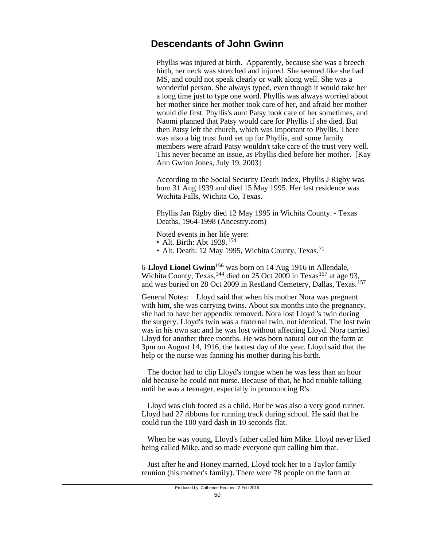Phyllis was injured at birth. Apparently, because she was a breech birth, her neck was stretched and injured. She seemed like she had MS, and could not speak clearly or walk along well. She was a wonderful person. She always typed, even though it would take her a long time just to type one word. Phyllis was always worried about her mother since her mother took care of her, and afraid her mother would die first. Phyllis's aunt Patsy took care of her sometimes, and Naomi planned that Patsy would care for Phyllis if she died. But then Patsy left the church, which was important to Phyllis. There was also a big trust fund set up for Phyllis, and some family members were afraid Patsy wouldn't take care of the trust very well. This never became an issue, as Phyllis died before her mother. [Kay Ann Gwinn Jones, July 19, 2003]

According to the Social Security Death Index, Phyllis J Rigby was born 31 Aug 1939 and died 15 May 1995. Her last residence was Wichita Falls, Wichita Co, Texas.

Phyllis Jan Rigby died 12 May 1995 in Wichita County. - Texas Deaths, 1964-1998 (Ancestry.com)

Noted events in her life were:

- Alt. Birth: Abt 1939.<sup>154</sup>
- Alt. Death: 12 May 1995, Wichita County, Texas.<sup>71</sup>

6-**Lloyd Lionel Gwinn**156 was born on 14 Aug 1916 in Allendale, Wichita County, Texas, <sup>144</sup> died on 25 Oct 2009 in Texas<sup>157</sup> at age 93, and was buried on 28 Oct 2009 in Restland Cemetery, Dallas, Texas.<sup>157</sup>

General Notes: Lloyd said that when his mother Nora was pregnant with him, she was carrying twins. About six months into the pregnancy, she had to have her appendix removed. Nora lost Lloyd 's twin during the surgery. Lloyd's twin was a fraternal twin, not identical. The lost twin was in his own sac and he was lost without affecting Lloyd. Nora carried Lloyd for another three months. He was born natural out on the farm at 3pm on August 14, 1916, the hottest day of the year. Lloyd said that the help or the nurse was fanning his mother during his birth.

 The doctor had to clip Lloyd's tongue when he was less than an hour old because he could not nurse. Because of that, he had trouble talking until he was a teenager, especially in pronouncing R's.

 Lloyd was club footed as a child. But he was also a very good runner. Lloyd had 27 ribbons for running track during school. He said that he could run the 100 yard dash in 10 seconds flat.

 When he was young, Lloyd's father called him Mike. Lloyd never liked being called Mike, and so made everyone quit calling him that.

 Just after he and Honey married, Lloyd took her to a Taylor family reunion (his mother's family). There were 78 people on the farm at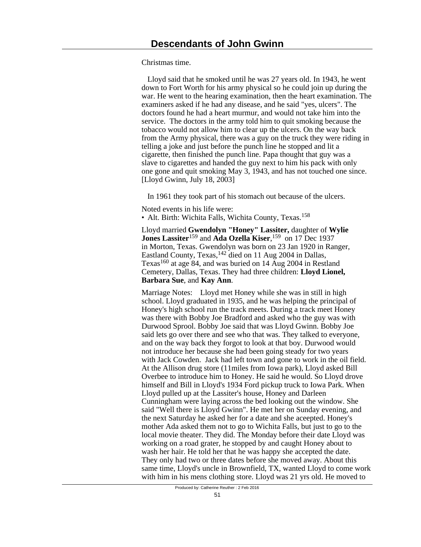Christmas time.

 Lloyd said that he smoked until he was 27 years old. In 1943, he went down to Fort Worth for his army physical so he could join up during the war. He went to the hearing examination, then the heart examination. The examiners asked if he had any disease, and he said "yes, ulcers". The doctors found he had a heart murmur, and would not take him into the service. The doctors in the army told him to quit smoking because the tobacco would not allow him to clear up the ulcers. On the way back from the Army physical, there was a guy on the truck they were riding in telling a joke and just before the punch line he stopped and lit a cigarette, then finished the punch line. Papa thought that guy was a slave to cigarettes and handed the guy next to him his pack with only one gone and quit smoking May 3, 1943, and has not touched one since. [Lloyd Gwinn, July 18, 2003]

In 1961 they took part of his stomach out because of the ulcers.

Noted events in his life were: • Alt. Birth: Wichita Falls, Wichita County, Texas.<sup>158</sup>

Lloyd married **Gwendolyn "Honey" Lassiter,** daughter of **Wylie Jones Lassiter**159 and **Ada Ozella Kiser**, <sup>159</sup> on 17 Dec 1937 in Morton, Texas. Gwendolyn was born on 23 Jan 1920 in Ranger, Eastland County, Texas,<sup>142</sup> died on 11 Aug 2004 in Dallas, Texas160 at age 84, and was buried on 14 Aug 2004 in Restland Cemetery, Dallas, Texas. They had three children: **Lloyd Lionel, Barbara Sue**, and **Kay Ann**.

Marriage Notes: Lloyd met Honey while she was in still in high school. Lloyd graduated in 1935, and he was helping the principal of Honey's high school run the track meets. During a track meet Honey was there with Bobby Joe Bradford and asked who the guy was with Durwood Sprool. Bobby Joe said that was Lloyd Gwinn. Bobby Joe said lets go over there and see who that was. They talked to everyone, and on the way back they forgot to look at that boy. Durwood would not introduce her because she had been going steady for two years with Jack Cowden. Jack had left town and gone to work in the oil field. At the Allison drug store (11miles from Iowa park), Lloyd asked Bill Overbee to introduce him to Honey. He said he would. So Lloyd drove himself and Bill in Lloyd's 1934 Ford pickup truck to Iowa Park. When Lloyd pulled up at the Lassiter's house, Honey and Darleen Cunningham were laying across the bed looking out the window. She said "Well there is Lloyd Gwinn". He met her on Sunday evening, and the next Saturday he asked her for a date and she aceepted. Honey's mother Ada asked them not to go to Wichita Falls, but just to go to the local movie theater. They did. The Monday before their date Lloyd was working on a road grater, he stopped by and caught Honey about to wash her hair. He told her that he was happy she accepted the date. They only had two or three dates before she moved away. About this same time, Lloyd's uncle in Brownfield, TX, wanted Lloyd to come work with him in his mens clothing store. Lloyd was 21 yrs old. He moved to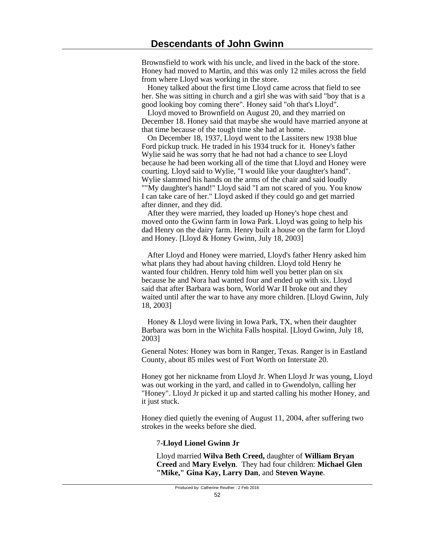Brownsfield to work with his uncle, and lived in the back of the store. Honey had moved to Martin, and this was only 12 miles across the field from where Lloyd was working in the store.

 Honey talked about the first time Lloyd came across that field to see her. She was sitting in church and a girl she was with said "boy that is a good looking boy coming there". Honey said "oh that's Lloyd".

 Lloyd moved to Brownfield on August 20, and they married on December 18. Honey said that maybe she would have married anyone at that time because of the tough time she had at home.

 On December 18, 1937, Lloyd went to the Lassiters new 1938 blue Ford pickup truck. He traded in his 1934 truck for it. Honey's father Wylie said he was sorry that he had not had a chance to see Lloyd because he had been working all of the time that Lloyd and Honey were courting. Lloyd said to Wylie, "I would like your daughter's hand". Wylie slammed his hands on the arms of the chair and said loudly ""My daughter's hand!" Lloyd said "I am not scared of you. You know I can take care of her." Lloyd asked if they could go and get married after dinner, and they did.

 After they were married, they loaded up Honey's hope chest and moved onto the Gwinn farm in Iowa Park. Lloyd was going to help his dad Henry on the dairy farm. Henry built a house on the farm for Lloyd and Honey. [Lloyd & Honey Gwinn, July 18, 2003]

 After Lloyd and Honey were married, Lloyd's father Henry asked him what plans they had about having children. Lloyd told Henry he wanted four children. Henry told him well you better plan on six because he and Nora had wanted four and ended up with six. Lloyd said that after Barbara was born, World War II broke out and they waited until after the war to have any more children. [Lloyd Gwinn, July 18, 2003]

 Honey & Lloyd were living in Iowa Park, TX, when their daughter Barbara was born in the Wichita Falls hospital. [Lloyd Gwinn, July 18, 2003]

General Notes: Honey was born in Ranger, Texas. Ranger is in Eastland County, about 85 miles west of Fort Worth on Interstate 20.

Honey got her nickname from Lloyd Jr. When Lloyd Jr was young, Lloyd was out working in the yard, and called in to Gwendolyn, calling her "Honey". Lloyd Jr picked it up and started calling his mother Honey, and it just stuck.

Honey died quietly the evening of August 11, 2004, after suffering two strokes in the weeks before she died.

### 7-**Lloyd Lionel Gwinn Jr**

Lloyd married **Wilva Beth Creed,** daughter of **William Bryan Creed** and **Mary Evelyn**. They had four children: **Michael Glen "Mike," Gina Kay, Larry Dan**, and **Steven Wayne**.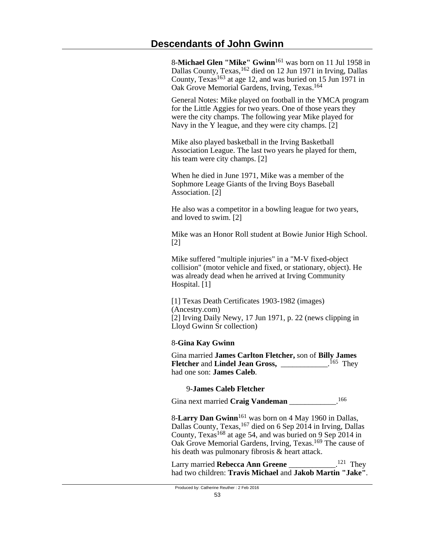8-**Michael Glen "Mike" Gwinn**161 was born on 11 Jul 1958 in Dallas County, Texas, <sup>162</sup> died on 12 Jun 1971 in Irving, Dallas County, Texas<sup>163</sup> at age 12, and was buried on 15 Jun 1971 in Oak Grove Memorial Gardens, Irving, Texas.<sup>164</sup>

General Notes: Mike played on football in the YMCA program for the Little Aggies for two years. One of those years they were the city champs. The following year Mike played for Navy in the Y league, and they were city champs. [2]

Mike also played basketball in the Irving Basketball Association League. The last two years he played for them, his team were city champs. [2]

When he died in June 1971, Mike was a member of the Sophmore Leage Giants of the Irving Boys Baseball Association. [2]

He also was a competitor in a bowling league for two years, and loved to swim. [2]

Mike was an Honor Roll student at Bowie Junior High School. [2]

Mike suffered "multiple injuries" in a "M-V fixed-object collision" (motor vehicle and fixed, or stationary, object). He was already dead when he arrived at Irving Community Hospital. [1]

[1] Texas Death Certificates 1903-1982 (images) (Ancestry.com) [2] Irving Daily Newy, 17 Jun 1971, p. 22 (news clipping in Lloyd Gwinn Sr collection)

### 8-**Gina Kay Gwinn**

Gina married **James Carlton Fletcher,** son of **Billy James Fletcher** and **Lindel Jean Gross,** \_\_\_\_\_\_\_\_\_\_\_\_. <sup>165</sup> They had one son: **James Caleb**.

### 9-**James Caleb Fletcher**

Gina next married **Craig Vandeman** \_\_\_\_\_\_\_\_\_\_\_\_.<sup>166</sup>

8-**Larry Dan Gwinn**161 was born on 4 May 1960 in Dallas, Dallas County, Texas,167 died on 6 Sep 2014 in Irving, Dallas County, Texas<sup>168</sup> at age 54, and was buried on 9 Sep 2014 in Oak Grove Memorial Gardens, Irving, Texas.<sup>169</sup> The cause of his death was pulmonary fibrosis & heart attack.

Larry married **Rebecca Ann Greene**  $121$  They had two children: **Travis Michael** and **Jakob Martin "Jake"**.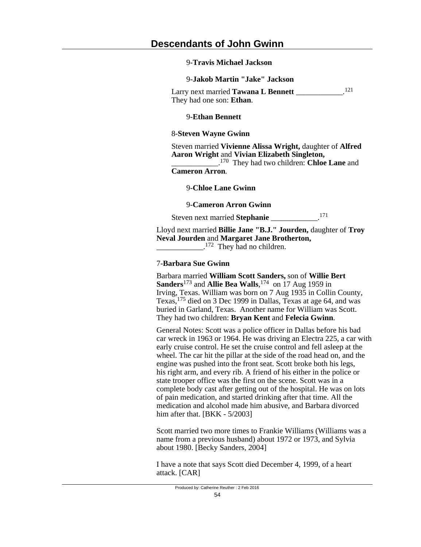#### 9-**Travis Michael Jackson**

#### 9-**Jakob Martin "Jake" Jackson**

Larry next married **Tawana L Bennett** 121 They had one son: **Ethan**.

#### 9-**Ethan Bennett**

#### 8-**Steven Wayne Gwinn**

Steven married **Vivienne Alissa Wright,** daughter of **Alfred Aaron Wright** and **Vivian Elizabeth Singleton,**

\_\_\_\_\_\_\_\_\_\_\_\_. <sup>170</sup> They had two children: **Chloe Lane** and **Cameron Arron**.

#### 9-**Chloe Lane Gwinn**

9-**Cameron Arron Gwinn**

Steven next married **Stephanie** \_\_\_\_\_\_\_\_\_\_\_\_. 171

Lloyd next married **Billie Jane "B.J." Jourden,** daughter of **Troy Neval Jourden** and **Margaret Jane Brotherton,**  $\frac{172}{2}$  They had no children.

#### 7-**Barbara Sue Gwinn**

Barbara married **William Scott Sanders,** son of **Willie Bert Sanders**173 and **Allie Bea Walls**, <sup>174</sup> on 17 Aug 1959 in Irving, Texas. William was born on 7 Aug 1935 in Collin County, Texas,175 died on 3 Dec 1999 in Dallas, Texas at age 64, and was buried in Garland, Texas. Another name for William was Scott. They had two children: **Bryan Kent** and **Felecia Gwinn**.

General Notes: Scott was a police officer in Dallas before his bad car wreck in 1963 or 1964. He was driving an Electra 225, a car with early cruise control. He set the cruise control and fell asleep at the wheel. The car hit the pillar at the side of the road head on, and the engine was pushed into the front seat. Scott broke both his legs, his right arm, and every rib. A friend of his either in the police or state trooper office was the first on the scene. Scott was in a complete body cast after getting out of the hospital. He was on lots of pain medication, and started drinking after that time. All the medication and alcohol made him abusive, and Barbara divorced him after that. **[BKK - 5/2003]** 

Scott married two more times to Frankie Williams (Williams was a name from a previous husband) about 1972 or 1973, and Sylvia about 1980. [Becky Sanders, 2004]

I have a note that says Scott died December 4, 1999, of a heart attack. [CAR]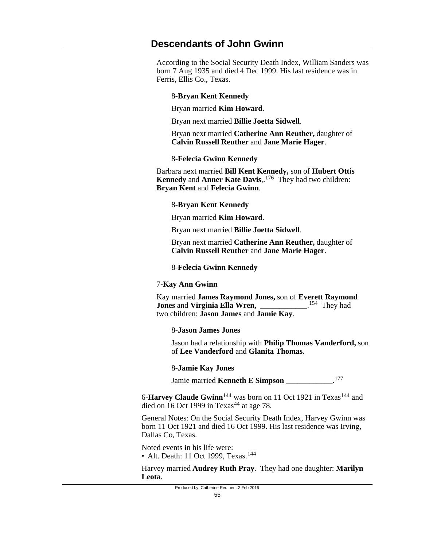According to the Social Security Death Index, William Sanders was born 7 Aug 1935 and died 4 Dec 1999. His last residence was in Ferris, Ellis Co., Texas.

## 8-**Bryan Kent Kennedy**

Bryan married **Kim Howard**.

Bryan next married **Billie Joetta Sidwell**.

Bryan next married **Catherine Ann Reuther,** daughter of **Calvin Russell Reuther** and **Jane Marie Hager**.

## 8-**Felecia Gwinn Kennedy**

Barbara next married **Bill Kent Kennedy,** son of **Hubert Ottis Kennedy** and **Anner Kate Davis**,. <sup>176</sup> They had two children: **Bryan Kent** and **Felecia Gwinn**.

## 8-**Bryan Kent Kennedy**

Bryan married **Kim Howard**.

Bryan next married **Billie Joetta Sidwell**.

Bryan next married **Catherine Ann Reuther,** daughter of **Calvin Russell Reuther** and **Jane Marie Hager**.

## 8-**Felecia Gwinn Kennedy**

### 7-**Kay Ann Gwinn**

Kay married **James Raymond Jones,** son of **Everett Raymond Jones** and **Virginia Ella Wren,** \_\_\_\_\_\_\_\_\_\_\_\_. <sup>154</sup> They had two children: **Jason James** and **Jamie Kay**.

## 8-**Jason James Jones**

Jason had a relationship with **Philip Thomas Vanderford,** son of **Lee Vanderford** and **Glanita Thomas**.

### 8-**Jamie Kay Jones**

Jamie married **Kenneth E Simpson** \_\_\_\_\_\_\_\_\_\_\_\_.<sup>177</sup>

6-**Harvey Claude Gwinn**<sup>144</sup> was born on 11 Oct 1921 in Texas<sup>144</sup> and died on  $16$  Oct 1999 in Texas<sup>44</sup> at age 78.

General Notes: On the Social Security Death Index, Harvey Gwinn was born 11 Oct 1921 and died 16 Oct 1999. His last residence was Irving, Dallas Co, Texas.

Noted events in his life were: • Alt. Death: 11 Oct 1999, Texas.<sup>144</sup>

Harvey married **Audrey Ruth Pray**. They had one daughter: **Marilyn Leota**.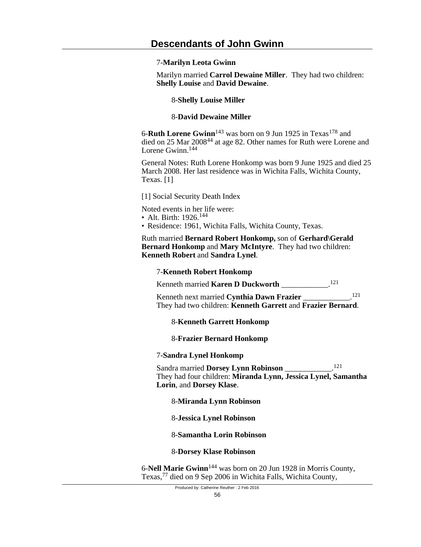#### 7-**Marilyn Leota Gwinn**

Marilyn married **Carrol Dewaine Miller**. They had two children: **Shelly Louise** and **David Dewaine**.

8-**Shelly Louise Miller**

#### 8-**David Dewaine Miller**

6-**Ruth Lorene Gwinn**<sup>143</sup> was born on 9 Jun 1925 in Texas<sup>178</sup> and died on 25 Mar 2008<sup>44</sup> at age 82. Other names for Ruth were Lorene and Lorene Gwinn.<sup>144</sup>

General Notes: Ruth Lorene Honkomp was born 9 June 1925 and died 25 March 2008. Her last residence was in Wichita Falls, Wichita County, Texas. [1]

[1] Social Security Death Index

Noted events in her life were:

- Alt. Birth: 1926.<sup>144</sup>
- Residence: 1961, Wichita Falls, Wichita County, Texas.

Ruth married **Bernard Robert Honkomp,** son of **Gerhard\Gerald Bernard Honkomp** and **Mary McIntyre**. They had two children: **Kenneth Robert** and **Sandra Lynel**.

#### 7-**Kenneth Robert Honkomp**

Kenneth married **Karen D Duckworth** \_\_\_\_\_\_\_\_\_\_\_\_. 121

Kenneth next married **Cynthia Dawn Frazier** \_\_\_\_\_\_\_\_\_\_\_\_. 121 They had two children: **Kenneth Garrett** and **Frazier Bernard**.

### 8-**Kenneth Garrett Honkomp**

#### 8-**Frazier Bernard Honkomp**

#### 7-**Sandra Lynel Honkomp**

Sandra married **Dorsey Lynn Robinson** \_\_\_\_\_\_\_\_\_\_\_\_. 121 They had four children: **Miranda Lynn, Jessica Lynel, Samantha Lorin**, and **Dorsey Klase**.

#### 8-**Miranda Lynn Robinson**

#### 8-**Jessica Lynel Robinson**

### 8-**Samantha Lorin Robinson**

#### 8-**Dorsey Klase Robinson**

6-**Nell Marie Gwinn**144 was born on 20 Jun 1928 in Morris County, Texas,77 died on 9 Sep 2006 in Wichita Falls, Wichita County,

Produced by: Catherine Reuther : 2 Feb 2016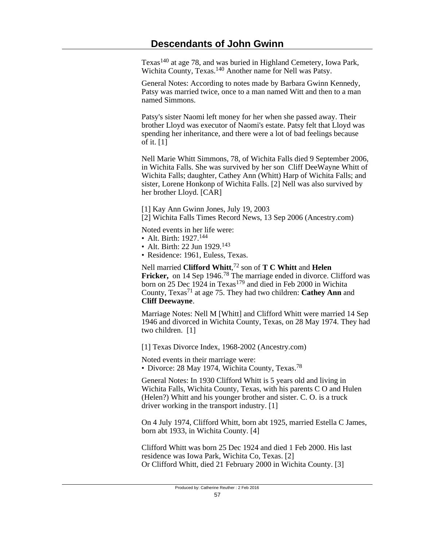Texas<sup>140</sup> at age 78, and was buried in Highland Cemetery, Iowa Park, Wichita County, Texas.<sup>140</sup> Another name for Nell was Patsy.

General Notes: According to notes made by Barbara Gwinn Kennedy, Patsy was married twice, once to a man named Witt and then to a man named Simmons.

Patsy's sister Naomi left money for her when she passed away. Their brother Lloyd was executor of Naomi's estate. Patsy felt that Lloyd was spending her inheritance, and there were a lot of bad feelings because of it. [1]

Nell Marie Whitt Simmons, 78, of Wichita Falls died 9 September 2006, in Wichita Falls. She was survived by her son Cliff DeeWayne Whitt of Wichita Falls; daughter, Cathey Ann (Whitt) Harp of Wichita Falls; and sister, Lorene Honkonp of Wichita Falls. [2] Nell was also survived by her brother Lloyd. [CAR]

[1] Kay Ann Gwinn Jones, July 19, 2003

[2] Wichita Falls Times Record News, 13 Sep 2006 (Ancestry.com)

Noted events in her life were:

- Alt. Birth: 1927.<sup>144</sup>
- Alt. Birth: 22 Jun 1929.<sup>143</sup>
- Residence: 1961, Euless, Texas.

Nell married **Clifford Whitt**, <sup>72</sup> son of **T C Whitt** and **Helen Fricker,** on 14 Sep 1946.78 The marriage ended in divorce. Clifford was born on 25 Dec 1924 in Texas<sup>179</sup> and died in Feb 2000 in Wichita County, Texas<sup>71</sup> at age 75. They had two children: **Cathey Ann** and **Cliff Deewayne**.

Marriage Notes: Nell M [Whitt] and Clifford Whitt were married 14 Sep 1946 and divorced in Wichita County, Texas, on 28 May 1974. They had two children. [1]

[1] Texas Divorce Index, 1968-2002 (Ancestry.com)

Noted events in their marriage were:

• Divorce: 28 May 1974, Wichita County, Texas.<sup>78</sup>

General Notes: In 1930 Clifford Whitt is 5 years old and living in Wichita Falls, Wichita County, Texas, with his parents C O and Hulen (Helen?) Whitt and his younger brother and sister. C. O. is a truck driver working in the transport industry. [1]

On 4 July 1974, Clifford Whitt, born abt 1925, married Estella C James, born abt 1933, in Wichita County. [4]

Clifford Whitt was born 25 Dec 1924 and died 1 Feb 2000. His last residence was Iowa Park, Wichita Co, Texas. [2] Or Clifford Whitt, died 21 February 2000 in Wichita County. [3]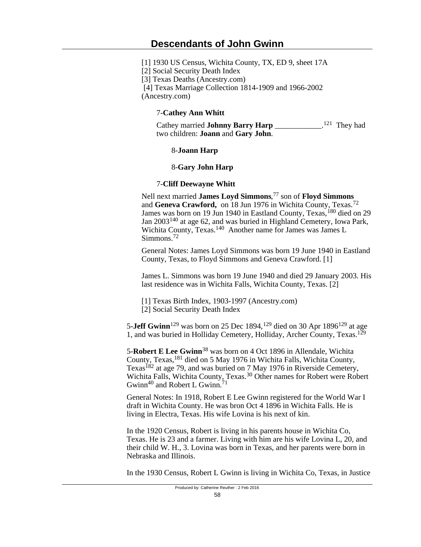[1] 1930 US Census, Wichita County, TX, ED 9, sheet 17A

[2] Social Security Death Index

[3] Texas Deaths (Ancestry.com)

[4] Texas Marriage Collection 1814-1909 and 1966-2002

(Ancestry.com)

## 7-**Cathey Ann Whitt**

Cathey married **Johnny Barry Harp** \_\_\_\_\_\_\_\_\_\_\_\_. <sup>121</sup> They had two children: **Joann** and **Gary John**.

## 8-**Joann Harp**

## 8-**Gary John Harp**

## 7-**Cliff Deewayne Whitt**

Nell next married **James Loyd Simmons**, <sup>77</sup> son of **Floyd Simmons** and **Geneva Crawford,** on 18 Jun 1976 in Wichita County, Texas.<sup>72</sup> James was born on 19 Jun 1940 in Eastland County, Texas, <sup>180</sup> died on 29 Jan 2003140 at age 62, and was buried in Highland Cemetery, Iowa Park, Wichita County, Texas.<sup>140</sup> Another name for James was James L Simmons.<sup>72</sup>

General Notes: James Loyd Simmons was born 19 June 1940 in Eastland County, Texas, to Floyd Simmons and Geneva Crawford. [1]

James L. Simmons was born 19 June 1940 and died 29 January 2003. His last residence was in Wichita Falls, Wichita County, Texas. [2]

[1] Texas Birth Index, 1903-1997 (Ancestry.com)

[2] Social Security Death Index

5-**Jeff Gwinn**<sup>129</sup> was born on 25 Dec 1894,<sup>129</sup> died on 30 Apr 1896<sup>129</sup> at age 1, and was buried in Holliday Cemetery, Holliday, Archer County, Texas.<sup>129</sup>

5-**Robert E Lee Gwinn**38 was born on 4 Oct 1896 in Allendale, Wichita County, Texas,181 died on 5 May 1976 in Wichita Falls, Wichita County, Texas<sup>182</sup> at age 79, and was buried on 7 May 1976 in Riverside Cemetery, Wichita Falls, Wichita County, Texas.30 Other names for Robert were Robert Gwinn<sup>40</sup> and Robert L Gwinn.<sup>71</sup>

General Notes: In 1918, Robert E Lee Gwinn registered for the World War I draft in Wichita County. He was bron Oct 4 1896 in Wichita Falls. He is living in Electra, Texas. His wife Lovina is his next of kin.

In the 1920 Census, Robert is living in his parents house in Wichita Co, Texas. He is 23 and a farmer. Living with him are his wife Lovina L, 20, and their child W. H., 3. Lovina was born in Texas, and her parents were born in Nebraska and Illinois.

In the 1930 Census, Robert L Gwinn is living in Wichita Co, Texas, in Justice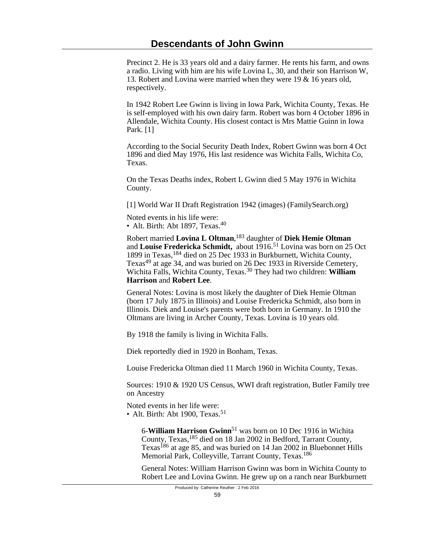Precinct 2. He is 33 years old and a dairy farmer. He rents his farm, and owns a radio. Living with him are his wife Lovina L, 30, and their son Harrison W, 13. Robert and Lovina were married when they were 19 & 16 years old, respectively.

In 1942 Robert Lee Gwinn is living in Iowa Park, Wichita County, Texas. He is self-employed with his own dairy farm. Robert was born 4 October 1896 in Allendale, Wichita County. His closest contact is Mrs Mattie Guinn in Iowa Park. [1]

According to the Social Security Death Index, Robert Gwinn was born 4 Oct 1896 and died May 1976, His last residence was Wichita Falls, Wichita Co, Texas.

On the Texas Deaths index, Robert L Gwinn died 5 May 1976 in Wichita County.

[1] World War II Draft Registration 1942 (images) (FamilySearch.org)

Noted events in his life were: • Alt. Birth: Abt 1897, Texas.<sup>40</sup>

Robert married **Lovina L Oltman**, <sup>183</sup> daughter of **Diek Hemie Oltman** and **Louise Fredericka Schmidt,** about 1916.51 Lovina was born on 25 Oct 1899 in Texas,184 died on 25 Dec 1933 in Burkburnett, Wichita County, Texas<sup>49</sup> at age 34, and was buried on 26 Dec 1933 in Riverside Cemetery, Wichita Falls, Wichita County, Texas.30 They had two children: **William Harrison** and **Robert Lee**.

General Notes: Lovina is most likely the daughter of Diek Hemie Oltman (born 17 July 1875 in Illinois) and Louise Fredericka Schmidt, also born in Illinois. Diek and Louise's parents were both born in Germany. In 1910 the Oltmans are living in Archer County, Texas. Lovina is 10 years old.

By 1918 the family is living in Wichita Falls.

Diek reportedly died in 1920 in Bonham, Texas.

Louise Fredericka Oltman died 11 March 1960 in Wichita County, Texas.

Sources: 1910 & 1920 US Census, WWI draft registration, Butler Family tree on Ancestry

Noted events in her life were: • Alt. Birth: Abt 1900, Texas.<sup>51</sup>

> 6-**William Harrison Gwinn**51 was born on 10 Dec 1916 in Wichita County, Texas,<sup>185</sup> died on 18 Jan 2002 in Bedford, Tarrant County, Texas<sup>186</sup> at age 85, and was buried on 14 Jan 2002 in Bluebonnet Hills Memorial Park, Colleyville, Tarrant County, Texas.<sup>186</sup>

General Notes: William Harrison Gwinn was born in Wichita County to Robert Lee and Lovina Gwinn. He grew up on a ranch near Burkburnett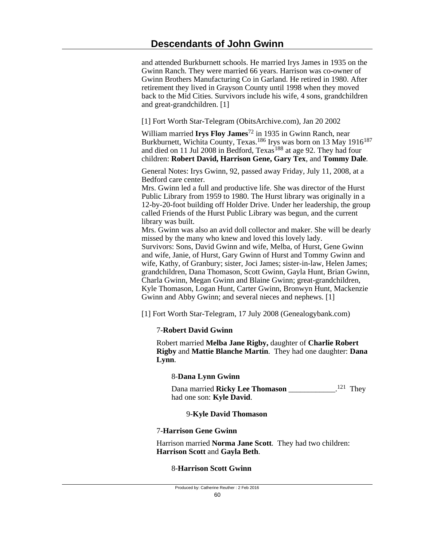and attended Burkburnett schools. He married Irys James in 1935 on the Gwinn Ranch. They were married 66 years. Harrison was co-owner of Gwinn Brothers Manufacturing Co in Garland. He retired in 1980. After retirement they lived in Grayson County until 1998 when they moved back to the Mid Cities. Survivors include his wife, 4 sons, grandchildren and great-grandchildren. [1]

[1] Fort Worth Star-Telegram (ObitsArchive.com), Jan 20 2002

William married **Irys Floy James**72 in 1935 in Gwinn Ranch, near Burkburnett, Wichita County, Texas.<sup>186</sup> Irys was born on 13 May 1916<sup>187</sup> and died on 11 Jul 2008 in Bedford, Texas<sup>188</sup> at age 92. They had four children: **Robert David, Harrison Gene, Gary Tex**, and **Tommy Dale**.

General Notes: Irys Gwinn, 92, passed away Friday, July 11, 2008, at a Bedford care center.

Mrs. Gwinn led a full and productive life. She was director of the Hurst Public Library from 1959 to 1980. The Hurst library was originally in a 12-by-20-foot building off Holder Drive. Under her leadership, the group called Friends of the Hurst Public Library was begun, and the current library was built.

Mrs. Gwinn was also an avid doll collector and maker. She will be dearly missed by the many who knew and loved this lovely lady.

Survivors: Sons, David Gwinn and wife, Melba, of Hurst, Gene Gwinn and wife, Janie, of Hurst, Gary Gwinn of Hurst and Tommy Gwinn and wife, Kathy, of Granbury; sister, Joci James; sister-in-law, Helen James; grandchildren, Dana Thomason, Scott Gwinn, Gayla Hunt, Brian Gwinn, Charla Gwinn, Megan Gwinn and Blaine Gwinn; great-grandchildren, Kyle Thomason, Logan Hunt, Carter Gwinn, Bronwyn Hunt, Mackenzie Gwinn and Abby Gwinn; and several nieces and nephews. [1]

[1] Fort Worth Star-Telegram, 17 July 2008 (Genealogybank.com)

### 7-**Robert David Gwinn**

Robert married **Melba Jane Rigby,** daughter of **Charlie Robert Rigby** and **Mattie Blanche Martin**. They had one daughter: **Dana Lynn**.

### 8-**Dana Lynn Gwinn**

Dana married **Ricky Lee Thomason** \_\_\_\_\_\_\_\_\_\_\_\_. <sup>121</sup> They had one son: **Kyle David**.

### 9-**Kyle David Thomason**

### 7-**Harrison Gene Gwinn**

Harrison married **Norma Jane Scott**. They had two children: **Harrison Scott** and **Gayla Beth**.

### 8-**Harrison Scott Gwinn**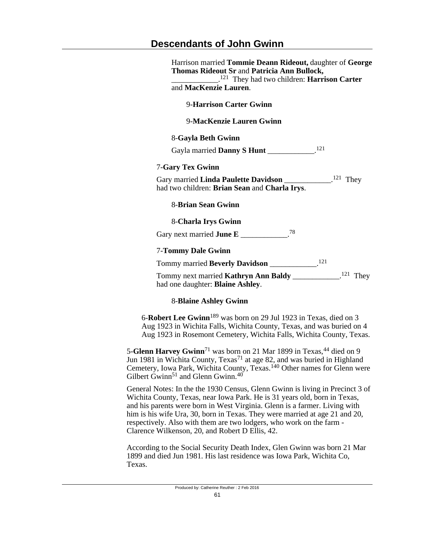# **Descendants of John Gwinn**

| Harrison married Tommie Deann Rideout, daughter of George<br>Thomas Rideout Sr and Patricia Ann Bullock,<br>$\frac{121}{2}$ They had two children: <b>Harrison Carter</b> |  |  |
|---------------------------------------------------------------------------------------------------------------------------------------------------------------------------|--|--|
| and MacKenzie Lauren.                                                                                                                                                     |  |  |
| <b>9-Harrison Carter Gwinn</b>                                                                                                                                            |  |  |
| 9-MacKenzie Lauren Gwinn                                                                                                                                                  |  |  |
| 8-Gayla Beth Gwinn                                                                                                                                                        |  |  |
| Gayla married Danny S Hunt __________. <sup>121</sup>                                                                                                                     |  |  |
| <b>7-Gary Tex Gwinn</b>                                                                                                                                                   |  |  |
| Gary married Linda Paulette Davidson _____________. <sup>121</sup> They<br>had two children: Brian Sean and Charla Irys.                                                  |  |  |
| 8-Brian Sean Gwinn                                                                                                                                                        |  |  |
| 8-Charla Irys Gwinn                                                                                                                                                       |  |  |
| Gary next married June E __________.78                                                                                                                                    |  |  |
| <b>7-Tommy Dale Gwinn</b>                                                                                                                                                 |  |  |
| Tommy married Beverly Davidson ______________. <sup>121</sup>                                                                                                             |  |  |
| Tommy next married Kathryn Ann Baldy ___________. <sup>121</sup> They<br>had one daughter: Blaine Ashley.                                                                 |  |  |

## 8-**Blaine Ashley Gwinn**

6-**Robert Lee Gwinn**189 was born on 29 Jul 1923 in Texas, died on 3 Aug 1923 in Wichita Falls, Wichita County, Texas, and was buried on 4 Aug 1923 in Rosemont Cemetery, Wichita Falls, Wichita County, Texas.

5-**Glenn Harvey Gwinn**<sup>71</sup> was born on 21 Mar 1899 in Texas,<sup>44</sup> died on 9 Jun 1981 in Wichita County, Texas<sup>71</sup> at age 82, and was buried in Highland Cemetery, Iowa Park, Wichita County, Texas.<sup>140</sup> Other names for Glenn were Gilbert Gwinn<sup>51</sup> and Glenn Gwinn.<sup>40</sup>

General Notes: In the the 1930 Census, Glenn Gwinn is living in Precinct 3 of Wichita County, Texas, near Iowa Park. He is 31 years old, born in Texas, and his parents were born in West Virginia. Glenn is a farmer. Living with him is his wife Ura, 30, born in Texas. They were married at age 21 and 20, respectively. Also with them are two lodgers, who work on the farm - Clarence Wilkenson, 20, and Robert D Ellis, 42.

According to the Social Security Death Index, Glen Gwinn was born 21 Mar 1899 and died Jun 1981. His last residence was Iowa Park, Wichita Co, Texas.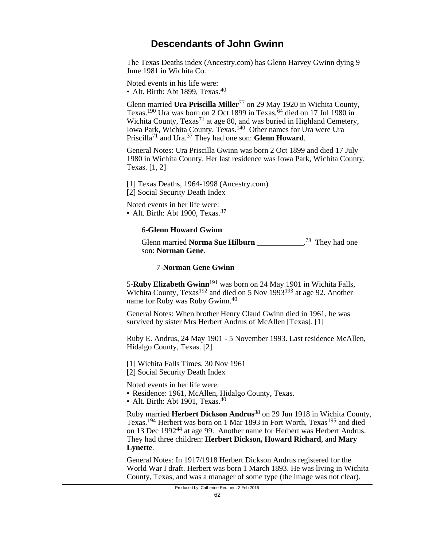The Texas Deaths index (Ancestry.com) has Glenn Harvey Gwinn dying 9 June 1981 in Wichita Co.

Noted events in his life were: • Alt. Birth: Abt 1899, Texas.<sup>40</sup>

Glenn married Ura Priscilla Miller<sup>77</sup> on 29 May 1920 in Wichita County, Texas.<sup>190</sup> Ura was born on 2 Oct 1899 in Texas,  $64$  died on 17 Jul 1980 in Wichita County, Texas<sup>71</sup> at age 80, and was buried in Highland Cemetery, Iowa Park, Wichita County, Texas.<sup>140</sup> Other names for Ura were Ura Priscilla71 and Ura.37 They had one son: **Glenn Howard**.

General Notes: Ura Priscilla Gwinn was born 2 Oct 1899 and died 17 July 1980 in Wichita County. Her last residence was Iowa Park, Wichita County, Texas. [1, 2]

[1] Texas Deaths, 1964-1998 (Ancestry.com) [2] Social Security Death Index

Noted events in her life were: • Alt. Birth: Abt 1900, Texas.<sup>37</sup>

## 6-**Glenn Howard Gwinn**

Glenn married **Norma Sue Hilburn** \_\_\_\_\_\_\_\_\_\_\_\_. <sup>78</sup> They had one son: **Norman Gene**.

### 7-**Norman Gene Gwinn**

5-**Ruby Elizabeth Gwinn**191 was born on 24 May 1901 in Wichita Falls, Wichita County, Texas<sup>192</sup> and died on 5 Nov 1993<sup>193</sup> at age 92. Another name for Ruby was Ruby Gwinn.<sup>40</sup>

General Notes: When brother Henry Claud Gwinn died in 1961, he was survived by sister Mrs Herbert Andrus of McAllen [Texas]. [1]

Ruby E. Andrus, 24 May 1901 - 5 November 1993. Last residence McAllen, Hidalgo County, Texas. [2]

[1] Wichita Falls Times, 30 Nov 1961 [2] Social Security Death Index

Noted events in her life were:

- Residence: 1961, McAllen, Hidalgo County, Texas.
- Alt. Birth: Abt 1901, Texas. $40$

Ruby married **Herbert Dickson Andrus**38 on 29 Jun 1918 in Wichita County, Texas.<sup>194</sup> Herbert was born on 1 Mar 1893 in Fort Worth, Texas<sup>195</sup> and died on 13 Dec 199244 at age 99. Another name for Herbert was Herbert Andrus. They had three children: **Herbert Dickson, Howard Richard**, and **Mary Lynette**.

General Notes: In 1917/1918 Herbert Dickson Andrus registered for the World War I draft. Herbert was born 1 March 1893. He was living in Wichita County, Texas, and was a manager of some type (the image was not clear).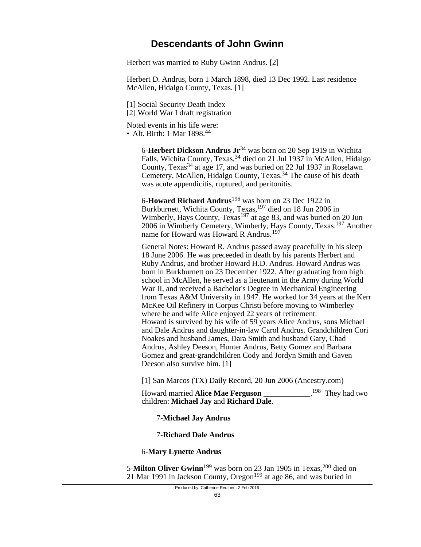Herbert was married to Ruby Gwinn Andrus. [2]

Herbert D. Andrus, born 1 March 1898, died 13 Dec 1992. Last residence McAllen, Hidalgo County, Texas. [1]

[1] Social Security Death Index

[2] World War I draft registration

Noted events in his life were: • Alt. Birth: 1 Mar 1898.<sup>44</sup>

> 6-**Herbert Dickson Andrus Jr**34 was born on 20 Sep 1919 in Wichita Falls, Wichita County, Texas, <sup>34</sup> died on 21 Jul 1937 in McAllen, Hidalgo County, Texas<sup>34</sup> at age 17, and was buried on 22 Jul 1937 in Roselawn Cemetery, McAllen, Hidalgo County, Texas.<sup>34</sup> The cause of his death was acute appendicitis, ruptured, and peritonitis.

> 6-**Howard Richard Andrus**196 was born on 23 Dec 1922 in Burkburnett, Wichita County, Texas, <sup>197</sup> died on 18 Jun 2006 in Wimberly, Hays County, Texas<sup>197</sup> at age 83, and was buried on 20 Jun 2006 in Wimberly Cemetery, Wimberly, Hays County, Texas.197 Another name for Howard was Howard R Andrus.<sup>197</sup>

> General Notes: Howard R. Andrus passed away peacefully in his sleep 18 June 2006. He was preceeded in death by his parents Herbert and Ruby Andrus, and brother Howard H.D. Andrus. Howard Andrus was born in Burkburnett on 23 December 1922. After graduating from high school in McAllen, he served as a lieutenant in the Army during World War II, and received a Bachelor's Degree in Mechanical Engineering from Texas A&M University in 1947. He worked for 34 years at the Kerr McKee Oil Refinery in Corpus Christi before moving to Wimberley where he and wife Alice enjoyed 22 years of retirement. Howard is survived by his wife of 59 years Alice Andrus, sons Michael and Dale Andrus and daughter-in-law Carol Andrus. Grandchildren Cori Noakes and husband James, Dara Smith and husband Gary, Chad Andrus, Ashley Deeson, Hunter Andrus, Betty Gomez and Barbara Gomez and great-grandchildren Cody and Jordyn Smith and Gaven Deeson also survive him. [1]

[1] San Marcos (TX) Daily Record, 20 Jun 2006 (Ancestry.com)

Howard married **Alice Mae Ferguson** \_\_\_\_\_\_\_\_\_\_\_\_. <sup>198</sup> They had two children: **Michael Jay** and **Richard Dale**.

7-**Michael Jay Andrus**

### 7-**Richard Dale Andrus**

### 6-**Mary Lynette Andrus**

5-**Milton Oliver Gwinn**<sup>199</sup> was born on 23 Jan 1905 in Texas,<sup>200</sup> died on 21 Mar 1991 in Jackson County, Oregon<sup>199</sup> at age 86, and was buried in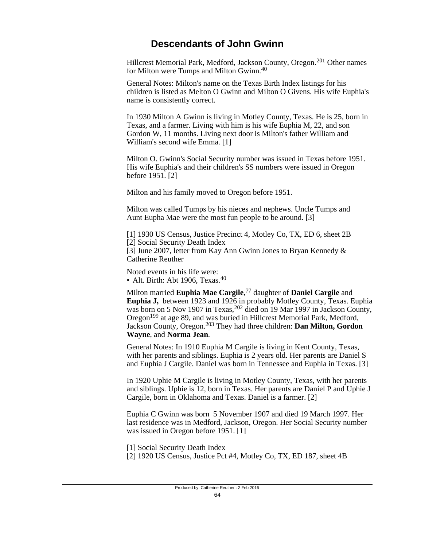Hillcrest Memorial Park, Medford, Jackson County, Oregon.201 Other names for Milton were Tumps and Milton Gwinn.<sup>40</sup>

General Notes: Milton's name on the Texas Birth Index listings for his children is listed as Melton O Gwinn and Milton O Givens. His wife Euphia's name is consistently correct.

In 1930 Milton A Gwinn is living in Motley County, Texas. He is 25, born in Texas, and a farmer. Living with him is his wife Euphia M, 22, and son Gordon W, 11 months. Living next door is Milton's father William and William's second wife Emma. [1]

Milton O. Gwinn's Social Security number was issued in Texas before 1951. His wife Euphia's and their children's SS numbers were issued in Oregon before 1951. [2]

Milton and his family moved to Oregon before 1951.

Milton was called Tumps by his nieces and nephews. Uncle Tumps and Aunt Eupha Mae were the most fun people to be around. [3]

[1] 1930 US Census, Justice Precinct 4, Motley Co, TX, ED 6, sheet 2B [2] Social Security Death Index [3] June 2007, letter from Kay Ann Gwinn Jones to Bryan Kennedy & Catherine Reuther

Noted events in his life were: • Alt. Birth: Abt 1906, Texas.<sup>40</sup>

Milton married **Euphia Mae Cargile**, <sup>77</sup> daughter of **Daniel Cargile** and **Euphia J,** between 1923 and 1926 in probably Motley County, Texas. Euphia was born on 5 Nov 1907 in Texas, <sup>202</sup> died on 19 Mar 1997 in Jackson County, Oregon<sup>199</sup> at age 89, and was buried in Hillcrest Memorial Park, Medford, Jackson County, Oregon.203 They had three children: **Dan Milton, Gordon Wayne**, and **Norma Jean**.

General Notes: In 1910 Euphia M Cargile is living in Kent County, Texas, with her parents and siblings. Euphia is 2 years old. Her parents are Daniel S and Euphia J Cargile. Daniel was born in Tennessee and Euphia in Texas. [3]

In 1920 Uphie M Cargile is living in Motley County, Texas, with her parents and siblings. Uphie is 12, born in Texas. Her parents are Daniel P and Uphie J Cargile, born in Oklahoma and Texas. Daniel is a farmer. [2]

Euphia C Gwinn was born 5 November 1907 and died 19 March 1997. Her last residence was in Medford, Jackson, Oregon. Her Social Security number was issued in Oregon before 1951. [1]

[1] Social Security Death Index

[2] 1920 US Census, Justice Pct #4, Motley Co, TX, ED 187, sheet 4B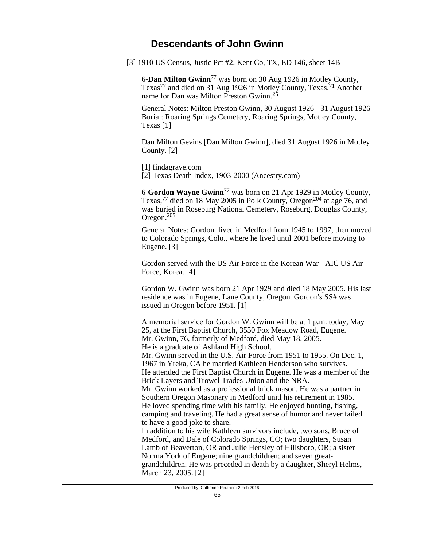[3] 1910 US Census, Justic Pct #2, Kent Co, TX, ED 146, sheet 14B

6-**Dan Milton Gwinn**77 was born on 30 Aug 1926 in Motley County, Texas<sup>77</sup> and died on 31 Aug 1926 in Motley County, Texas.<sup>71</sup> Another name for Dan was Milton Preston Gwinn.<sup>25</sup>

General Notes: Milton Preston Gwinn, 30 August 1926 - 31 August 1926 Burial: Roaring Springs Cemetery, Roaring Springs, Motley County, Texas [1]

Dan Milton Gevins [Dan Milton Gwinn], died 31 August 1926 in Motley County. [2]

[1] findagrave.com [2] Texas Death Index, 1903-2000 (Ancestry.com)

6-**Gordon Wayne Gwinn**77 was born on 21 Apr 1929 in Motley County, Texas,<sup>77</sup> died on 18 May 2005 in Polk County, Oregon<sup>204</sup> at age 76, and was buried in Roseburg National Cemetery, Roseburg, Douglas County, Oregon.<sup>205</sup>

General Notes: Gordon lived in Medford from 1945 to 1997, then moved to Colorado Springs, Colo., where he lived until 2001 before moving to Eugene. [3]

Gordon served with the US Air Force in the Korean War - AIC US Air Force, Korea. [4]

Gordon W. Gwinn was born 21 Apr 1929 and died 18 May 2005. His last residence was in Eugene, Lane County, Oregon. Gordon's SS# was issued in Oregon before 1951. [1]

A memorial service for Gordon W. Gwinn will be at 1 p.m. today, May 25, at the First Baptist Church, 3550 Fox Meadow Road, Eugene. Mr. Gwinn, 76, formerly of Medford, died May 18, 2005. He is a graduate of Ashland High School. Mr. Gwinn served in the U.S. Air Force from 1951 to 1955. On Dec. 1, 1967 in Yreka, CA he married Kathleen Henderson who survives. He attended the First Baptist Church in Eugene. He was a member of the Brick Layers and Trowel Trades Union and the NRA. Mr. Gwinn worked as a professional brick mason. He was a partner in Southern Oregon Masonary in Medford unitl his retirement in 1985. He loved spending time with his family. He enjoyed hunting, fishing, camping and traveling. He had a great sense of humor and never failed to have a good joke to share. In addition to his wife Kathleen survivors include, two sons, Bruce of

Medford, and Dale of Colorado Springs, CO; two daughters, Susan Lamb of Beaverton, OR and Julie Hensley of Hillsboro, OR; a sister Norma York of Eugene; nine grandchildren; and seven greatgrandchildren. He was preceded in death by a daughter, Sheryl Helms, March 23, 2005. [2]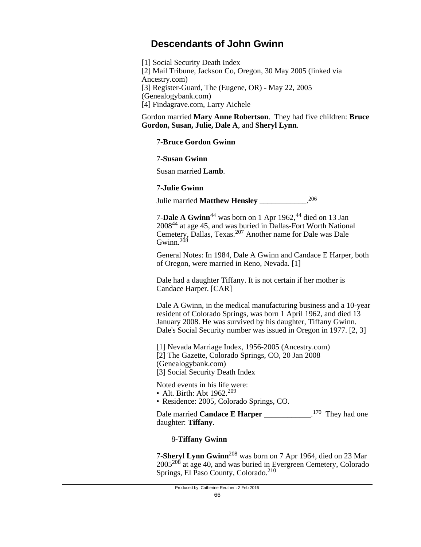[1] Social Security Death Index [2] Mail Tribune, Jackson Co, Oregon, 30 May 2005 (linked via Ancestry.com) [3] Register-Guard, The (Eugene, OR) - May 22, 2005 (Genealogybank.com) [4] Findagrave.com, Larry Aichele

Gordon married **Mary Anne Robertson**. They had five children: **Bruce Gordon, Susan, Julie, Dale A**, and **Sheryl Lynn**.

## 7-**Bruce Gordon Gwinn**

### 7-**Susan Gwinn**

Susan married **Lamb**.

### 7-**Julie Gwinn**

Julie married **Matthew Hensley** \_\_\_\_\_\_\_\_\_\_\_\_. 206

7-**Dale A Gwinn**<sup>44</sup> was born on 1 Apr 1962,<sup>44</sup> died on 13 Jan 200844 at age 45, and was buried in Dallas-Fort Worth National Cemetery, Dallas, Texas.207 Another name for Dale was Dale Gwinn. $208$ 

General Notes: In 1984, Dale A Gwinn and Candace E Harper, both of Oregon, were married in Reno, Nevada. [1]

Dale had a daughter Tiffany. It is not certain if her mother is Candace Harper. [CAR]

Dale A Gwinn, in the medical manufacturing business and a 10-year resident of Colorado Springs, was born 1 April 1962, and died 13 January 2008. He was survived by his daughter, Tiffany Gwinn. Dale's Social Security number was issued in Oregon in 1977. [2, 3]

[1] Nevada Marriage Index, 1956-2005 (Ancestry.com) [2] The Gazette, Colorado Springs, CO, 20 Jan 2008 (Genealogybank.com)

[3] Social Security Death Index

Noted events in his life were:

- Alt. Birth: Abt 1962.<sup>209</sup>
- Residence: 2005, Colorado Springs, CO.

Dale married **Candace E Harper** \_\_\_\_\_\_\_\_\_\_\_\_.<sup>170</sup> They had one daughter: **Tiffany**.

### 8-**Tiffany Gwinn**

7-**Sheryl Lynn Gwinn**208 was born on 7 Apr 1964, died on 23 Mar 2005<sup>208</sup> at age 40, and was buried in Evergreen Cemetery, Colorado Springs, El Paso County, Colorado.<sup>210</sup>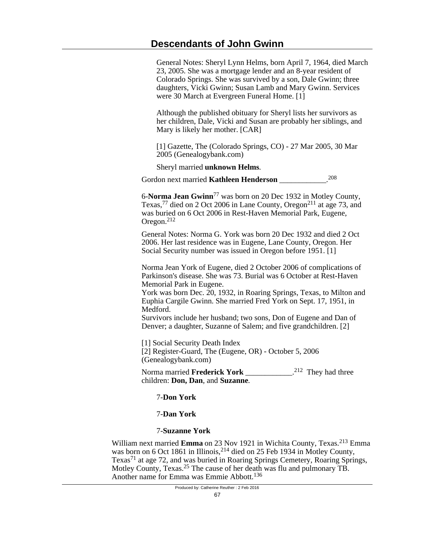General Notes: Sheryl Lynn Helms, born April 7, 1964, died March 23, 2005. She was a mortgage lender and an 8-year resident of Colorado Springs. She was survived by a son, Dale Gwinn; three daughters, Vicki Gwinn; Susan Lamb and Mary Gwinn. Services were 30 March at Evergreen Funeral Home. [1]

Although the published obituary for Sheryl lists her survivors as her children, Dale, Vicki and Susan are probably her siblings, and Mary is likely her mother. [CAR]

[1] Gazette, The (Colorado Springs, CO) - 27 Mar 2005, 30 Mar 2005 (Genealogybank.com)

Sheryl married **unknown Helms**.

Gordon next married **Kathleen Henderson** \_\_\_\_\_\_\_\_\_\_\_\_. 208

6-**Norma Jean Gwinn**77 was born on 20 Dec 1932 in Motley County, Texas,<sup>77</sup> died on 2 Oct 2006 in Lane County, Oregon<sup>211</sup> at age 73, and was buried on 6 Oct 2006 in Rest-Haven Memorial Park, Eugene, Oregon.<sup>212</sup>

General Notes: Norma G. York was born 20 Dec 1932 and died 2 Oct 2006. Her last residence was in Eugene, Lane County, Oregon. Her Social Security number was issued in Oregon before 1951. [1]

Norma Jean York of Eugene, died 2 October 2006 of complications of Parkinson's disease. She was 73. Burial was 6 October at Rest-Haven Memorial Park in Eugene.

York was born Dec. 20, 1932, in Roaring Springs, Texas, to Milton and Euphia Cargile Gwinn. She married Fred York on Sept. 17, 1951, in Medford.

Survivors include her husband; two sons, Don of Eugene and Dan of Denver; a daughter, Suzanne of Salem; and five grandchildren. [2]

[1] Social Security Death Index [2] Register-Guard, The (Eugene, OR) - October 5, 2006 (Genealogybank.com)

Norma married **Frederick York** \_\_\_\_\_\_\_\_\_\_\_\_\_.<sup>212</sup> They had three children: **Don, Dan**, and **Suzanne**.

### 7-**Don York**

### 7-**Dan York**

#### 7-**Suzanne York**

William next married **Emma** on 23 Nov 1921 in Wichita County, Texas.<sup>213</sup> Emma was born on 6 Oct 1861 in Illinois, <sup>214</sup> died on 25 Feb 1934 in Motley County, Texas71 at age 72, and was buried in Roaring Springs Cemetery, Roaring Springs, Motley County, Texas.<sup>25</sup> The cause of her death was flu and pulmonary TB. Another name for Emma was Emmie Abbott.<sup>136</sup>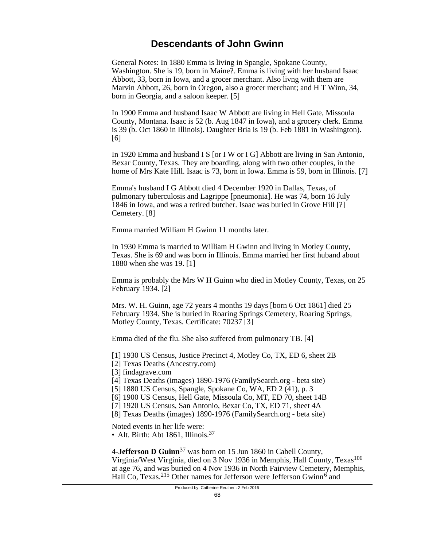General Notes: In 1880 Emma is living in Spangle, Spokane County, Washington. She is 19, born in Maine?. Emma is living with her husband Isaac Abbott, 33, born in Iowa, and a grocer merchant. Also livng with them are Marvin Abbott, 26, born in Oregon, also a grocer merchant; and H T Winn, 34, born in Georgia, and a saloon keeper. [5]

In 1900 Emma and husband Isaac W Abbott are living in Hell Gate, Missoula County, Montana. Isaac is 52 (b. Aug 1847 in Iowa), and a grocery clerk. Emma is 39 (b. Oct 1860 in Illinois). Daughter Bria is 19 (b. Feb 1881 in Washington). [6]

In 1920 Emma and husband I S [or I W or I G] Abbott are living in San Antonio, Bexar County, Texas. They are boarding, along with two other couples, in the home of Mrs Kate Hill. Isaac is 73, born in Iowa. Emma is 59, born in Illinois. [7]

Emma's husband I G Abbott died 4 December 1920 in Dallas, Texas, of pulmonary tuberculosis and Lagrippe [pneumonia]. He was 74, born 16 July 1846 in Iowa, and was a retired butcher. Isaac was buried in Grove Hill [?] Cemetery. [8]

Emma married William H Gwinn 11 months later.

In 1930 Emma is married to William H Gwinn and living in Motley County, Texas. She is 69 and was born in Illinois. Emma married her first huband about 1880 when she was 19. [1]

Emma is probably the Mrs W H Guinn who died in Motley County, Texas, on 25 February 1934. [2]

Mrs. W. H. Guinn, age 72 years 4 months 19 days [born 6 Oct 1861] died 25 February 1934. She is buried in Roaring Springs Cemetery, Roaring Springs, Motley County, Texas. Certificate: 70237 [3]

Emma died of the flu. She also suffered from pulmonary TB. [4]

[1] 1930 US Census, Justice Precinct 4, Motley Co, TX, ED 6, sheet 2B

[2] Texas Deaths (Ancestry.com)

[3] findagrave.com

[4] Texas Deaths (images) 1890-1976 (FamilySearch.org - beta site)

[5] 1880 US Census, Spangle, Spokane Co, WA, ED 2 (41), p. 3

[6] 1900 US Census, Hell Gate, Missoula Co, MT, ED 70, sheet 14B

[7] 1920 US Census, San Antonio, Bexar Co, TX, ED 71, sheet 4A

[8] Texas Deaths (images) 1890-1976 (FamilySearch.org - beta site)

Noted events in her life were:

• Alt. Birth: Abt 1861, Illinois.<sup>37</sup>

4-**Jefferson D Guinn**37 was born on 15 Jun 1860 in Cabell County, Virginia/West Virginia, died on 3 Nov 1936 in Memphis, Hall County, Texas<sup>106</sup> at age 76, and was buried on 4 Nov 1936 in North Fairview Cemetery, Memphis, Hall Co, Texas.<sup>215</sup> Other names for Jefferson were Jefferson Gwinn<sup>6</sup> and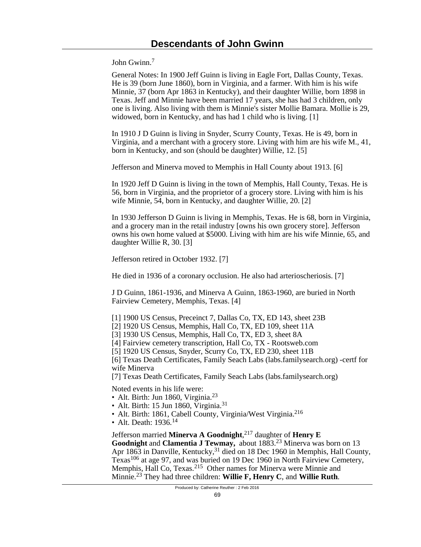John Gwinn.<sup>7</sup>

General Notes: In 1900 Jeff Guinn is living in Eagle Fort, Dallas County, Texas. He is 39 (born June 1860), born in Virginia, and a farmer. With him is his wife Minnie, 37 (born Apr 1863 in Kentucky), and their daughter Willie, born 1898 in Texas. Jeff and Minnie have been married 17 years, she has had 3 children, only one is living. Also living with them is Minnie's sister Mollie Bamara. Mollie is 29, widowed, born in Kentucky, and has had 1 child who is living. [1]

In 1910 J D Guinn is living in Snyder, Scurry County, Texas. He is 49, born in Virginia, and a merchant with a grocery store. Living with him are his wife M., 41, born in Kentucky, and son (should be daughter) Willie, 12. [5]

Jefferson and Minerva moved to Memphis in Hall County about 1913. [6]

In 1920 Jeff D Guinn is living in the town of Memphis, Hall County, Texas. He is 56, born in Virginia, and the proprietor of a grocery store. Living with him is his wife Minnie, 54, born in Kentucky, and daughter Willie, 20. [2]

In 1930 Jefferson D Guinn is living in Memphis, Texas. He is 68, born in Virginia, and a grocery man in the retail industry [owns his own grocery store]. Jefferson owns his own home valued at \$5000. Living with him are his wife Minnie, 65, and daughter Willie R, 30. [3]

Jefferson retired in October 1932. [7]

He died in 1936 of a coronary occlusion. He also had arterioscheriosis. [7]

J D Guinn, 1861-1936, and Minerva A Guinn, 1863-1960, are buried in North Fairview Cemetery, Memphis, Texas. [4]

- [1] 1900 US Census, Preceinct 7, Dallas Co, TX, ED 143, sheet 23B
- [2] 1920 US Census, Memphis, Hall Co, TX, ED 109, sheet 11A
- [3] 1930 US Census, Memphis, Hall Co, TX, ED 3, sheet 8A
- [4] Fairview cemetery transcription, Hall Co, TX Rootsweb.com
- [5] 1920 US Census, Snyder, Scurry Co, TX, ED 230, sheet 11B

[6] Texas Death Certificates, Family Seach Labs (labs.familysearch.org) -certf for wife Minerva

[7] Texas Death Certificates, Family Seach Labs (labs.familysearch.org)

Noted events in his life were:

- Alt. Birth: Jun 1860, Virginia.<sup>23</sup>
- Alt. Birth: 15 Jun 1860, Virginia.<sup>31</sup>
- Alt. Birth: 1861, Cabell County, Virginia/West Virginia.<sup>216</sup>
- Alt. Death:  $1936$ <sup>14</sup>

Jefferson married **Minerva A Goodnight**, <sup>217</sup> daughter of **Henry E Goodnight** and **Clamentia J Tewmay,** about 1883.23 Minerva was born on 13 Apr 1863 in Danville, Kentucky,<sup>31</sup> died on 18 Dec 1960 in Memphis, Hall County, Texas<sup>106</sup> at age 97, and was buried on 19 Dec 1960 in North Fairview Cemetery, Memphis, Hall Co, Texas.<sup>215</sup> Other names for Minerva were Minnie and Minnie.23 They had three children: **Willie F, Henry C**, and **Willie Ruth**.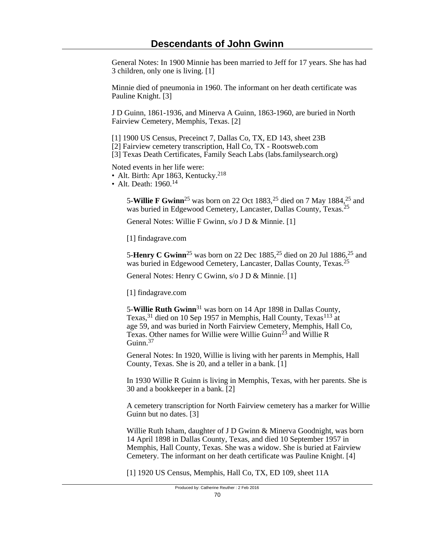General Notes: In 1900 Minnie has been married to Jeff for 17 years. She has had 3 children, only one is living. [1]

Minnie died of pneumonia in 1960. The informant on her death certificate was Pauline Knight. [3]

J D Guinn, 1861-1936, and Minerva A Guinn, 1863-1960, are buried in North Fairview Cemetery, Memphis, Texas. [2]

[1] 1900 US Census, Preceinct 7, Dallas Co, TX, ED 143, sheet 23B [2] Fairview cemetery transcription, Hall Co, TX - Rootsweb.com [3] Texas Death Certificates, Family Seach Labs (labs.familysearch.org)

Noted events in her life were:

- Alt. Birth: Apr 1863, Kentucky.<sup>218</sup>
- Alt. Death:  $1960$ <sup>14</sup>

5-**Willie F Gwinn**25 was born on 22 Oct 1883,25 died on 7 May 1884,25 and was buried in Edgewood Cemetery, Lancaster, Dallas County, Texas.<sup>25</sup>

General Notes: Willie F Gwinn, s/o J D & Minnie. [1]

[1] findagrave.com

5-**Henry C Gwinn**<sup>25</sup> was born on 22 Dec 1885,<sup>25</sup> died on 20 Jul 1886,<sup>25</sup> and was buried in Edgewood Cemetery, Lancaster, Dallas County, Texas.<sup>25</sup>

General Notes: Henry C Gwinn, s/o J D & Minnie. [1]

[1] findagrave.com

5-**Willie Ruth Gwinn**31 was born on 14 Apr 1898 in Dallas County, Texas,<sup>31</sup> died on 10 Sep 1957 in Memphis, Hall County, Texas<sup>113</sup> at age 59, and was buried in North Fairview Cemetery, Memphis, Hall Co, Texas. Other names for Willie were Willie Guinn<sup>23</sup> and Willie R Guinn.<sup>37</sup>

General Notes: In 1920, Willie is living with her parents in Memphis, Hall County, Texas. She is 20, and a teller in a bank. [1]

In 1930 Willie R Guinn is living in Memphis, Texas, with her parents. She is 30 and a bookkeeper in a bank. [2]

A cemetery transcription for North Fairview cemetery has a marker for Willie Guinn but no dates. [3]

Willie Ruth Isham, daughter of J D Gwinn & Minerva Goodnight, was born 14 April 1898 in Dallas County, Texas, and died 10 September 1957 in Memphis, Hall County, Texas. She was a widow. She is buried at Fairview Cemetery. The informant on her death certificate was Pauline Knight. [4]

[1] 1920 US Census, Memphis, Hall Co, TX, ED 109, sheet 11A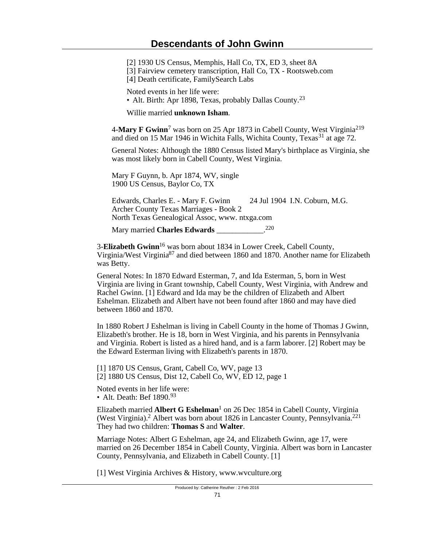[2] 1930 US Census, Memphis, Hall Co, TX, ED 3, sheet 8A

[3] Fairview cemetery transcription, Hall Co, TX - Rootsweb.com

[4] Death certificate, FamilySearch Labs

Noted events in her life were:

• Alt. Birth: Apr 1898, Texas, probably Dallas County.<sup>23</sup>

Willie married **unknown Isham**.

4-**Mary F Gwinn**<sup>7</sup> was born on 25 Apr 1873 in Cabell County, West Virginia<sup>219</sup> and died on 15 Mar 1946 in Wichita Falls, Wichita County, Texas<sup>31</sup> at age 72.

General Notes: Although the 1880 Census listed Mary's birthplace as Virginia, she was most likely born in Cabell County, West Virginia.

Mary F Guynn, b. Apr 1874, WV, single 1900 US Census, Baylor Co, TX

| Edwards, Charles E. - Mary F. Gwinn            | 24 Jul 1904 I.N. Coburn, M.G. |
|------------------------------------------------|-------------------------------|
| Archer County Texas Marriages - Book 2         |                               |
| North Texas Genealogical Assoc, www. ntxga.com |                               |

Mary married **Charles Edwards** \_\_\_\_\_\_\_\_\_\_\_\_. 220

3-**Elizabeth Gwinn**16 was born about 1834 in Lower Creek, Cabell County, Virginia/West Virginia87 and died between 1860 and 1870. Another name for Elizabeth was Betty.

General Notes: In 1870 Edward Esterman, 7, and Ida Esterman, 5, born in West Virginia are living in Grant township, Cabell County, West Virginia, with Andrew and Rachel Gwinn. [1] Edward and Ida may be the children of Elizabeth and Albert Eshelman. Elizabeth and Albert have not been found after 1860 and may have died between 1860 and 1870.

In 1880 Robert J Eshelman is living in Cabell County in the home of Thomas J Gwinn, Elizabeth's brother. He is 18, born in West Virginia, and his parents in Pennsylvania and Virginia. Robert is listed as a hired hand, and is a farm laborer. [2] Robert may be the Edward Esterman living with Elizabeth's parents in 1870.

[1] 1870 US Census, Grant, Cabell Co, WV, page 13 [2] 1880 US Census, Dist 12, Cabell Co, WV, ED 12, page 1

Noted events in her life were: • Alt. Death: Bef  $1890.<sup>93</sup>$ 

Elizabeth married **Albert G Eshelman**<sup>1</sup> on 26 Dec 1854 in Cabell County, Virginia (West Virginia).<sup>2</sup> Albert was born about 1826 in Lancaster County, Pennsylvania.<sup>221</sup> They had two children: **Thomas S** and **Walter**.

Marriage Notes: Albert G Eshelman, age 24, and Elizabeth Gwinn, age 17, were married on 26 December 1854 in Cabell County, Virginia. Albert was born in Lancaster County, Pennsylvania, and Elizabeth in Cabell County. [1]

[1] West Virginia Archives & History, www.wvculture.org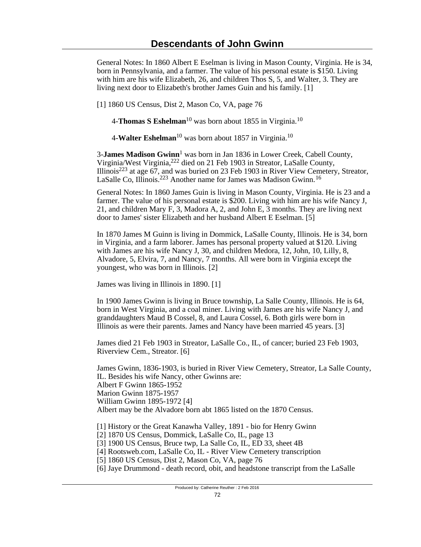General Notes: In 1860 Albert E Eselman is living in Mason County, Virginia. He is 34, born in Pennsylvania, and a farmer. The value of his personal estate is \$150. Living with him are his wife Elizabeth, 26, and children Thos S, 5, and Walter, 3. They are living next door to Elizabeth's brother James Guin and his family. [1]

[1] 1860 US Census, Dist 2, Mason Co, VA, page 76

4-**Thomas S Eshelman**10 was born about 1855 in Virginia.<sup>10</sup>

4-**Walter Eshelman**10 was born about 1857 in Virginia.<sup>10</sup>

3-**James Madison Gwinn**<sup>1</sup> was born in Jan 1836 in Lower Creek, Cabell County, Virginia/West Virginia,222 died on 21 Feb 1903 in Streator, LaSalle County, Illinois<sup>223</sup> at age  $67$ , and was buried on 23 Feb 1903 in River View Cemetery, Streator, LaSalle Co, Illinois.<sup>223</sup> Another name for James was Madison Gwinn.<sup>16</sup>

General Notes: In 1860 James Guin is living in Mason County, Virginia. He is 23 and a farmer. The value of his personal estate is \$200. Living with him are his wife Nancy J, 21, and children Mary F, 3, Madora A, 2, and John E, 3 months. They are living next door to James' sister Elizabeth and her husband Albert E Eselman. [5]

In 1870 James M Guinn is living in Dommick, LaSalle County, Illinois. He is 34, born in Virginia, and a farm laborer. James has personal property valued at \$120. Living with James are his wife Nancy J, 30, and children Medora, 12, John, 10, Lilly, 8, Alvadore, 5, Elvira, 7, and Nancy, 7 months. All were born in Virginia except the youngest, who was born in Illinois. [2]

James was living in Illinois in 1890. [1]

In 1900 James Gwinn is living in Bruce township, La Salle County, Illinois. He is 64, born in West Virginia, and a coal miner. Living with James are his wife Nancy J, and granddaughters Maud B Cossel, 8, and Laura Cossel, 6. Both girls were born in Illinois as were their parents. James and Nancy have been married 45 years. [3]

James died 21 Feb 1903 in Streator, LaSalle Co., IL, of cancer; buried 23 Feb 1903, Riverview Cem., Streator. [6]

James Gwinn, 1836-1903, is buried in River View Cemetery, Streator, La Salle County, IL. Besides his wife Nancy, other Gwinns are: Albert F Gwinn 1865-1952 Marion Gwinn 1875-1957 William Gwinn 1895-1972 [4] Albert may be the Alvadore born abt 1865 listed on the 1870 Census.

[1] History or the Great Kanawha Valley, 1891 - bio for Henry Gwinn

[2] 1870 US Census, Dommick, LaSalle Co, IL, page 13

[3] 1900 US Census, Bruce twp, La Salle Co, IL, ED 33, sheet 4B

[4] Rootsweb.com, LaSalle Co, IL - River View Cemetery transcription

[5] 1860 US Census, Dist 2, Mason Co, VA, page 76

[6] Jaye Drummond - death record, obit, and headstone transcript from the LaSalle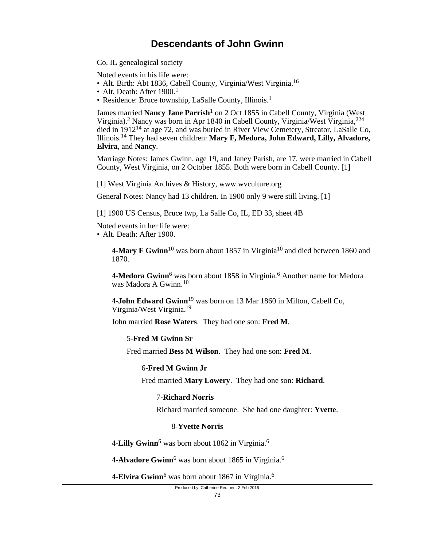Co. IL genealogical society

Noted events in his life were:

- Alt. Birth: Abt 1836, Cabell County, Virginia/West Virginia.<sup>16</sup>
- Alt. Death: After  $1900<sup>1</sup>$

• Residence: Bruce township, LaSalle County, Illinois.<sup>1</sup>

James married Nancy Jane Parrish<sup>1</sup> on 2 Oct 1855 in Cabell County, Virginia (West Virginia).<sup>2</sup> Nancy was born in Apr 1840 in Cabell County, Virginia/West Virginia,<sup>224</sup> died in 191214 at age 72, and was buried in River View Cemetery, Streator, LaSalle Co, Illinois.14 They had seven children: **Mary F, Medora, John Edward, Lilly, Alvadore, Elvira**, and **Nancy**.

Marriage Notes: James Gwinn, age 19, and Janey Parish, are 17, were married in Cabell County, West Virginia, on 2 October 1855. Both were born in Cabell County. [1]

[1] West Virginia Archives & History, www.wvculture.org

General Notes: Nancy had 13 children. In 1900 only 9 were still living. [1]

[1] 1900 US Census, Bruce twp, La Salle Co, IL, ED 33, sheet 4B

Noted events in her life were:

• Alt. Death: After 1900.

4-**Mary F Gwinn**10 was born about 1857 in Virginia10 and died between 1860 and 1870.

4-Medora Gwinn<sup>6</sup> was born about 1858 in Virginia.<sup>6</sup> Another name for Medora was Madora A Gwinn<sup>10</sup>

4-**John Edward Gwinn**19 was born on 13 Mar 1860 in Milton, Cabell Co, Virginia/West Virginia.<sup>19</sup>

John married **Rose Waters**. They had one son: **Fred M**.

#### 5-**Fred M Gwinn Sr**

Fred married **Bess M Wilson**. They had one son: **Fred M**.

#### 6-**Fred M Gwinn Jr**

Fred married **Mary Lowery**. They had one son: **Richard**.

#### 7-**Richard Norris**

Richard married someone. She had one daughter: **Yvette**.

#### 8-**Yvette Norris**

4-**Lilly Gwinn**<sup>6</sup> was born about 1862 in Virginia.<sup>6</sup>

4-**Alvadore Gwinn**<sup>6</sup> was born about 1865 in Virginia.<sup>6</sup>

4-**Elvira Gwinn**<sup>6</sup> was born about 1867 in Virginia.<sup>6</sup>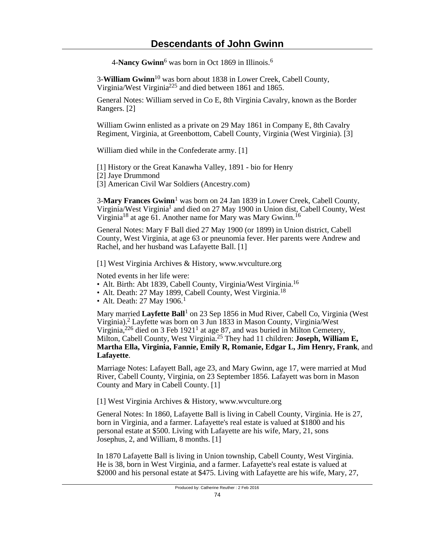4-**Nancy Gwinn**<sup>6</sup> was born in Oct 1869 in Illinois.<sup>6</sup>

3-**William Gwinn**10 was born about 1838 in Lower Creek, Cabell County, Virginia/West Virginia225 and died between 1861 and 1865.

General Notes: William served in Co E, 8th Virginia Cavalry, known as the Border Rangers. [2]

William Gwinn enlisted as a private on 29 May 1861 in Company E, 8th Cavalry Regiment, Virginia, at Greenbottom, Cabell County, Virginia (West Virginia). [3]

William died while in the Confederate army. [1]

[1] History or the Great Kanawha Valley, 1891 - bio for Henry

- [2] Jaye Drummond
- [3] American Civil War Soldiers (Ancestry.com)

3-**Mary Frances Gwinn**<sup>1</sup> was born on 24 Jan 1839 in Lower Creek, Cabell County, Virginia/West Virginia<sup>1</sup> and died on 27 May 1900 in Union dist, Cabell County, West Virginia<sup>18</sup> at age 61. Another name for Mary was Mary Gwinn.<sup>16</sup>

General Notes: Mary F Ball died 27 May 1900 (or 1899) in Union district, Cabell County, West Virginia, at age 63 or pneunomia fever. Her parents were Andrew and Rachel, and her husband was Lafayette Ball. [1]

[1] West Virginia Archives & History, www.wvculture.org

Noted events in her life were:

- Alt. Birth: Abt 1839, Cabell County, Virginia/West Virginia.<sup>16</sup>
- Alt. Death: 27 May 1899, Cabell County, West Virginia.<sup>18</sup>
- Alt. Death:  $27$  May 1906.<sup>1</sup>

Mary married Layfette Ball<sup>1</sup> on 23 Sep 1856 in Mud River, Cabell Co, Virginia (West Virginia).<sup>2</sup> Layfette was born on 3 Jun 1833 in Mason County, Virginia/West Virginia,  $226$  died on 3 Feb 1921<sup>1</sup> at age 87, and was buried in Milton Cemetery, Milton, Cabell County, West Virginia.25 They had 11 children: **Joseph, William E, Martha Ella, Virginia, Fannie, Emily R, Romanie, Edgar L, Jim Henry, Frank**, and **Lafayette**.

Marriage Notes: Lafayett Ball, age 23, and Mary Gwinn, age 17, were married at Mud River, Cabell County, Virginia, on 23 September 1856. Lafayett was born in Mason County and Mary in Cabell County. [1]

[1] West Virginia Archives & History, www.wvculture.org

General Notes: In 1860, Lafayette Ball is living in Cabell County, Virginia. He is 27, born in Virginia, and a farmer. Lafayette's real estate is valued at \$1800 and his personal estate at \$500. Living with Lafayette are his wife, Mary, 21, sons Josephus, 2, and William, 8 months. [1]

In 1870 Lafayette Ball is living in Union township, Cabell County, West Virginia. He is 38, born in West Virginia, and a farmer. Lafayette's real estate is valued at \$2000 and his personal estate at \$475. Living with Lafayette are his wife, Mary, 27,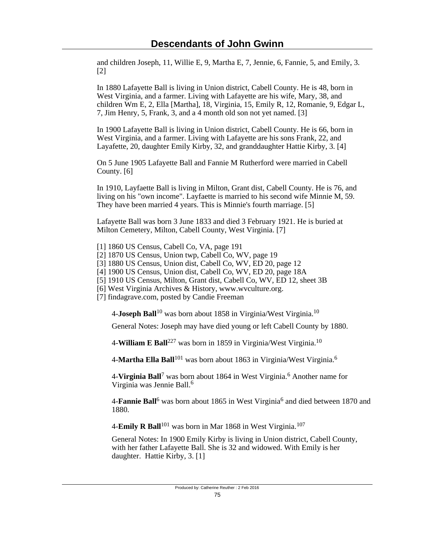and children Joseph, 11, Willie E, 9, Martha E, 7, Jennie, 6, Fannie, 5, and Emily, 3. [2]

In 1880 Lafayette Ball is living in Union district, Cabell County. He is 48, born in West Virginia, and a farmer. Living with Lafayette are his wife, Mary, 38, and children Wm E, 2, Ella [Martha], 18, Virginia, 15, Emily R, 12, Romanie, 9, Edgar L, 7, Jim Henry, 5, Frank, 3, and a 4 month old son not yet named. [3]

In 1900 Lafayette Ball is living in Union district, Cabell County. He is 66, born in West Virginia, and a farmer. Living with Lafayette are his sons Frank, 22, and Layafette, 20, daughter Emily Kirby, 32, and granddaughter Hattie Kirby, 3. [4]

On 5 June 1905 Lafayette Ball and Fannie M Rutherford were married in Cabell County. [6]

In 1910, Layfaette Ball is living in Milton, Grant dist, Cabell County. He is 76, and living on his "own income". Layfaette is married to his second wife Minnie M, 59. They have been married 4 years. This is Minnie's fourth marriage. [5]

Lafayette Ball was born 3 June 1833 and died 3 February 1921. He is buried at Milton Cemetery, Milton, Cabell County, West Virginia. [7]

- [1] 1860 US Census, Cabell Co, VA, page 191
- [2] 1870 US Census, Union twp, Cabell Co, WV, page 19
- [3] 1880 US Census, Union dist, Cabell Co, WV, ED 20, page 12
- [4] 1900 US Census, Union dist, Cabell Co, WV, ED 20, page 18A
- [5] 1910 US Census, Milton, Grant dist, Cabell Co, WV, ED 12, sheet 3B
- [6] West Virginia Archives & History, www.wvculture.org.
- [7] findagrave.com, posted by Candie Freeman

4-**Joseph Ball**10 was born about 1858 in Virginia/West Virginia.<sup>10</sup>

General Notes: Joseph may have died young or left Cabell County by 1880.

4-**William E Ball**227 was born in 1859 in Virginia/West Virginia.<sup>10</sup>

4-**Martha Ella Ball**101 was born about 1863 in Virginia/West Virginia.<sup>6</sup>

4-**Virginia Ball**<sup>7</sup> was born about 1864 in West Virginia.<sup>6</sup> Another name for Virginia was Jennie Ball.<sup>6</sup>

4-**Fannie Ball**<sup>6</sup> was born about 1865 in West Virginia<sup>6</sup> and died between 1870 and 1880.

4-**Emily R Ball**<sup>101</sup> was born in Mar 1868 in West Virginia.<sup>107</sup>

General Notes: In 1900 Emily Kirby is living in Union district, Cabell County, with her father Lafayette Ball. She is 32 and widowed. With Emily is her daughter. Hattie Kirby, 3. [1]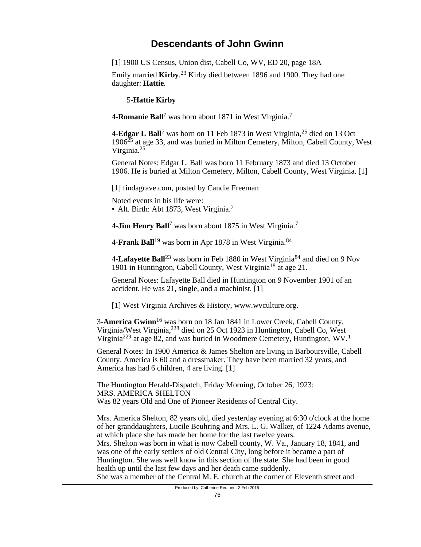[1] 1900 US Census, Union dist, Cabell Co, WV, ED 20, page 18A

Emily married **Kirby**. <sup>23</sup> Kirby died between 1896 and 1900. They had one daughter: **Hattie**.

5-**Hattie Kirby**

4-**Romanie Ball**<sup>7</sup> was born about 1871 in West Virginia.<sup>7</sup>

4-**Edgar L Ball**<sup>7</sup> was born on 11 Feb 1873 in West Virginia,<sup>25</sup> died on 13 Oct 1906<sup>25</sup> at age 33, and was buried in Milton Cemetery, Milton, Cabell County, West Virginia.<sup>25</sup>

General Notes: Edgar L. Ball was born 11 February 1873 and died 13 October 1906. He is buried at Milton Cemetery, Milton, Cabell County, West Virginia. [1]

[1] findagrave.com, posted by Candie Freeman

Noted events in his life were:

• Alt. Birth: Abt 1873, West Virginia.<sup>7</sup>

4-**Jim Henry Ball**<sup>7</sup> was born about 1875 in West Virginia.<sup>7</sup>

4-**Frank Ball**19 was born in Apr 1878 in West Virginia.<sup>84</sup>

4-**Lafayette Ball**23 was born in Feb 1880 in West Virginia84 and died on 9 Nov 1901 in Huntington, Cabell County, West Virginia<sup>18</sup> at age 21.

General Notes: Lafayette Ball died in Huntington on 9 November 1901 of an accident. He was 21, single, and a machinist. [1]

[1] West Virginia Archives & History, www.wvculture.org.

3-**America Gwinn**16 was born on 18 Jan 1841 in Lower Creek, Cabell County, Virginia/West Virginia,228 died on 25 Oct 1923 in Huntington, Cabell Co, West Virginia<sup>229</sup> at age 82, and was buried in Woodmere Cemetery, Huntington, WV.<sup>1</sup>

General Notes: In 1900 America & James Shelton are living in Barboursville, Cabell County. America is 60 and a dressmaker. They have been married 32 years, and America has had 6 children, 4 are living. [1]

The Huntington Herald-Dispatch, Friday Morning, October 26, 1923: MRS. AMERICA SHELTON Was 82 years Old and One of Pioneer Residents of Central City.

Mrs. America Shelton, 82 years old, died yesterday evening at 6:30 o'clock at the home of her granddaughters, Lucile Beuhring and Mrs. L. G. Walker, of 1224 Adams avenue, at which place she has made her home for the last twelve years. Mrs. Shelton was born in what is now Cabell county, W. Va., January 18, 1841, and was one of the early settlers of old Central City, long before it became a part of Huntington. She was well know in this section of the state. She had been in good health up until the last few days and her death came suddenly. She was a member of the Central M. E. church at the corner of Eleventh street and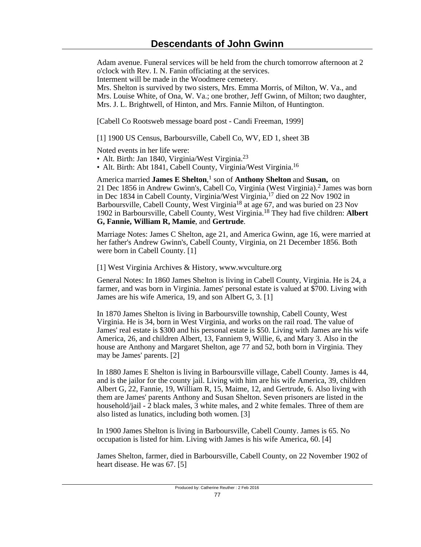Adam avenue. Funeral services will be held from the church tomorrow afternoon at 2 o'clock with Rev. I. N. Fanin officiating at the services. Interment will be made in the Woodmere cemetery. Mrs. Shelton is survived by two sisters, Mrs. Emma Morris, of Milton, W. Va., and

Mrs. Louise White, of Ona, W. Va.; one brother, Jeff Gwinn, of Milton; two daughter, Mrs. J. L. Brightwell, of Hinton, and Mrs. Fannie Milton, of Huntington.

[Cabell Co Rootsweb message board post - Candi Freeman, 1999]

[1] 1900 US Census, Barboursville, Cabell Co, WV, ED 1, sheet 3B

Noted events in her life were:

• Alt. Birth: Jan 1840, Virginia/West Virginia.<sup>23</sup>

• Alt. Birth: Abt 1841, Cabell County, Virginia/West Virginia.<sup>16</sup>

America married James E Shelton,<sup>1</sup> son of Anthony Shelton and Susan, on 21 Dec 1856 in Andrew Gwinn's, Cabell Co, Virginia (West Virginia).<sup>2</sup> James was born in Dec 1834 in Cabell County, Virginia/West Virginia,17 died on 22 Nov 1902 in Barboursville, Cabell County, West Virginia<sup>18</sup> at age 67, and was buried on 23 Nov 1902 in Barboursville, Cabell County, West Virginia.18 They had five children: **Albert G, Fannie, William R, Mamie**, and **Gertrude**.

Marriage Notes: James C Shelton, age 21, and America Gwinn, age 16, were married at her father's Andrew Gwinn's, Cabell County, Virginia, on 21 December 1856. Both were born in Cabell County. [1]

[1] West Virginia Archives & History, www.wvculture.org

General Notes: In 1860 James Shelton is living in Cabell County, Virginia. He is 24, a farmer, and was born in Virginia. James' personal estate is valued at \$700. Living with James are his wife America, 19, and son Albert G, 3. [1]

In 1870 James Shelton is living in Barboursville township, Cabell County, West Virginia. He is 34, born in West Virginia, and works on the rail road. The value of James' real estate is \$300 and his personal estate is \$50. Living with James are his wife America, 26, and children Albert, 13, Fanniem 9, Willie, 6, and Mary 3. Also in the house are Anthony and Margaret Shelton, age 77 and 52, both born in Virginia. They may be James' parents. [2]

In 1880 James E Shelton is living in Barboursville village, Cabell County. James is 44, and is the jailor for the county jail. Living with him are his wife America, 39, children Albert G, 22, Fannie, 19, William R, 15, Maime, 12, and Gertrude, 6. Also living with them are James' parents Anthony and Susan Shelton. Seven prisoners are listed in the household/jail - 2 black males, 3 white males, and 2 white females. Three of them are also listed as lunatics, including both women. [3]

In 1900 James Shelton is living in Barboursville, Cabell County. James is 65. No occupation is listed for him. Living with James is his wife America, 60. [4]

James Shelton, farmer, died in Barboursville, Cabell County, on 22 November 1902 of heart disease. He was 67. [5]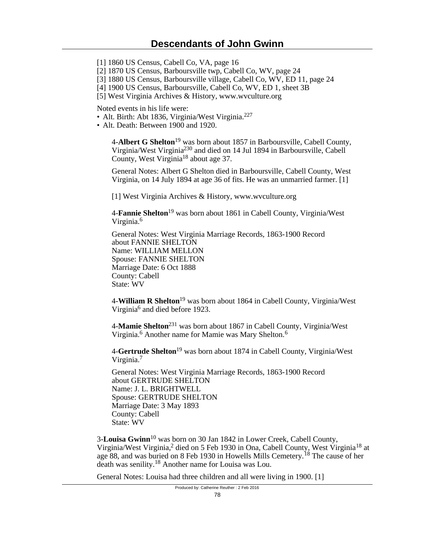[1] 1860 US Census, Cabell Co, VA, page 16

[2] 1870 US Census, Barboursville twp, Cabell Co, WV, page 24

- [3] 1880 US Census, Barboursville village, Cabell Co, WV, ED 11, page 24
- [4] 1900 US Census, Barboursville, Cabell Co, WV, ED 1, sheet 3B
- [5] West Virginia Archives & History, www.wvculture.org

Noted events in his life were:

- Alt. Birth: Abt 1836, Virginia/West Virginia.<sup>227</sup>
- Alt. Death: Between 1900 and 1920.

4-**Albert G Shelton**19 was born about 1857 in Barboursville, Cabell County, Virginia/West Virginia<sup>230</sup> and died on 14 Jul 1894 in Barboursville, Cabell County, West Virginia<sup>18</sup> about age 37.

General Notes: Albert G Shelton died in Barboursville, Cabell County, West Virginia, on 14 July 1894 at age 36 of fits. He was an unmarried farmer. [1]

[1] West Virginia Archives & History, www.wvculture.org

4-**Fannie Shelton**19 was born about 1861 in Cabell County, Virginia/West Virginia.<sup>6</sup>

General Notes: West Virginia Marriage Records, 1863-1900 Record about FANNIE SHELTON Name: WILLIAM MELLON Spouse: FANNIE SHELTON Marriage Date: 6 Oct 1888 County: Cabell State: WV

4-**William R Shelton**19 was born about 1864 in Cabell County, Virginia/West Virginia<sup>6</sup> and died before 1923.

4-**Mamie Shelton**231 was born about 1867 in Cabell County, Virginia/West Virginia.<sup>6</sup> Another name for Mamie was Mary Shelton.<sup>6</sup>

4-**Gertrude Shelton**19 was born about 1874 in Cabell County, Virginia/West Virginia.<sup>7</sup>

General Notes: West Virginia Marriage Records, 1863-1900 Record about GERTRUDE SHELTON Name: J. L. BRIGHTWELL Spouse: GERTRUDE SHELTON Marriage Date: 3 May 1893 County: Cabell State: WV

3-**Louisa Gwinn**10 was born on 30 Jan 1842 in Lower Creek, Cabell County, Virginia/West Virginia,<sup>2</sup> died on 5 Feb 1930 in Ona, Cabell County, West Virginia<sup>18</sup> at age 88, and was buried on 8 Feb 1930 in Howells Mills Cemetery.<sup>18</sup> The cause of her death was senility.18 Another name for Louisa was Lou.

General Notes: Louisa had three children and all were living in 1900. [1]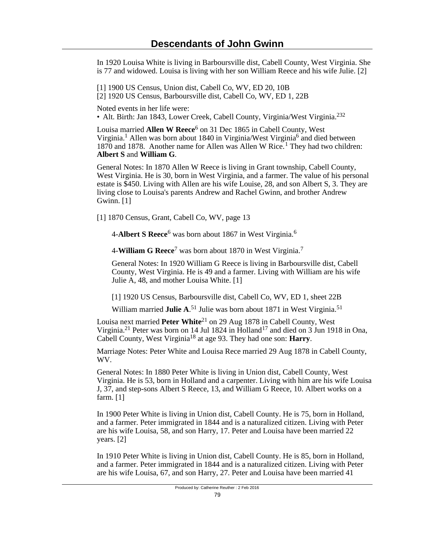In 1920 Louisa White is living in Barboursville dist, Cabell County, West Virginia. She is 77 and widowed. Louisa is living with her son William Reece and his wife Julie. [2]

[1] 1900 US Census, Union dist, Cabell Co, WV, ED 20, 10B [2] 1920 US Census, Barboursville dist, Cabell Co, WV, ED 1, 22B

Noted events in her life were:

• Alt. Birth: Jan 1843, Lower Creek, Cabell County, Virginia/West Virginia.<sup>232</sup>

Louisa married **Allen W Reece**<sup>6</sup> on 31 Dec 1865 in Cabell County, West Virginia.<sup>1</sup> Allen was born about 1840 in Virginia/West Virginia<sup>6</sup> and died between 1870 and 1878. Another name for Allen was Allen W Rice.<sup>1</sup> They had two children: **Albert S** and **William G**.

General Notes: In 1870 Allen W Reece is living in Grant township, Cabell County, West Virginia. He is 30, born in West Virginia, and a farmer. The value of his personal estate is \$450. Living with Allen are his wife Louise, 28, and son Albert S, 3. They are living close to Louisa's parents Andrew and Rachel Gwinn, and brother Andrew Gwinn. [1]

[1] 1870 Census, Grant, Cabell Co, WV, page 13

4-**Albert S Reece**<sup>6</sup> was born about 1867 in West Virginia.<sup>6</sup>

4-**William G Reece**<sup>7</sup> was born about 1870 in West Virginia.<sup>7</sup>

General Notes: In 1920 William G Reece is living in Barboursville dist, Cabell County, West Virginia. He is 49 and a farmer. Living with William are his wife Julie A, 48, and mother Louisa White. [1]

[1] 1920 US Census, Barboursville dist, Cabell Co, WV, ED 1, sheet 22B

William married **Julie A.**<sup>51</sup> Julie was born about 1871 in West Virginia.<sup>51</sup>

Louisa next married **Peter White**<sup>21</sup> on 29 Aug 1878 in Cabell County, West Virginia.<sup>21</sup> Peter was born on 14 Jul 1824 in Holland<sup>17</sup> and died on  $\overline{3}$  Jun 1918 in Ona, Cabell County, West Virginia18 at age 93. They had one son: **Harry**.

Marriage Notes: Peter White and Louisa Rece married 29 Aug 1878 in Cabell County, WV.

General Notes: In 1880 Peter White is living in Union dist, Cabell County, West Virginia. He is 53, born in Holland and a carpenter. Living with him are his wife Louisa J, 37, and step-sons Albert S Reece, 13, and William G Reece, 10. Albert works on a farm. [1]

In 1900 Peter White is living in Union dist, Cabell County. He is 75, born in Holland, and a farmer. Peter immigrated in 1844 and is a naturalized citizen. Living with Peter are his wife Louisa, 58, and son Harry, 17. Peter and Louisa have been married 22 years. [2]

In 1910 Peter White is living in Union dist, Cabell County. He is 85, born in Holland, and a farmer. Peter immigrated in 1844 and is a naturalized citizen. Living with Peter are his wife Louisa, 67, and son Harry, 27. Peter and Louisa have been married 41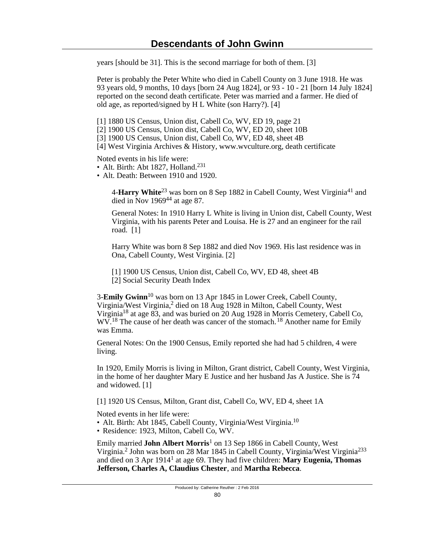years [should be 31]. This is the second marriage for both of them. [3]

Peter is probably the Peter White who died in Cabell County on 3 June 1918. He was 93 years old, 9 months, 10 days [born 24 Aug 1824], or 93 - 10 - 21 [born 14 July 1824] reported on the second death certificate. Peter was married and a farmer. He died of old age, as reported/signed by H L White (son Harry?). [4]

- [1] 1880 US Census, Union dist, Cabell Co, WV, ED 19, page 21
- [2] 1900 US Census, Union dist, Cabell Co, WV, ED 20, sheet 10B
- [3] 1900 US Census, Union dist, Cabell Co, WV, ED 48, sheet 4B
- [4] West Virginia Archives & History, www.wvculture.org, death certificate

Noted events in his life were:

- Alt. Birth: Abt 1827, Holland.<sup>231</sup>
- Alt. Death: Between 1910 and 1920.

4-**Harry White**<sup>23</sup> was born on 8 Sep 1882 in Cabell County, West Virginia<sup>41</sup> and died in Nov  $1969^{44}$  at age 87.

General Notes: In 1910 Harry L White is living in Union dist, Cabell County, West Virginia, with his parents Peter and Louisa. He is 27 and an engineer for the rail road. [1]

Harry White was born 8 Sep 1882 and died Nov 1969. His last residence was in Ona, Cabell County, West Virginia. [2]

[1] 1900 US Census, Union dist, Cabell Co, WV, ED 48, sheet 4B [2] Social Security Death Index

3-**Emily Gwinn**10 was born on 13 Apr 1845 in Lower Creek, Cabell County, Virginia/West Virginia,<sup>2</sup> died on 18 Aug 1928 in Milton, Cabell County, West Virginia18 at age 83, and was buried on 20 Aug 1928 in Morris Cemetery, Cabell Co, WV.<sup>18</sup> The cause of her death was cancer of the stomach.<sup>18</sup> Another name for Emily was Emma.

General Notes: On the 1900 Census, Emily reported she had had 5 children, 4 were living.

In 1920, Emily Morris is living in Milton, Grant district, Cabell County, West Virginia, in the home of her daughter Mary E Justice and her husband Jas A Justice. She is 74 and widowed. [1]

[1] 1920 US Census, Milton, Grant dist, Cabell Co, WV, ED 4, sheet 1A

Noted events in her life were:

- Alt. Birth: Abt 1845, Cabell County, Virginia/West Virginia.<sup>10</sup>
- Residence: 1923, Milton, Cabell Co, WV.

Emily married John Albert Morris<sup>1</sup> on 13 Sep 1866 in Cabell County, West Virginia.<sup>2</sup> John was born on 28 Mar 1845 in Cabell County, Virginia/West Virginia<sup>233</sup> and died on 3 Apr 1914<sup>1</sup> at age 69. They had five children: **Mary Eugenia, Thomas Jefferson, Charles A, Claudius Chester**, and **Martha Rebecca**.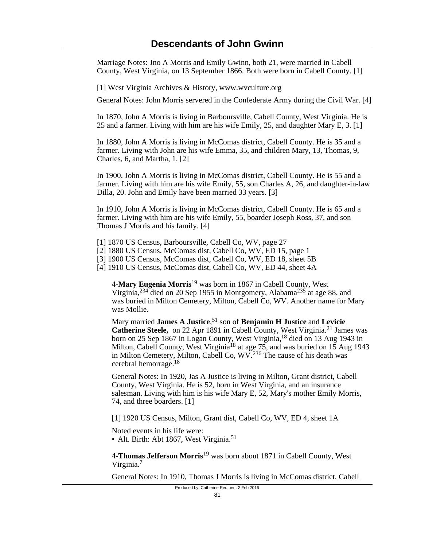Marriage Notes: Jno A Morris and Emily Gwinn, both 21, were married in Cabell County, West Virginia, on 13 September 1866. Both were born in Cabell County. [1]

[1] West Virginia Archives & History, www.wvculture.org

General Notes: John Morris servered in the Confederate Army during the Civil War. [4]

In 1870, John A Morris is living in Barboursville, Cabell County, West Virginia. He is 25 and a farmer. Living with him are his wife Emily, 25, and daughter Mary E, 3. [1]

In 1880, John A Morris is living in McComas district, Cabell County. He is 35 and a farmer. Living with John are his wife Emma, 35, and children Mary, 13, Thomas, 9, Charles, 6, and Martha, 1. [2]

In 1900, John A Morris is living in McComas district, Cabell County. He is 55 and a farmer. Living with him are his wife Emily, 55, son Charles A, 26, and daughter-in-law Dilla, 20. John and Emily have been married 33 years. [3]

In 1910, John A Morris is living in McComas district, Cabell County. He is 65 and a farmer. Living with him are his wife Emily, 55, boarder Joseph Ross, 37, and son Thomas J Morris and his family. [4]

- [1] 1870 US Census, Barboursville, Cabell Co, WV, page 27
- [2] 1880 US Census, McComas dist, Cabell Co, WV, ED 15, page 1
- [3] 1900 US Census, McComas dist, Cabell Co, WV, ED 18, sheet 5B
- [4] 1910 US Census, McComas dist, Cabell Co, WV, ED 44, sheet 4A

4-**Mary Eugenia Morris**19 was born in 1867 in Cabell County, West Virginia,  $2^{34}$  died on 20 Sep 1955 in Montgomery, Alabama $2^{35}$  at age 88, and was buried in Milton Cemetery, Milton, Cabell Co, WV. Another name for Mary was Mollie.

Mary married **James A Justice**, <sup>51</sup> son of **Benjamin H Justice** and **Levicie Catherine Steele,** on 22 Apr 1891 in Cabell County, West Virginia.<sup>21</sup> James was born on 25 Sep 1867 in Logan County, West Virginia,18 died on 13 Aug 1943 in Milton, Cabell County, West Virginia<sup>18</sup> at age 75, and was buried on 15 Aug 1943 in Milton Cemetery, Milton, Cabell Co, WV.<sup>236</sup> The cause of his death was cerebral hemorrage.<sup>18</sup>

General Notes: In 1920, Jas A Justice is living in Milton, Grant district, Cabell County, West Virginia. He is 52, born in West Virginia, and an insurance salesman. Living with him is his wife Mary E, 52, Mary's mother Emily Morris, 74, and three boarders. [1]

[1] 1920 US Census, Milton, Grant dist, Cabell Co, WV, ED 4, sheet 1A

Noted events in his life were:

• Alt. Birth: Abt 1867, West Virginia.<sup>51</sup>

4-**Thomas Jefferson Morris**19 was born about 1871 in Cabell County, West Virginia.<sup>7</sup>

General Notes: In 1910, Thomas J Morris is living in McComas district, Cabell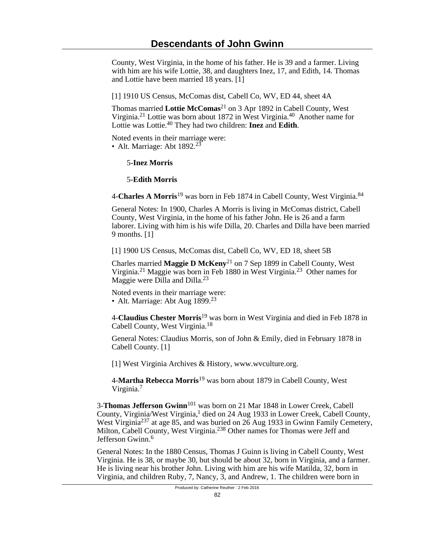County, West Virginia, in the home of his father. He is 39 and a farmer. Living with him are his wife Lottie, 38, and daughters Inez, 17, and Edith, 14. Thomas and Lottie have been married 18 years. [1]

[1] 1910 US Census, McComas dist, Cabell Co, WV, ED 44, sheet 4A

Thomas married **Lottie McComas**21 on 3 Apr 1892 in Cabell County, West Virginia.21 Lottie was born about 1872 in West Virginia.40 Another name for Lottie was Lottie.40 They had two children: **Inez** and **Edith**.

Noted events in their marriage were: • Alt. Marriage: Abt  $1892.<sup>23</sup>$ 

5-**Inez Morris**

5-**Edith Morris**

4-**Charles A Morris**19 was born in Feb 1874 in Cabell County, West Virginia.<sup>84</sup>

General Notes: In 1900, Charles A Morris is living in McComas district, Cabell County, West Virginia, in the home of his father John. He is 26 and a farm laborer. Living with him is his wife Dilla, 20. Charles and Dilla have been married 9 months. [1]

[1] 1900 US Census, McComas dist, Cabell Co, WV, ED 18, sheet 5B

Charles married **Maggie D McKeny**21 on 7 Sep 1899 in Cabell County, West Virginia.21 Maggie was born in Feb 1880 in West Virginia.23 Other names for Maggie were Dilla and Dilla.<sup>23</sup>

Noted events in their marriage were: • Alt. Marriage: Abt Aug  $1899.^{23}$ 

4-**Claudius Chester Morris**19 was born in West Virginia and died in Feb 1878 in Cabell County, West Virginia.<sup>18</sup>

General Notes: Claudius Morris, son of John & Emily, died in February 1878 in Cabell County. [1]

[1] West Virginia Archives & History, www.wvculture.org.

4-**Martha Rebecca Morris**19 was born about 1879 in Cabell County, West Virginia.<sup>7</sup>

3-**Thomas Jefferson Gwinn**101 was born on 21 Mar 1848 in Lower Creek, Cabell County, Virginia/West Virginia,<sup>1</sup> died on 24 Aug 1933 in Lower Creek, Cabell County, West Virginia<sup>237</sup> at age 85, and was buried on 26 Aug 1933 in Gwinn Family Cemetery, Milton, Cabell County, West Virginia.<sup>238</sup> Other names for Thomas were Jeff and Jefferson Gwinn.<sup>6</sup>

General Notes: In the 1880 Census, Thomas J Guinn is living in Cabell County, West Virginia. He is 38, or maybe 30, but should be about 32, born in Virginia, and a farmer. He is living near his brother John. Living with him are his wife Matilda, 32, born in Virginia, and children Ruby, 7, Nancy, 3, and Andrew, 1. The children were born in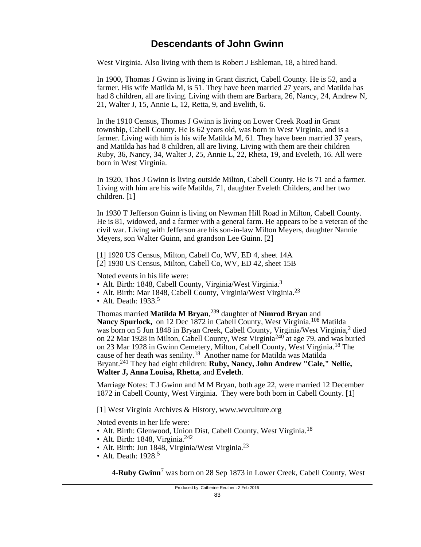West Virginia. Also living with them is Robert J Eshleman, 18, a hired hand.

In 1900, Thomas J Gwinn is living in Grant district, Cabell County. He is 52, and a farmer. His wife Matilda M, is 51. They have been married 27 years, and Matilda has had 8 children, all are living. Living with them are Barbara, 26, Nancy, 24, Andrew N, 21, Walter J, 15, Annie L, 12, Retta, 9, and Evelith, 6.

In the 1910 Census, Thomas J Gwinn is living on Lower Creek Road in Grant township, Cabell County. He is 62 years old, was born in West Virginia, and is a farmer. Living with him is his wife Matilda M, 61. They have been married 37 years, and Matilda has had 8 children, all are living. Living with them are their children Ruby, 36, Nancy, 34, Walter J, 25, Annie L, 22, Rheta, 19, and Eveleth, 16. All were born in West Virginia.

In 1920, Thos J Gwinn is living outside Milton, Cabell County. He is 71 and a farmer. Living with him are his wife Matilda, 71, daughter Eveleth Childers, and her two children. [1]

In 1930 T Jefferson Guinn is living on Newman Hill Road in Milton, Cabell County. He is 81, widowed, and a farmer with a general farm. He appears to be a veteran of the civil war. Living with Jefferson are his son-in-law Milton Meyers, daughter Nannie Meyers, son Walter Guinn, and grandson Lee Guinn. [2]

[1] 1920 US Census, Milton, Cabell Co, WV, ED 4, sheet 14A [2] 1930 US Census, Milton, Cabell Co, WV, ED 42, sheet 15B

Noted events in his life were:

- Alt. Birth: 1848, Cabell County, Virginia/West Virginia.<sup>3</sup>
- Alt. Birth: Mar 1848, Cabell County, Virginia/West Virginia.<sup>23</sup>
- Alt. Death: 1933.<sup>5</sup>

Thomas married **Matilda M Bryan**, <sup>239</sup> daughter of **Nimrod Bryan** and Nancy Spurlock, on 12 Dec 1872 in Cabell County, West Virginia.<sup>108</sup> Matilda was born on 5 Jun 1848 in Bryan Creek, Cabell County, Virginia/West Virginia,<sup>2</sup> died on 22 Mar 1928 in Milton, Cabell County, West Virginia240 at age 79, and was buried on 23 Mar 1928 in Gwinn Cemetery, Milton, Cabell County, West Virginia.<sup>18</sup> The cause of her death was senility.<sup>18</sup> Another name for Matilda was Matilda Bryant.241 They had eight children: **Ruby, Nancy, John Andrew "Cale," Nellie, Walter J, Anna Louisa, Rhetta**, and **Eveleth**.

Marriage Notes: T J Gwinn and M M Bryan, both age 22, were married 12 December 1872 in Cabell County, West Virginia. They were both born in Cabell County. [1]

[1] West Virginia Archives & History, www.wvculture.org

Noted events in her life were:

- Alt. Birth: Glenwood, Union Dist, Cabell County, West Virginia.<sup>18</sup>
- Alt. Birth: 1848, Virginia.<sup>242</sup>
- Alt. Birth: Jun 1848, Virginia/West Virginia.<sup>23</sup>
- Alt. Death: 1928.<sup>5</sup>

4-**Ruby Gwinn**<sup>7</sup> was born on 28 Sep 1873 in Lower Creek, Cabell County, West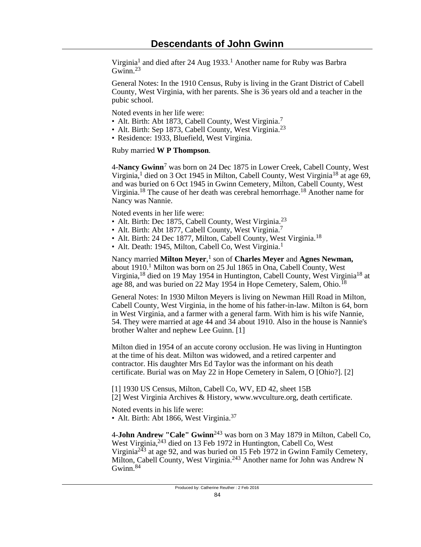Virginia<sup>1</sup> and died after 24 Aug 1933.<sup>1</sup> Another name for Ruby was Barbra Gwinn.<sup>23</sup>

General Notes: In the 1910 Census, Ruby is living in the Grant District of Cabell County, West Virginia, with her parents. She is 36 years old and a teacher in the pubic school.

Noted events in her life were:

- Alt. Birth: Abt 1873, Cabell County, West Virginia.<sup>7</sup>
- Alt. Birth: Sep 1873, Cabell County, West Virginia.<sup>23</sup>
- Residence: 1933, Bluefield, West Virginia.

Ruby married **W P Thompson**.

4-**Nancy Gwinn**<sup>7</sup> was born on 24 Dec 1875 in Lower Creek, Cabell County, West Virginia,<sup>1</sup> died on 3 Oct 1945 in Milton, Cabell County, West Virginia<sup>18</sup> at age 69, and was buried on 6 Oct 1945 in Gwinn Cemetery, Milton, Cabell County, West Virginia.18 The cause of her death was cerebral hemorrhage.18 Another name for Nancy was Nannie.

Noted events in her life were:

- Alt. Birth: Dec 1875, Cabell County, West Virginia.<sup>23</sup>
- Alt. Birth: Abt 1877, Cabell County, West Virginia.<sup>7</sup>
- Alt. Birth: 24 Dec 1877, Milton, Cabell County, West Virginia.<sup>18</sup>
- Alt. Death: 1945, Milton, Cabell Co, West Virginia.<sup>1</sup>

Nancy married Milton Meyer,<sup>1</sup> son of Charles Meyer and Agnes Newman, about 1910.<sup>1</sup> Milton was born on 25 Jul 1865 in Ona, Cabell County, West Virginia,18 died on 19 May 1954 in Huntington, Cabell County, West Virginia18 at age 88, and was buried on 22 May 1954 in Hope Cemetery, Salem, Ohio.<sup>18</sup>

General Notes: In 1930 Milton Meyers is living on Newman Hill Road in Milton, Cabell County, West Virginia, in the home of his father-in-law. Milton is 64, born in West Virginia, and a farmer with a general farm. With him is his wife Nannie, 54. They were married at age 44 and 34 about 1910. Also in the house is Nannie's brother Walter and nephew Lee Guinn. [1]

Milton died in 1954 of an accute corony occlusion. He was living in Huntington at the time of his deat. Milton was widowed, and a retired carpenter and contractor. His daughter Mrs Ed Taylor was the informant on his death certificate. Burial was on May 22 in Hope Cemetery in Salem, O [Ohio?]. [2]

[1] 1930 US Census, Milton, Cabell Co, WV, ED 42, sheet 15B [2] West Virginia Archives & History, www.wvculture.org, death certificate.

Noted events in his life were:

• Alt. Birth: Abt 1866, West Virginia.<sup>37</sup>

4-**John Andrew "Cale" Gwinn**243 was born on 3 May 1879 in Milton, Cabell Co, West Virginia, <sup>243</sup> died on 13 Feb 1972 in Huntington, Cabell Co, West Virginia<sup>243</sup> at age 92, and was buried on 15 Feb 1972 in Gwinn Family Cemetery, Milton, Cabell County, West Virginia.<sup>243</sup> Another name for John was Andrew N Gwinn.<sup>84</sup>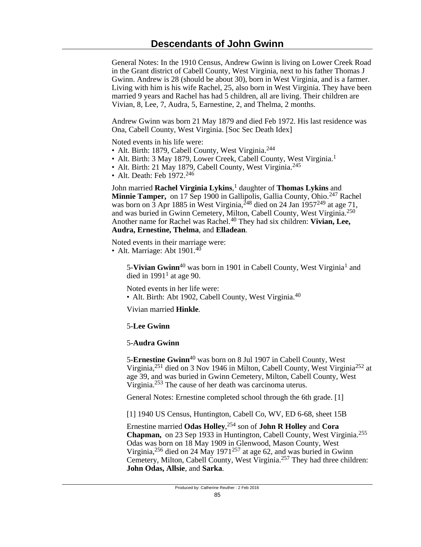General Notes: In the 1910 Census, Andrew Gwinn is living on Lower Creek Road in the Grant district of Cabell County, West Virginia, next to his father Thomas J Gwinn. Andrew is 28 (should be about 30), born in West Virginia, and is a farmer. Living with him is his wife Rachel, 25, also born in West Virginia. They have been married 9 years and Rachel has had 5 children, all are living. Their children are Vivian, 8, Lee, 7, Audra, 5, Earnestine, 2, and Thelma, 2 months.

Andrew Gwinn was born 21 May 1879 and died Feb 1972. His last residence was Ona, Cabell County, West Virginia. [Soc Sec Death Idex]

Noted events in his life were:

- Alt. Birth: 1879, Cabell County, West Virginia.<sup>244</sup>
- Alt. Birth: 3 May 1879, Lower Creek, Cabell County, West Virginia.<sup>1</sup>
- Alt. Birth: 21 May 1879, Cabell County, West Virginia.<sup>245</sup>
- Alt. Death: Feb 1972.<sup>246</sup>

John married **Rachel Virginia Lykins**, 1 daughter of **Thomas Lykins** and Minnie Tamper, on 17 Sep 1900 in Gallipolis, Gallia County, Ohio.<sup>247</sup> Rachel was born on 3 Apr 1885 in West Virginia,  $^{248}$  died on 24 Jan 1957 $^{249}$  at age 71, and was buried in Gwinn Cemetery, Milton, Cabell County, West Virginia.<sup>250</sup> Another name for Rachel was Rachel.40 They had six children: **Vivian, Lee, Audra, Ernestine, Thelma**, and **Elladean**.

Noted events in their marriage were: • Alt. Marriage: Abt  $1901<sup>40</sup>$ 

> 5-**Vivian Gwinn**<sup>40</sup> was born in 1901 in Cabell County, West Virginia<sup>1</sup> and died in  $1991<sup>1</sup>$  at age 90.

Noted events in her life were:

• Alt. Birth: Abt 1902, Cabell County, West Virginia.<sup>40</sup>

Vivian married **Hinkle**.

# 5-**Lee Gwinn**

# 5-**Audra Gwinn**

5-**Ernestine Gwinn**40 was born on 8 Jul 1907 in Cabell County, West Virginia,251 died on 3 Nov 1946 in Milton, Cabell County, West Virginia252 at age 39, and was buried in Gwinn Cemetery, Milton, Cabell County, West Virginia.253 The cause of her death was carcinoma uterus.

General Notes: Ernestine completed school through the 6th grade. [1]

[1] 1940 US Census, Huntington, Cabell Co, WV, ED 6-68, sheet 15B

Ernestine married **Odas Holley**, <sup>254</sup> son of **John R Holley** and **Cora Chapman,** on 23 Sep 1933 in Huntington, Cabell County, West Virginia.<sup>255</sup> Odas was born on 18 May 1909 in Glenwood, Mason County, West Virginia,<sup>256</sup> died on 24 May 1971<sup>257</sup> at age 62, and was buried in Gwinn Cemetery, Milton, Cabell County, West Virginia.<sup>257</sup> They had three children: **John Odas, Allsie**, and **Sarka**.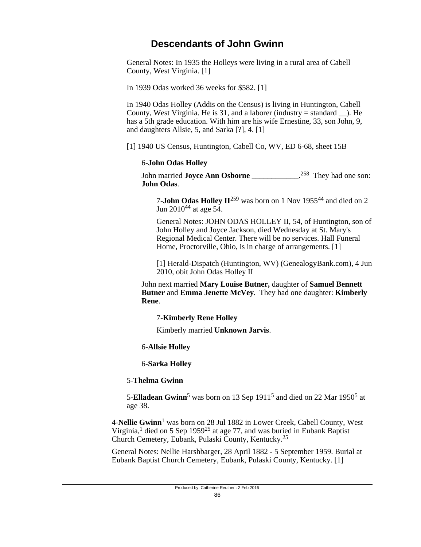General Notes: In 1935 the Holleys were living in a rural area of Cabell County, West Virginia. [1]

In 1939 Odas worked 36 weeks for \$582. [1]

In 1940 Odas Holley (Addis on the Census) is living in Huntington, Cabell County, West Virginia. He is 31, and a laborer (industry  $=$  standard  $\blacksquare$ ). He has a 5th grade education. With him are his wife Ernestine, 33, son John, 9, and daughters Allsie, 5, and Sarka [?], 4. [1]

[1] 1940 US Census, Huntington, Cabell Co, WV, ED 6-68, sheet 15B

### 6-**John Odas Holley**

John married **Joyce Ann Osborne** \_\_\_\_\_\_\_\_\_\_\_\_. <sup>258</sup> They had one son: **John Odas**.

7-**John Odas Holley II**259 was born on 1 Nov 195544 and died on 2 Jun 201044 at age 54.

General Notes: JOHN ODAS HOLLEY II, 54, of Huntington, son of John Holley and Joyce Jackson, died Wednesday at St. Mary's Regional Medical Center. There will be no services. Hall Funeral Home, Proctorville, Ohio, is in charge of arrangements. [1]

[1] Herald-Dispatch (Huntington, WV) (GenealogyBank.com), 4 Jun 2010, obit John Odas Holley II

John next married **Mary Louise Butner,** daughter of **Samuel Bennett Butner** and **Emma Jenette McVey**. They had one daughter: **Kimberly Rene**.

# 7-**Kimberly Rene Holley**

Kimberly married **Unknown Jarvis**.

# 6-**Allsie Holley**

6-**Sarka Holley**

# 5-**Thelma Gwinn**

5-**Elladean Gwinn**<sup>5</sup> was born on 13 Sep 1911<sup>5</sup> and died on 22 Mar 1950<sup>5</sup> at age 38.

4-**Nellie Gwinn**<sup>1</sup> was born on 28 Jul 1882 in Lower Creek, Cabell County, West Virginia,<sup>1</sup> died on 5 Sep 1959<sup>25</sup> at age 77, and was buried in Eubank Baptist Church Cemetery, Eubank, Pulaski County, Kentucky.<sup>25</sup>

General Notes: Nellie Harshbarger, 28 April 1882 - 5 September 1959. Burial at Eubank Baptist Church Cemetery, Eubank, Pulaski County, Kentucky. [1]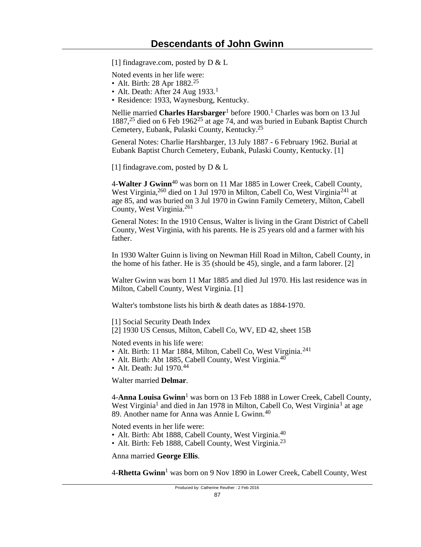[1] findagrave.com, posted by  $D & L$ 

Noted events in her life were:

- Alt. Birth: 28 Apr  $1882.^{25}$
- Alt. Death: After 24 Aug  $1933$ <sup>1</sup>
- Residence: 1933, Waynesburg, Kentucky.

Nellie married **Charles Harsbarger**<sup>1</sup> before 1900.<sup>1</sup> Charles was born on 13 Jul 1887,25 died on 6 Feb 196225 at age 74, and was buried in Eubank Baptist Church Cemetery, Eubank, Pulaski County, Kentucky.<sup>25</sup>

General Notes: Charlie Harshbarger, 13 July 1887 - 6 February 1962. Burial at Eubank Baptist Church Cemetery, Eubank, Pulaski County, Kentucky. [1]

[1] findagrave.com, posted by  $D & L$ 

4-**Walter J Gwinn**40 was born on 11 Mar 1885 in Lower Creek, Cabell County, West Virginia,<sup>260</sup> died on 1 Jul 1970 in Milton, Cabell Co, West Virginia<sup>241</sup> at age 85, and was buried on 3 Jul 1970 in Gwinn Family Cemetery, Milton, Cabell County, West Virginia.<sup>261</sup>

General Notes: In the 1910 Census, Walter is living in the Grant District of Cabell County, West Virginia, with his parents. He is 25 years old and a farmer with his father.

In 1930 Walter Guinn is living on Newman Hill Road in Milton, Cabell County, in the home of his father. He is 35 (should be 45), single, and a farm laborer. [2]

Walter Gwinn was born 11 Mar 1885 and died Jul 1970. His last residence was in Milton, Cabell County, West Virginia. [1]

Walter's tombstone lists his birth & death dates as 1884-1970.

[1] Social Security Death Index

[2] 1930 US Census, Milton, Cabell Co, WV, ED 42, sheet 15B

Noted events in his life were:

- Alt. Birth: 11 Mar 1884, Milton, Cabell Co, West Virginia.<sup>241</sup>
- Alt. Birth: Abt 1885, Cabell County, West Virginia. $40^{\circ}$
- Alt. Death: Jul 1970.<sup>44</sup>

Walter married **Delmar**.

4-**Anna Louisa Gwinn**<sup>1</sup> was born on 13 Feb 1888 in Lower Creek, Cabell County, West Virginia<sup>1</sup> and died in Jan 1978 in Milton, Cabell Co, West Virginia<sup>1</sup> at age 89. Another name for Anna was Annie L Gwinn. $40$ 

Noted events in her life were:

- Alt. Birth: Abt 1888, Cabell County, West Virginia.<sup>40</sup>
- Alt. Birth: Feb 1888, Cabell County, West Virginia.<sup>23</sup>

Anna married **George Ellis**.

4-**Rhetta Gwinn**<sup>1</sup> was born on 9 Nov 1890 in Lower Creek, Cabell County, West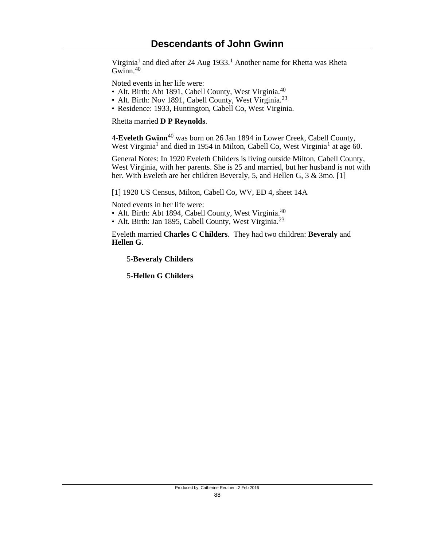Virginia<sup>1</sup> and died after 24 Aug 1933.<sup>1</sup> Another name for Rhetta was Rheta Gwinn.<sup>40</sup>

Noted events in her life were:

- Alt. Birth: Abt 1891, Cabell County, West Virginia.<sup>40</sup>
- Alt. Birth: Nov 1891, Cabell County, West Virginia.<sup>23</sup>
- Residence: 1933, Huntington, Cabell Co, West Virginia.

Rhetta married **D P Reynolds**.

4-**Eveleth Gwinn**40 was born on 26 Jan 1894 in Lower Creek, Cabell County, West Virginia<sup>1</sup> and died in 1954 in Milton, Cabell Co, West Virginia<sup>1</sup> at age 60.

General Notes: In 1920 Eveleth Childers is living outside Milton, Cabell County, West Virginia, with her parents. She is 25 and married, but her husband is not with her. With Eveleth are her children Beveraly, 5, and Hellen G, 3 & 3mo. [1]

[1] 1920 US Census, Milton, Cabell Co, WV, ED 4, sheet 14A

Noted events in her life were:

- Alt. Birth: Abt 1894, Cabell County, West Virginia.<sup>40</sup>
- Alt. Birth: Jan 1895, Cabell County, West Virginia.<sup>23</sup>

Eveleth married **Charles C Childers**. They had two children: **Beveraly** and **Hellen G**.

5-**Beveraly Childers**

5-**Hellen G Childers**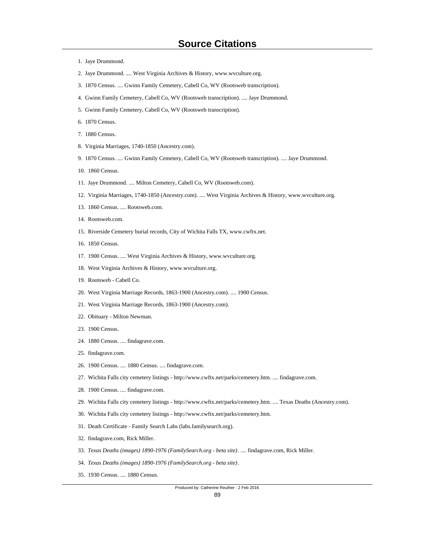- 1. Jaye Drummond.
- 2. Jaye Drummond. .... West Virginia Archives & History, www.wvculture.org.
- 3. 1870 Census. .... Gwinn Family Cemetery, Cabell Co, WV (Rootsweb transcription).
- 4. Gwinn Family Cemetery, Cabell Co, WV (Rootsweb transcription). .... Jaye Drummond.
- 5. Gwinn Family Cemetery, Cabell Co, WV (Rootsweb transcription).
- 6. 1870 Census.
- 7. 1880 Census.
- 8. Virginia Marriages, 1740-1850 (Ancestry.com).
- 9. 1870 Census. .... Gwinn Family Cemetery, Cabell Co, WV (Rootsweb transcription). .... Jaye Drummond.
- 10. 1860 Census.
- 11. Jaye Drummond. .... Milton Cemetery, Cabell Co, WV (Rootsweb.com).
- 12. Virginia Marriages, 1740-1850 (Ancestry.com). .... West Virginia Archives & History, www.wvculture.org.
- 13. 1860 Census. .... Rootsweb.com.
- 14. Rootsweb.com.
- 15. Riverside Cemetery burial records, City of Wichita Falls TX, www.cwftx.net.
- 16. 1850 Census.
- 17. 1900 Census. .... West Virginia Archives & History, www.wvculture.org.
- 18. West Virginia Archives & History, www.wvculture.org.
- 19. Rootsweb Cabell Co.
- 20. West Virginia Marriage Records, 1863-1900 (Ancestry.com). .... 1900 Census.
- 21. West Virginia Marriage Records, 1863-1900 (Ancestry.com).
- 22. Obituary Milton Newman.
- 23. 1900 Census.
- 24. 1880 Census. .... findagrave.com.
- 25. findagrave.com.
- 26. 1900 Census. .... 1880 Census. .... findagrave.com.
- 27. Wichita Falls city cemetery listings http://www.cwftx.net/parks/cemetery.htm. .... findagrave.com.
- 28. 1900 Census. .... findagrave.com.
- 29. Wichita Falls city cemetery listings http://www.cwftx.net/parks/cemetery.htm. .... Texas Deaths (Ancestry.com).
- 30. Wichita Falls city cemetery listings http://www.cwftx.net/parks/cemetery.htm.
- 31. Death Certificate Family Search Labs (labs.familysearch.org).
- 32. findagrave.com, Rick Miller.
- 33. *Texas Deaths (images) 1890-1976 (FamilySearch.org beta site)*. .... findagrave.com, Rick Miller.
- 34. *Texas Deaths (images) 1890-1976 (FamilySearch.org beta site)*.
- 35. 1930 Census. .... 1880 Census.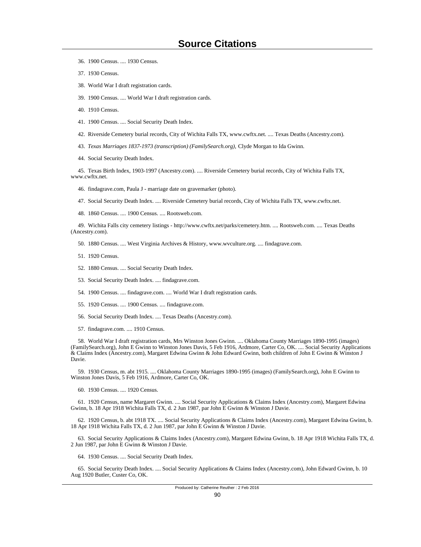- 36. 1900 Census. .... 1930 Census.
- 37. 1930 Census.
- 38. World War I draft registration cards.
- 39. 1900 Census. .... World War I draft registration cards.
- 40. 1910 Census.
- 41. 1900 Census. .... Social Security Death Index.
- 42. Riverside Cemetery burial records, City of Wichita Falls TX, www.cwftx.net. .... Texas Deaths (Ancestry.com).
- 43. *Texas Marriages 1837-1973 (transcription) (FamilySearch.org),* Clyde Morgan to Ida Gwinn.
- 44. Social Security Death Index.

 45. Texas Birth Index, 1903-1997 (Ancestry.com). .... Riverside Cemetery burial records, City of Wichita Falls TX, www.cwftx.net.

- 46. findagrave.com, Paula J marriage date on gravemarker (photo).
- 47. Social Security Death Index. .... Riverside Cemetery burial records, City of Wichita Falls TX, www.cwftx.net.
- 48. 1860 Census. .... 1900 Census. .... Rootsweb.com.

 49. Wichita Falls city cemetery listings - http://www.cwftx.net/parks/cemetery.htm. .... Rootsweb.com. .... Texas Deaths (Ancestry.com).

- 50. 1880 Census. .... West Virginia Archives & History, www.wvculture.org. .... findagrave.com.
- 51. 1920 Census.
- 52. 1880 Census. .... Social Security Death Index.
- 53. Social Security Death Index. .... findagrave.com.
- 54. 1900 Census. .... findagrave.com. .... World War I draft registration cards.
- 55. 1920 Census. .... 1900 Census. .... findagrave.com.
- 56. Social Security Death Index. .... Texas Deaths (Ancestry.com).
- 57. findagrave.com. .... 1910 Census.

 58. World War I draft registration cards, Mrs Winston Jones Gwinn. .... Oklahoma County Marriages 1890-1995 (images) (FamilySearch.org), John E Gwinn to Winston Jones Davis, 5 Feb 1916, Ardmore, Carter Co, OK. .... Social Security Applications & Claims Index (Ancestry.com), Margaret Edwina Gwinn & John Edward Gwinn, both children of John E Gwinn & Winston J Davie.

 59. 1930 Census, m. abt 1915. .... Oklahoma County Marriages 1890-1995 (images) (FamilySearch.org), John E Gwinn to Winston Jones Davis, 5 Feb 1916, Ardmore, Carter Co, OK.

60. 1930 Census. .... 1920 Census.

 61. 1920 Census, name Margaret Gwinn. .... Social Security Applications & Claims Index (Ancestry.com), Margaret Edwina Gwinn, b. 18 Apr 1918 Wichita Falls TX, d. 2 Jun 1987, par John E Gwinn & Winston J Davie.

 62. 1920 Census, b. abt 1918 TX. .... Social Security Applications & Claims Index (Ancestry.com), Margaret Edwina Gwinn, b. 18 Apr 1918 Wichita Falls TX, d. 2 Jun 1987, par John E Gwinn & Winston J Davie.

 63. Social Security Applications & Claims Index (Ancestry.com), Margaret Edwina Gwinn, b. 18 Apr 1918 Wichita Falls TX, d. 2 Jun 1987, par John E Gwinn & Winston J Davie.

64. 1930 Census. .... Social Security Death Index.

 65. Social Security Death Index. .... Social Security Applications & Claims Index (Ancestry.com), John Edward Gwinn, b. 10 Aug 1920 Butler, Custer Co, OK.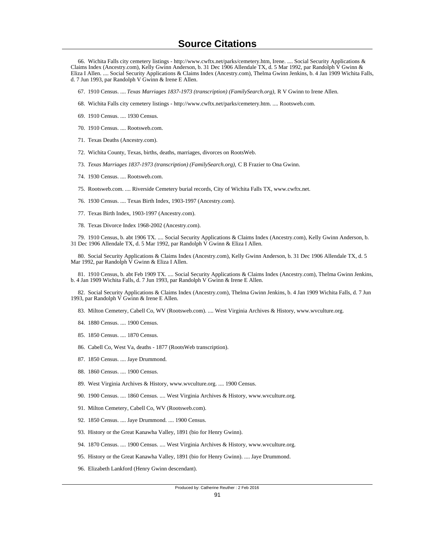66. Wichita Falls city cemetery listings - http://www.cwftx.net/parks/cemetery.htm, Irene. .... Social Security Applications & Claims Index (Ancestry.com), Kelly Gwinn Anderson, b. 31 Dec 1906 Allendale TX, d. 5 Mar 1992, par Randolph V Gwinn & Eliza I Allen. .... Social Security Applications & Claims Index (Ancestry.com), Thelma Gwinn Jenkins, b. 4 Jan 1909 Wichita Falls, d. 7 Jun 1993, par Randolph V Gwinn & Irene E Allen.

- 67. 1910 Census. .... *Texas Marriages 1837-1973 (transcription) (FamilySearch.org),* R V Gwinn to Irene Allen.
- 68. Wichita Falls city cemetery listings http://www.cwftx.net/parks/cemetery.htm. .... Rootsweb.com.
- 69. 1910 Census. .... 1930 Census.
- 70. 1910 Census. .... Rootsweb.com.
- 71. Texas Deaths (Ancestry.com).
- 72. Wichita County, Texas, births, deaths, marriages, divorces on RootsWeb.
- 73. *Texas Marriages 1837-1973 (transcription) (FamilySearch.org),* C B Frazier to Ona Gwinn.
- 74. 1930 Census. .... Rootsweb.com.
- 75. Rootsweb.com. .... Riverside Cemetery burial records, City of Wichita Falls TX, www.cwftx.net.
- 76. 1930 Census. .... Texas Birth Index, 1903-1997 (Ancestry.com).
- 77. Texas Birth Index, 1903-1997 (Ancestry.com).
- 78. Texas Divorce Index 1968-2002 (Ancestry.com).

 79. 1910 Census, b. abt 1906 TX. .... Social Security Applications & Claims Index (Ancestry.com), Kelly Gwinn Anderson, b. 31 Dec 1906 Allendale TX, d. 5 Mar 1992, par Randolph V Gwinn & Eliza I Allen.

 80. Social Security Applications & Claims Index (Ancestry.com), Kelly Gwinn Anderson, b. 31 Dec 1906 Allendale TX, d. 5 Mar 1992, par Randolph V Gwinn & Eliza I Allen.

 81. 1910 Census, b. abt Feb 1909 TX. .... Social Security Applications & Claims Index (Ancestry.com), Thelma Gwinn Jenkins, b. 4 Jan 1909 Wichita Falls, d. 7 Jun 1993, par Randolph V Gwinn & Irene E Allen.

 82. Social Security Applications & Claims Index (Ancestry.com), Thelma Gwinn Jenkins, b. 4 Jan 1909 Wichita Falls, d. 7 Jun 1993, par Randolph V Gwinn & Irene E Allen.

83. Milton Cemetery, Cabell Co, WV (Rootsweb.com). .... West Virginia Archives & History, www.wvculture.org.

- 84. 1880 Census. .... 1900 Census.
- 85. 1850 Census. .... 1870 Census.
- 86. Cabell Co, West Va, deaths 1877 (RootsWeb transcription).
- 87. 1850 Census. .... Jaye Drummond.
- 88. 1860 Census. .... 1900 Census.
- 89. West Virginia Archives & History, www.wvculture.org. .... 1900 Census.
- 90. 1900 Census. .... 1860 Census. .... West Virginia Archives & History, www.wvculture.org.
- 91. Milton Cemetery, Cabell Co, WV (Rootsweb.com).
- 92. 1850 Census. .... Jaye Drummond. .... 1900 Census.
- 93. History or the Great Kanawha Valley, 1891 (bio for Henry Gwinn).
- 94. 1870 Census. .... 1900 Census. .... West Virginia Archives & History, www.wvculture.org.
- 95. History or the Great Kanawha Valley, 1891 (bio for Henry Gwinn). .... Jaye Drummond.
- 96. Elizabeth Lankford (Henry Gwinn descendant).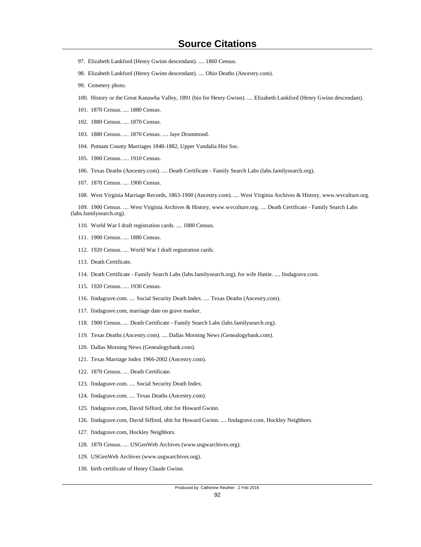# **Source Citations**

- 97. Elizabeth Lankford (Henry Gwinn descendant). .... 1860 Census.
- 98. Elizabeth Lankford (Henry Gwinn descendant). .... Ohio Deaths (Ancestry.com).
- 99. Cemetery photo.
- 100. History or the Great Kanawha Valley, 1891 (bio for Henry Gwinn). .... Elizabeth Lankford (Henry Gwinn descendant).
- 101. 1870 Census. .... 1880 Census.
- 102. 1880 Census. .... 1870 Census.
- 103. 1880 Census. .... 1870 Census. .... Jaye Drummond.
- 104. Putnam County Marriages 1848-1882, Upper Vandalia Hist Soc.
- 105. 1900 Census. .... 1910 Census.
- 106. Texas Deaths (Ancestry.com). .... Death Certificate Family Search Labs (labs.familysearch.org).
- 107. 1870 Census. .... 1900 Census.
- 108. West Virginia Marriage Records, 1863-1900 (Ancestry.com). .... West Virginia Archives & History, www.wvculture.org.

 109. 1900 Census. .... West Virginia Archives & History, www.wvculture.org. .... Death Certificate - Family Search Labs (labs.familysearch.org).

- 110. World War I draft registration cards. .... 1880 Census.
- 111. 1900 Census. .... 1880 Census.
- 112. 1920 Census. .... World War I draft registration cards.
- 113. Death Certificate.
- 114. Death Certificate Family Search Labs (labs.familysearch.org), for wife Hattie. .... findagrave.com.
- 115. 1920 Census. .... 1930 Census.
- 116. findagrave.com. .... Social Security Death Index. .... Texas Deaths (Ancestry.com).
- 117. findagrave.com, marriage date on grave marker.
- 118. 1900 Census. .... Death Certificate Family Search Labs (labs.familysearch.org).
- 119. Texas Deaths (Ancestry.com). .... Dallas Morning News (Genealogybank.com).
- 120. Dallas Morning News (Genealogybank.com).
- 121. Texas Marriage Index 1966-2002 (Ancestry.com).
- 122. 1870 Census. .... Death Certificate.
- 123. findagrave.com. .... Social Security Death Index.
- 124. findagrave.com. .... Texas Deaths (Ancestry.com).
- 125. findagrave.com, David Sifford, obit for Howard Gwinn.
- 126. findagrave.com, David Sifford, obit for Howard Gwinn. .... findagrave.com, Hockley Neighbors.
- 127. findagrave.com, Hockley Neighbors.
- 128. 1870 Census. .... USGenWeb Archives (www.usgwarchives.org).
- 129. USGenWeb Archives (www.usgwarchives.org).
- 130. birth certificate of Henry Claude Gwinn.

#### Produced by: Catherine Reuther : 2 Feb 2016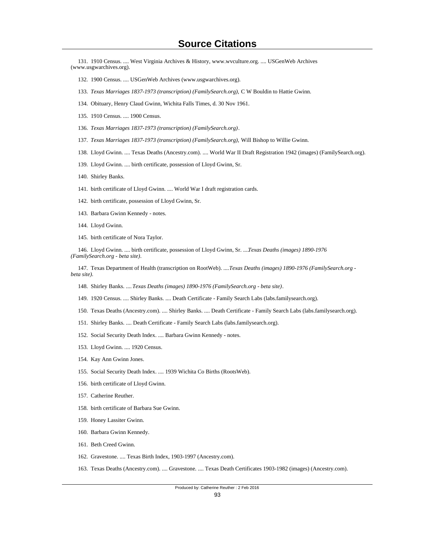131. 1910 Census. .... West Virginia Archives & History, www.wvculture.org. .... USGenWeb Archives (www.usgwarchives.org).

- 132. 1900 Census. .... USGenWeb Archives (www.usgwarchives.org).
- 133. *Texas Marriages 1837-1973 (transcription) (FamilySearch.org),* C W Bouldin to Hattie Gwinn.
- 134. Obituary, Henry Claud Gwinn, Wichita Falls Times, d. 30 Nov 1961.
- 135. 1910 Census. .... 1900 Census.
- 136. *Texas Marriages 1837-1973 (transcription) (FamilySearch.org)*.
- 137. *Texas Marriages 1837-1973 (transcription) (FamilySearch.org),* Will Bishop to Willie Gwinn.
- 138. Lloyd Gwinn. .... Texas Deaths (Ancestry.com). .... World War II Draft Registration 1942 (images) (FamilySearch.org).
- 139. Lloyd Gwinn. .... birth certificate, possession of Lloyd Gwinn, Sr.
- 140. Shirley Banks.
- 141. birth certificate of Lloyd Gwinn. .... World War I draft registration cards.
- 142. birth certificate, possession of Lloyd Gwinn, Sr.
- 143. Barbara Gwinn Kennedy notes.
- 144. Lloyd Gwinn.
- 145. birth certificate of Nora Taylor.

 146. Lloyd Gwinn. .... birth certificate, possession of Lloyd Gwinn, Sr. .... *Texas Deaths (images) 1890-1976 (FamilySearch.org - beta site)*.

 147. Texas Department of Health (transcription on RootWeb). .... *Texas Deaths (images) 1890-1976 (FamilySearch.org beta site)*.

- 148. Shirley Banks. .... *Texas Deaths (images) 1890-1976 (FamilySearch.org beta site)*.
- 149. 1920 Census. .... Shirley Banks. .... Death Certificate Family Search Labs (labs.familysearch.org).
- 150. Texas Deaths (Ancestry.com). .... Shirley Banks. .... Death Certificate Family Search Labs (labs.familysearch.org).
- 151. Shirley Banks. .... Death Certificate Family Search Labs (labs.familysearch.org).
- 152. Social Security Death Index. .... Barbara Gwinn Kennedy notes.
- 153. Lloyd Gwinn. .... 1920 Census.
- 154. Kay Ann Gwinn Jones.
- 155. Social Security Death Index. .... 1939 Wichita Co Births (RootsWeb).
- 156. birth certificate of Lloyd Gwinn.
- 157. Catherine Reuther.
- 158. birth certificate of Barbara Sue Gwinn.
- 159. Honey Lassiter Gwinn.
- 160. Barbara Gwinn Kennedy.
- 161. Beth Creed Gwinn.
- 162. Gravestone. .... Texas Birth Index, 1903-1997 (Ancestry.com).
- 163. Texas Deaths (Ancestry.com). .... Gravestone. .... Texas Death Certificates 1903-1982 (images) (Ancestry.com).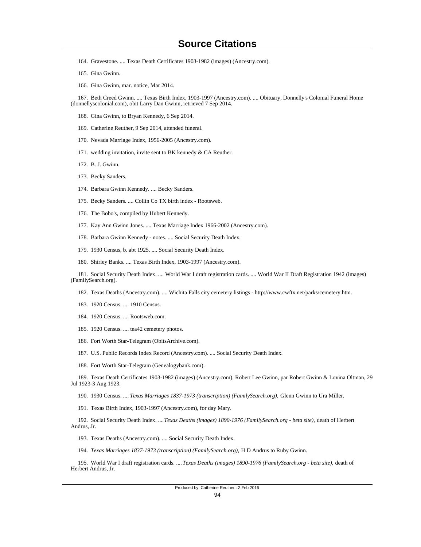- 164. Gravestone. .... Texas Death Certificates 1903-1982 (images) (Ancestry.com).
- 165. Gina Gwinn.
- 166. Gina Gwinn, mar. notice, Mar 2014.

 167. Beth Creed Gwinn. .... Texas Birth Index, 1903-1997 (Ancestry.com). .... Obituary, Donnelly's Colonial Funeral Home (donnellyscolonial.com), obit Larry Dan Gwinn, retrieved 7 Sep 2014.

- 168. Gina Gwinn, to Bryan Kennedy, 6 Sep 2014.
- 169. Catherine Reuther, 9 Sep 2014, attended funeral.
- 170. Nevada Marriage Index, 1956-2005 (Ancestry.com).
- 171. wedding invitation, invite sent to BK kennedy & CA Reuther.
- 172. B. J. Gwinn.
- 173. Becky Sanders.
- 174. Barbara Gwinn Kennedy. .... Becky Sanders.
- 175. Becky Sanders. .... Collin Co TX birth index Rootsweb.
- 176. The Bobo's, compiled by Hubert Kennedy.
- 177. Kay Ann Gwinn Jones. .... Texas Marriage Index 1966-2002 (Ancestry.com).
- 178. Barbara Gwinn Kennedy notes. .... Social Security Death Index.
- 179. 1930 Census, b. abt 1925. .... Social Security Death Index.
- 180. Shirley Banks. .... Texas Birth Index, 1903-1997 (Ancestry.com).

 181. Social Security Death Index. .... World War I draft registration cards. .... World War II Draft Registration 1942 (images) (FamilySearch.org).

182. Texas Deaths (Ancestry.com). .... Wichita Falls city cemetery listings - http://www.cwftx.net/parks/cemetery.htm.

- 183. 1920 Census. .... 1910 Census.
- 184. 1920 Census. .... Rootsweb.com.
- 185. 1920 Census. .... tea42 cemetery photos.
- 186. Fort Worth Star-Telegram (ObitsArchive.com).
- 187. U.S. Public Records Index Record (Ancestry.com). .... Social Security Death Index.
- 188. Fort Worth Star-Telegram (Genealogybank.com).

 189. Texas Death Certificates 1903-1982 (images) (Ancestry.com), Robert Lee Gwinn, par Robert Gwinn & Lovina Oltman, 29 Jul 1923-3 Aug 1923.

190. 1930 Census. .... *Texas Marriages 1837-1973 (transcription) (FamilySearch.org),* Glenn Gwinn to Ura Miller.

191. Texas Birth Index, 1903-1997 (Ancestry.com), for day Mary.

 192. Social Security Death Index. .... *Texas Deaths (images) 1890-1976 (FamilySearch.org - beta site),* death of Herbert Andrus, Jr.

193. Texas Deaths (Ancestry.com). .... Social Security Death Index.

194. *Texas Marriages 1837-1973 (transcription) (FamilySearch.org),* H D Andrus to Ruby Gwinn.

 195. World War I draft registration cards. .... *Texas Deaths (images) 1890-1976 (FamilySearch.org - beta site),* death of Herbert Andrus, Jr.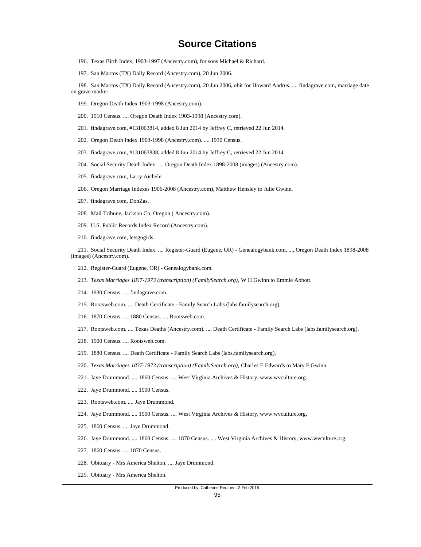- 196. Texas Birth Index, 1903-1997 (Ancestry.com), for sons Michael & Richard.
- 197. San Marcos (TX) Daily Record (Ancestry.com), 20 Jun 2006.

 198. San Marcos (TX) Daily Record (Ancestry.com), 20 Jun 2006, obit for Howard Andrus. .... findagrave.com, marriage date on grave marker.

- 199. Oregon Death Index 1903-1998 (Ancestry.com).
- 200. 1910 Census. .... Oregon Death Index 1903-1998 (Ancestry.com).
- 201. findagrave.com, #131063814, added 8 Jun 2014 by Jeffrey C, retrieved 22 Jun 2014.
- 202. Oregon Death Index 1903-1998 (Ancestry.com). .... 1930 Census.
- 203. findagrave.com, #131063838, added 8 Jun 2014 by Jeffrey C, retrieved 22 Jun 2014.
- 204. Social Security Death Index. .... Oregon Death Index 1898-2008 (images) (Ancestry.com).
- 205. findagrave.com, Larry Aichele.
- 206. Oregon Marriage Indexes 1906-2008 (Ancestry.com), Matthew Hensley to Julie Gwinn.
- 207. findagrave.com, DonZas.
- 208. Mail Tribune, Jackson Co, Oregon ( Ancestry.com).
- 209. U.S. Public Records Index Record (Ancestry.com).
- 210. findagrave.com, letsgogirls.

 211. Social Security Death Index. .... Register-Guard (Eugene, OR) - Genealogybank.com. .... Oregon Death Index 1898-2008 (images) (Ancestry.com).

- 212. Register-Guard (Eugene, OR) Genealogybank.com.
- 213. *Texas Marriages 1837-1973 (transcription) (FamilySearch.org),* W H Gwinn to Emmie Abbott.
- 214. 1930 Census. .... findagrave.com.
- 215. Rootsweb.com. .... Death Certificate Family Search Labs (labs.familysearch.org).
- 216. 1870 Census. .... 1880 Census. .... Rootsweb.com.
- 217. Rootsweb.com. .... Texas Deaths (Ancestry.com). .... Death Certificate Family Search Labs (labs.familysearch.org).
- 218. 1900 Census. .... Rootsweb.com.
- 219. 1880 Census. .... Death Certificate Family Search Labs (labs.familysearch.org).
- 220. *Texas Marriages 1837-1973 (transcription) (FamilySearch.org),* Charles E Edwards to Mary F Gwinn.
- 221. Jaye Drummond. .... 1860 Census. .... West Virginia Archives & History, www.wvculture.org.
- 222. Jaye Drummond. .... 1900 Census.
- 223. Rootsweb.com. .... Jaye Drummond.
- 224. Jaye Drummond. .... 1900 Census. .... West Virginia Archives & History, www.wvculture.org.
- 225. 1860 Census. .... Jaye Drummond.
- 226. Jaye Drummond. .... 1860 Census. .... 1870 Census. .... West Virginia Archives & History, www.wvculture.org.
- 227. 1860 Census. .... 1870 Census.
- 228. Obituary Mrs America Shelton. .... Jaye Drummond.
- 229. Obituary Mrs America Shelton.

#### Produced by: Catherine Reuther : 2 Feb 2016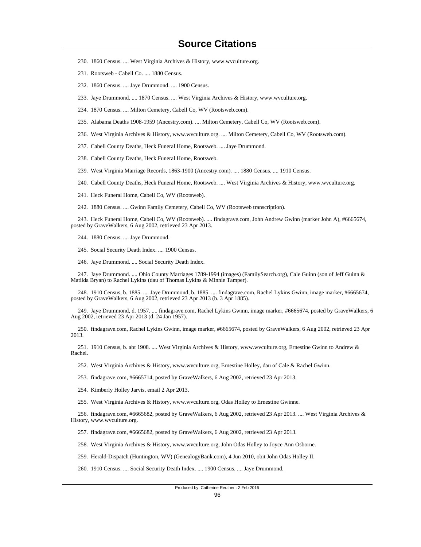- 230. 1860 Census. .... West Virginia Archives & History, www.wvculture.org.
- 231. Rootsweb Cabell Co. .... 1880 Census.
- 232. 1860 Census. .... Jaye Drummond. .... 1900 Census.
- 233. Jaye Drummond. .... 1870 Census. .... West Virginia Archives & History, www.wvculture.org.
- 234. 1870 Census. .... Milton Cemetery, Cabell Co, WV (Rootsweb.com).
- 235. Alabama Deaths 1908-1959 (Ancestry.com). .... Milton Cemetery, Cabell Co, WV (Rootsweb.com).
- 236. West Virginia Archives & History, www.wvculture.org. .... Milton Cemetery, Cabell Co, WV (Rootsweb.com).
- 237. Cabell County Deaths, Heck Funeral Home, Rootsweb. .... Jaye Drummond.
- 238. Cabell County Deaths, Heck Funeral Home, Rootsweb.
- 239. West Virginia Marriage Records, 1863-1900 (Ancestry.com). .... 1880 Census. .... 1910 Census.
- 240. Cabell County Deaths, Heck Funeral Home, Rootsweb. .... West Virginia Archives & History, www.wvculture.org.
- 241. Heck Funeral Home, Cabell Co, WV (Rootsweb).
- 242. 1880 Census. .... Gwinn Family Cemetery, Cabell Co, WV (Rootsweb transcription).

 243. Heck Funeral Home, Cabell Co, WV (Rootsweb). .... findagrave.com, John Andrew Gwinn (marker John A), #6665674, posted by GraveWalkers, 6 Aug 2002, retrieved 23 Apr 2013.

- 244. 1880 Census. .... Jaye Drummond.
- 245. Social Security Death Index. .... 1900 Census.
- 246. Jaye Drummond. .... Social Security Death Index.

 247. Jaye Drummond. .... Ohio County Marriages 1789-1994 (images) (FamilySearch.org), Cale Guinn (son of Jeff Guinn & Matilda Bryan) to Rachel Lykins (dau of Thomas Lykins & Minnie Tamper).

 248. 1910 Census, b. 1885. .... Jaye Drummond, b. 1885. .... findagrave.com, Rachel Lykins Gwinn, image marker, #6665674, posted by GraveWalkers, 6 Aug 2002, retrieved 23 Apr 2013 (b. 3 Apr 1885).

 249. Jaye Drummond, d. 1957. .... findagrave.com, Rachel Lykins Gwinn, image marker, #6665674, posted by GraveWalkers, 6 Aug 2002, retrieved 23 Apr 2013 (d. 24 Jan 1957).

 250. findagrave.com, Rachel Lykins Gwinn, image marker, #6665674, posted by GraveWalkers, 6 Aug 2002, retrieved 23 Apr 2013.

 251. 1910 Census, b. abt 1908. .... West Virginia Archives & History, www.wvculture.org, Ernestine Gwinn to Andrew & Rachel.

252. West Virginia Archives & History, www.wvculture.org, Ernestine Holley, dau of Cale & Rachel Gwinn.

253. findagrave.com, #6665714, posted by GraveWalkers, 6 Aug 2002, retrieved 23 Apr 2013.

254. Kimberly Holley Jarvis, email 2 Apr 2013.

255. West Virginia Archives & History, www.wvculture.org, Odas Holley to Ernestine Gwinne.

 256. findagrave.com, #6665682, posted by GraveWalkers, 6 Aug 2002, retrieved 23 Apr 2013. .... West Virginia Archives & History, www.wvculture.org.

257. findagrave.com, #6665682, posted by GraveWalkers, 6 Aug 2002, retrieved 23 Apr 2013.

258. West Virginia Archives & History, www.wvculture.org, John Odas Holley to Joyce Ann Osborne.

259. Herald-Dispatch (Huntington, WV) (GenealogyBank.com), 4 Jun 2010, obit John Odas Holley II.

260. 1910 Census. .... Social Security Death Index. .... 1900 Census. .... Jaye Drummond.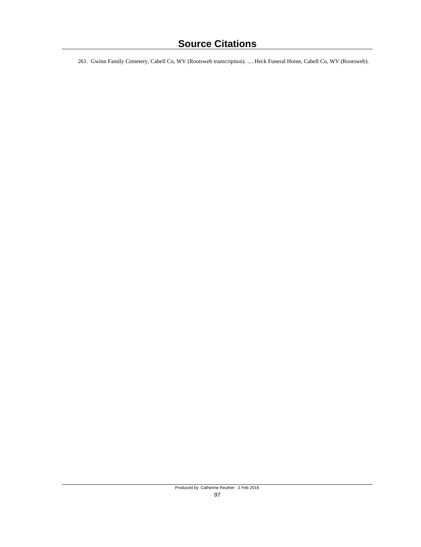261. Gwinn Family Cemetery, Cabell Co, WV (Rootsweb transcription). .... Heck Funeral Home, Cabell Co, WV (Rootsweb).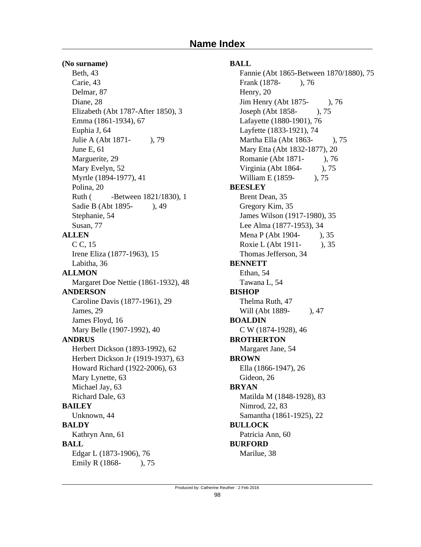#### **(No surname)**

Beth, 43 Carie, 43 Delmar, 87 Diane, 28 Elizabeth (Abt 1787-After 1850), 3 Emma (1861-1934), 67 Euphia J, 64 Julie A (Abt 1871- ), 79 June E, 61 Marguerite, 29 Mary Evelyn, 52 Myrtle (1894-1977), 41 Polina, 20 Ruth (**-Between 1821/1830**), 1 Sadie B (Abt 1895-), 49 Stephanie, 54 Susan, 77 **ALLEN** C C, 15 Irene Eliza (1877-1963), 15 Labitha, 36 **ALLMON** Margaret Doe Nettie (1861-1932), 48 **ANDERSON** Caroline Davis (1877-1961), 29 James, 29 James Floyd, 16 Mary Belle (1907-1992), 40 **ANDRUS** Herbert Dickson (1893-1992), 62 Herbert Dickson Jr (1919-1937), 63 Howard Richard (1922-2006), 63 Mary Lynette, 63 Michael Jay, 63 Richard Dale, 63 **BAILEY** Unknown, 44 **BALDY** Kathryn Ann, 61 **BALL** Edgar L (1873-1906), 76

Emily R (1868-), 75

### **BALL**

Fannie (Abt 1865-Between 1870/1880), 75 Frank (1878- ), 76 Henry, 20 Jim Henry (Abt 1875- ), 76 Joseph (Abt 1858- ), 75 Lafayette (1880-1901), 76 Layfette (1833-1921), 74 Martha Ella (Abt 1863- ), 75 Mary Etta (Abt 1832-1877), 20 Romanie (Abt 1871- ), 76 Virginia (Abt 1864- ), 75 William E (1859-), 75 **BEESLEY** Brent Dean, 35 Gregory Kim, 35 James Wilson (1917-1980), 35 Lee Alma (1877-1953), 34 Mena P (Abt 1904-), 35 Roxie L (Abt 1911- ), 35 Thomas Jefferson, 34 **BENNETT** Ethan, 54 Tawana L, 54 **BISHOP** Thelma Ruth, 47 Will (Abt 1889-), 47 **BOALDIN** C W (1874-1928), 46 **BROTHERTON** Margaret Jane, 54 **BROWN** Ella (1866-1947), 26 Gideon, 26 **BRYAN** Matilda M (1848-1928), 83 Nimrod, 22, 83 Samantha (1861-1925), 22 **BULLOCK** Patricia Ann, 60 **BURFORD** Marilue, 38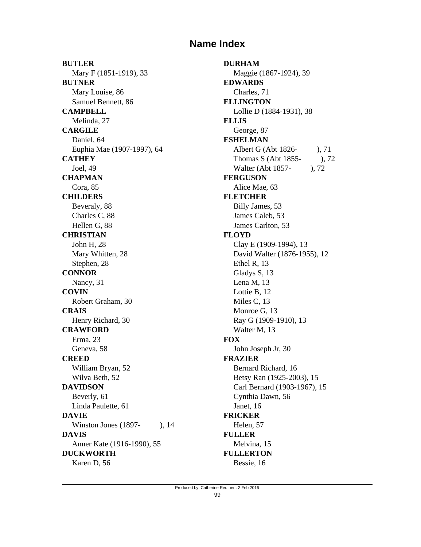# **Name Index**

**BUTLER** Mary F (1851-1919), 33 **BUTNER** Mary Louise, 86 Samuel Bennett, 86 **CAMPBELL** Melinda, 27 **CARGILE** Daniel, 64 Euphia Mae (1907-1997), 64 **CATHEY** Joel, 49 **CHAPMAN** Cora, 85 **CHILDERS** Beveraly, 88 Charles C, 88 Hellen G, 88 **CHRISTIAN** John H, 28 Mary Whitten, 28 Stephen, 28 **CONNOR** Nancy, 31 **COVIN** Robert Graham, 30 **CRAIS** Henry Richard, 30 **CRAWFORD** Erma, 23 Geneva, 58 **CREED** William Bryan, 52 Wilva Beth, 52 **DAVIDSON** Beverly, 61 Linda Paulette, 61 **DAVIE** Winston Jones (1897-), 14 **DAVIS** Anner Kate (1916-1990), 55 **DUCKWORTH** Karen D, 56

**DURHAM** Maggie (1867-1924), 39 **EDWARDS** Charles, 71 **ELLINGTON** Lollie D (1884-1931), 38 **ELLIS** George, 87 **ESHELMAN** Albert G (Abt 1826- ), 71 Thomas S (Abt 1855- ), 72 Walter (Abt 1857- ), 72 **FERGUSON** Alice Mae, 63 **FLETCHER** Billy James, 53 James Caleb, 53 James Carlton, 53 **FLOYD** Clay E (1909-1994), 13 David Walter (1876-1955), 12 Ethel R, 13 Gladys S, 13 Lena M, 13 Lottie B, 12 Miles C, 13 Monroe G, 13 Ray G (1909-1910), 13 Walter M, 13 **FOX** John Joseph Jr, 30 **FRAZIER** Bernard Richard, 16 Betsy Ran (1925-2003), 15 Carl Bernard (1903-1967), 15 Cynthia Dawn, 56 Janet, 16 **FRICKER** Helen, 57 **FULLER** Melvina, 15 **FULLERTON** Bessie, 16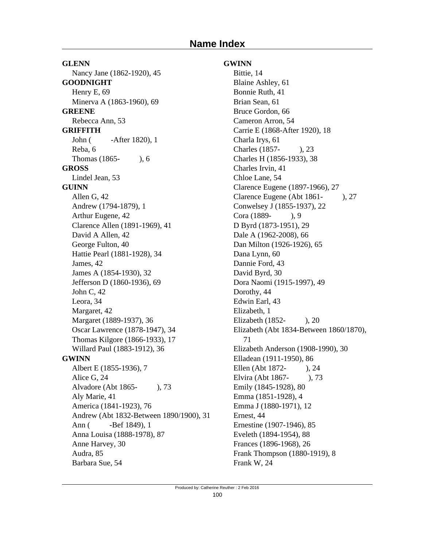# **Name Index**

**GLENN** Nancy Jane (1862-1920), 45 **GOODNIGHT** Henry E, 69 Minerva A (1863-1960), 69 **GREENE** Rebecca Ann, 53 **GRIFFITH** John ( -After 1820), 1 Reba, 6 Thomas (1865- ), 6 **GROSS** Lindel Jean, 53 **GUINN** Allen G, 42 Andrew (1794-1879), 1 Arthur Eugene, 42 Clarence Allen (1891-1969), 41 David A Allen, 42 George Fulton, 40 Hattie Pearl (1881-1928), 34 James, 42 James A (1854-1930), 32 Jefferson D (1860-1936), 69 John C, 42 Leora, 34 Margaret, 42 Margaret (1889-1937), 36 Oscar Lawrence (1878-1947), 34 Thomas Kilgore (1866-1933), 17 Willard Paul (1883-1912), 36 **GWINN** Albert E (1855-1936), 7 Alice G, 24 Alvadore (Abt 1865- ), 73 Aly Marie, 41 America (1841-1923), 76 Andrew (Abt 1832-Between 1890/1900), 31 Ann ( -Bef 1849), 1 Anna Louisa (1888-1978), 87 Anne Harvey, 30 Audra, 85 Barbara Sue, 54

### **GWINN**

Bittie, 14 Blaine Ashley, 61 Bonnie Ruth, 41 Brian Sean, 61 Bruce Gordon, 66 Cameron Arron, 54 Carrie E (1868-After 1920), 18 Charla Irys, 61 Charles (1857- ), 23 Charles H (1856-1933), 38 Charles Irvin, 41 Chloe Lane, 54 Clarence Eugene (1897-1966), 27 Clarence Eugene (Abt 1861- ), 27 Conwelsey J (1855-1937), 22 Cora (1889- ), 9 D Byrd (1873-1951), 29 Dale A (1962-2008), 66 Dan Milton (1926-1926), 65 Dana Lynn, 60 Dannie Ford, 43 David Byrd, 30 Dora Naomi (1915-1997), 49 Dorothy, 44 Edwin Earl, 43 Elizabeth, 1 Elizabeth (1852- ), 20 Elizabeth (Abt 1834-Between 1860/1870), 71 Elizabeth Anderson (1908-1990), 30 Elladean (1911-1950), 86 Ellen (Abt 1872- ), 24 Elvira (Abt 1867- ), 73 Emily (1845-1928), 80 Emma (1851-1928), 4 Emma J (1880-1971), 12 Ernest, 44 Ernestine (1907-1946), 85 Eveleth (1894-1954), 88 Frances (1896-1968), 26 Frank Thompson (1880-1919), 8 Frank W, 24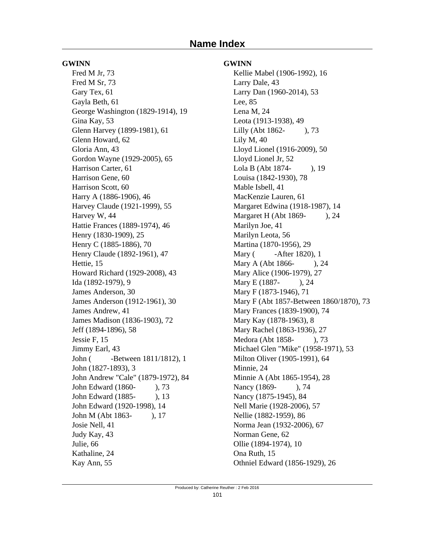#### **GWINN**

Fred M Jr, 73 Fred M Sr, 73 Gary Tex, 61 Gayla Beth, 61 George Washington (1829-1914), 19 Gina Kay, 53 Glenn Harvey (1899-1981), 61 Glenn Howard, 62 Gloria Ann, 43 Gordon Wayne (1929-2005), 65 Harrison Carter, 61 Harrison Gene, 60 Harrison Scott, 60 Harry A (1886-1906), 46 Harvey Claude (1921-1999), 55 Harvey W, 44 Hattie Frances (1889-1974), 46 Henry (1830-1909), 25 Henry C (1885-1886), 70 Henry Claude (1892-1961), 47 Hettie, 15 Howard Richard (1929-2008), 43 Ida (1892-1979), 9 James Anderson, 30 James Anderson (1912-1961), 30 James Andrew, 41 James Madison (1836-1903), 72 Jeff (1894-1896), 58 Jessie F, 15 Jimmy Earl, 43 John ( -Between 1811/1812), 1 John (1827-1893), 3 John Andrew "Cale" (1879-1972), 84 John Edward (1860- ), 73 John Edward (1885- ), 13 John Edward (1920-1998), 14 John M (Abt 1863- ), 17 Josie Nell, 41 Judy Kay, 43 Julie, 66 Kathaline, 24 Kay Ann, 55

### **GWINN**

Kellie Mabel (1906-1992), 16 Larry Dale, 43 Larry Dan (1960-2014), 53 Lee, 85 Lena M, 24 Leota (1913-1938), 49 Lilly (Abt 1862- ), 73 Lily M, 40 Lloyd Lionel (1916-2009), 50 Lloyd Lionel Jr, 52 Lola B (Abt 1874- ), 19 Louisa (1842-1930), 78 Mable Isbell, 41 MacKenzie Lauren, 61 Margaret Edwina (1918-1987), 14 Margaret H (Abt 1869- ), 24 Marilyn Joe, 41 Marilyn Leota, 56 Martina (1870-1956), 29 Mary (**-After 1820**), 1 Mary A (Abt 1866-), 24 Mary Alice (1906-1979), 27 Mary E (1887-), 24 Mary F (1873-1946), 71 Mary F (Abt 1857-Between 1860/1870), 73 Mary Frances (1839-1900), 74 Mary Kay (1878-1963), 8 Mary Rachel (1863-1936), 27 Medora (Abt 1858- ), 73 Michael Glen "Mike" (1958-1971), 53 Milton Oliver (1905-1991), 64 Minnie, 24 Minnie A (Abt 1865-1954), 28 Nancy (1869-), 74 Nancy (1875-1945), 84 Nell Marie (1928-2006), 57 Nellie (1882-1959), 86 Norma Jean (1932-2006), 67 Norman Gene, 62 Ollie (1894-1974), 10 Ona Ruth, 15 Othniel Edward (1856-1929), 26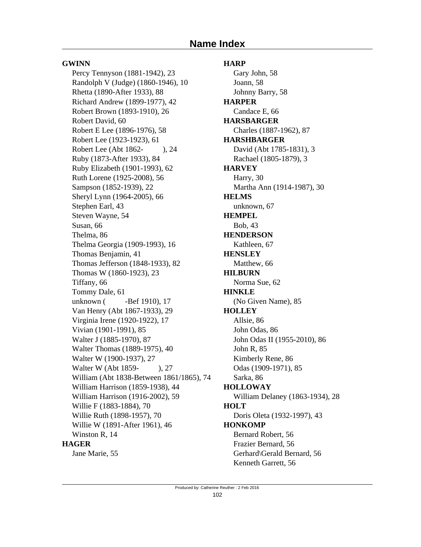### **GWINN**

Percy Tennyson (1881-1942), 23 Randolph V (Judge) (1860-1946), 10 Rhetta (1890-After 1933), 88 Richard Andrew (1899-1977), 42 Robert Brown (1893-1910), 26 Robert David, 60 Robert E Lee (1896-1976), 58 Robert Lee (1923-1923), 61 Robert Lee (Abt 1862- ), 24 Ruby (1873-After 1933), 84 Ruby Elizabeth (1901-1993), 62 Ruth Lorene (1925-2008), 56 Sampson (1852-1939), 22 Sheryl Lynn (1964-2005), 66 Stephen Earl, 43 Steven Wayne, 54 Susan, 66 Thelma, 86 Thelma Georgia (1909-1993), 16 Thomas Benjamin, 41 Thomas Jefferson (1848-1933), 82 Thomas W (1860-1923), 23 Tiffany, 66 Tommy Dale, 61 unknown ( -Bef 1910), 17 Van Henry (Abt 1867-1933), 29 Virginia Irene (1920-1922), 17 Vivian (1901-1991), 85 Walter J (1885-1970), 87 Walter Thomas (1889-1975), 40 Walter W (1900-1937), 27 Walter W (Abt 1859-), 27 William (Abt 1838-Between 1861/1865), 74 William Harrison (1859-1938), 44 William Harrison (1916-2002), 59 Willie F (1883-1884), 70 Willie Ruth (1898-1957), 70 Willie W (1891-After 1961), 46 Winston R, 14 **HAGER** Jane Marie, 55

**HARP** Gary John, 58 Joann, 58 Johnny Barry, 58 **HARPER** Candace E, 66 **HARSBARGER** Charles (1887-1962), 87 **HARSHBARGER** David (Abt 1785-1831), 3 Rachael (1805-1879), 3 **HARVEY** Harry, 30 Martha Ann (1914-1987), 30 **HELMS** unknown, 67 **HEMPEL** Bob, 43 **HENDERSON** Kathleen, 67 **HENSLEY** Matthew, 66 **HILBURN** Norma Sue, 62 **HINKLE** (No Given Name), 85 **HOLLEY** Allsie, 86 John Odas, 86 John Odas II (1955-2010), 86 John R, 85 Kimberly Rene, 86 Odas (1909-1971), 85 Sarka, 86 **HOLLOWAY** William Delaney (1863-1934), 28 **HOLT** Doris Oleta (1932-1997), 43 **HONKOMP** Bernard Robert, 56 Frazier Bernard, 56 Gerhard\Gerald Bernard, 56 Kenneth Garrett, 56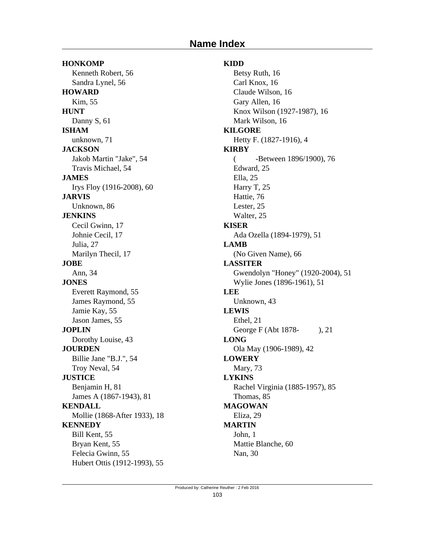# **Name Index**

**HONKOMP** Kenneth Robert, 56 Sandra Lynel, 56 **HOWARD** Kim, 55 **HUNT** Danny S, 61 **ISHAM** unknown, 71 **JACKSON** Jakob Martin "Jake", 54 Travis Michael, 54 **JAMES** Irys Floy (1916-2008), 60 **JARVIS** Unknown, 86 **JENKINS** Cecil Gwinn, 17 Johnie Cecil, 17 Julia, 27 Marilyn Thecil, 17 **JOBE** Ann, 34 **JONES** Everett Raymond, 55 James Raymond, 55 Jamie Kay, 55 Jason James, 55 **JOPLIN** Dorothy Louise, 43 **JOURDEN** Billie Jane "B.J.", 54 Troy Neval, 54 **JUSTICE** Benjamin H, 81 James A (1867-1943), 81 **KENDALL** Mollie (1868-After 1933), 18 **KENNEDY** Bill Kent, 55 Bryan Kent, 55 Felecia Gwinn, 55 Hubert Ottis (1912-1993), 55

# **KIDD**

Betsy Ruth, 16 Carl Knox, 16 Claude Wilson, 16 Gary Allen, 16 Knox Wilson (1927-1987), 16 Mark Wilson, 16 **KILGORE** Hetty F. (1827-1916), 4 **KIRBY** ( -Between 1896/1900), 76 Edward, 25 Ella, 25 Harry T, 25 Hattie, 76 Lester, 25 Walter, 25 **KISER** Ada Ozella (1894-1979), 51 **LAMB** (No Given Name), 66 **LASSITER** Gwendolyn "Honey" (1920-2004), 51 Wylie Jones (1896-1961), 51 **LEE** Unknown, 43 **LEWIS** Ethel, 21 George F (Abt 1878-), 21 **LONG** Ola May (1906-1989), 42 **LOWERY** Mary, 73 **LYKINS** Rachel Virginia (1885-1957), 85 Thomas, 85 **MAGOWAN** Eliza, 29 **MARTIN** John, 1 Mattie Blanche, 60 Nan, 30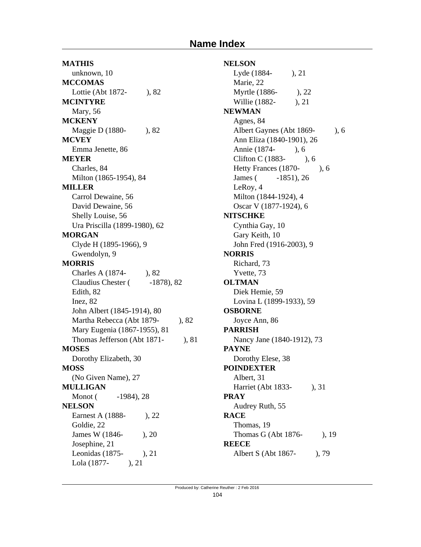**MATHIS** unknown, 10 **MCCOMAS** Lottie (Abt 1872- ), 82 **MCINTYRE** Mary, 56 **MCKENY** Maggie D (1880-), 82 **MCVEY** Emma Jenette, 86 **MEYER** Charles, 84 Milton (1865-1954), 84 **MILLER** Carrol Dewaine, 56 David Dewaine, 56 Shelly Louise, 56 Ura Priscilla (1899-1980), 62 **MORGAN** Clyde H (1895-1966), 9 Gwendolyn, 9 **MORRIS** Charles A (1874- ), 82 Claudius Chester (  $-1878$ ), 82 Edith, 82 Inez, 82 John Albert (1845-1914), 80 Martha Rebecca (Abt 1879-), 82 Mary Eugenia (1867-1955), 81 Thomas Jefferson (Abt 1871- ), 81 **MOSES** Dorothy Elizabeth, 30 **MOSS** (No Given Name), 27 **MULLIGAN** Monot (  $-1984$ ), 28 **NELSON** Earnest A (1888-), 22 Goldie, 22 James W (1846- ), 20 Josephine, 21 Leonidas (1875- ), 21 Lola (1877- ), 21

**NELSON** Lyde (1884- ), 21 Marie, 22 Myrtle (1886- ), 22 Willie (1882-), 21 **NEWMAN** Agnes, 84 Albert Gaynes (Abt 1869-), 6 Ann Eliza (1840-1901), 26 Annie (1874- ), 6 Clifton C (1883- ), 6 Hetty Frances (1870- ), 6 James (  $-1851$ ), 26 LeRoy, 4 Milton (1844-1924), 4 Oscar V (1877-1924), 6 **NITSCHKE** Cynthia Gay, 10 Gary Keith, 10 John Fred (1916-2003), 9 **NORRIS** Richard, 73 Yvette, 73 **OLTMAN** Diek Hemie, 59 Lovina L (1899-1933), 59 **OSBORNE** Joyce Ann, 86 **PARRISH** Nancy Jane (1840-1912), 73 **PAYNE** Dorothy Elese, 38 **POINDEXTER** Albert, 31 Harriet (Abt 1833- ), 31 **PRAY** Audrey Ruth, 55 **RACE** Thomas, 19 Thomas G (Abt 1876- ), 19 **REECE** Albert S (Abt 1867- ), 79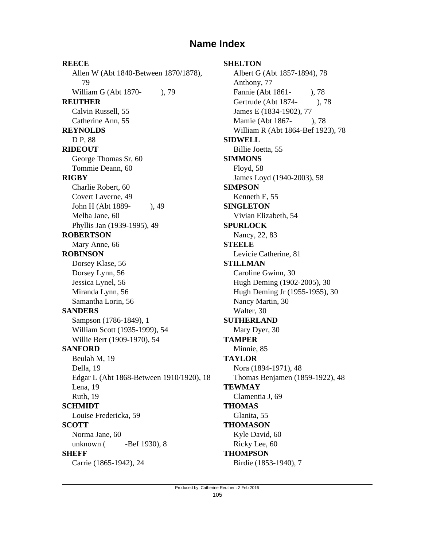**REECE** Allen W (Abt 1840-Between 1870/1878), 79 William G (Abt 1870-), 79 **REUTHER** Calvin Russell, 55 Catherine Ann, 55 **REYNOLDS** D P, 88 **RIDEOUT** George Thomas Sr, 60 Tommie Deann, 60 **RIGBY** Charlie Robert, 60 Covert Laverne, 49 John H (Abt 1889- ), 49 Melba Jane, 60 Phyllis Jan (1939-1995), 49 **ROBERTSON** Mary Anne, 66 **ROBINSON** Dorsey Klase, 56 Dorsey Lynn, 56 Jessica Lynel, 56 Miranda Lynn, 56 Samantha Lorin, 56 **SANDERS** Sampson (1786-1849), 1 William Scott (1935-1999), 54 Willie Bert (1909-1970), 54 **SANFORD** Beulah M, 19 Della, 19 Edgar L (Abt 1868-Between 1910/1920), 18 Lena, 19 Ruth, 19 **SCHMIDT** Louise Fredericka, 59 **SCOTT** Norma Jane, 60 unknown (**-Bef** 1930), 8 **SHEFF**

# Carrie (1865-1942), 24

#### **SHELTON**

Albert G (Abt 1857-1894), 78 Anthony, 77 Fannie (Abt 1861- ), 78 Gertrude (Abt 1874- ), 78 James E (1834-1902), 77 Mamie (Abt 1867-), 78 William R (Abt 1864-Bef 1923), 78 **SIDWELL** Billie Joetta, 55 **SIMMONS** Floyd, 58 James Loyd (1940-2003), 58 **SIMPSON** Kenneth E, 55 **SINGLETON** Vivian Elizabeth, 54 **SPURLOCK** Nancy, 22, 83 **STEELE** Levicie Catherine, 81 **STILLMAN** Caroline Gwinn, 30 Hugh Deming (1902-2005), 30 Hugh Deming Jr (1955-1955), 30 Nancy Martin, 30 Walter, 30 **SUTHERLAND** Mary Dyer, 30 **TAMPER** Minnie, 85 **TAYLOR** Nora (1894-1971), 48 Thomas Benjamen (1859-1922), 48 **TEWMAY** Clamentia J, 69 **THOMAS** Glanita, 55 **THOMASON** Kyle David, 60 Ricky Lee, 60 **THOMPSON** Birdie (1853-1940), 7